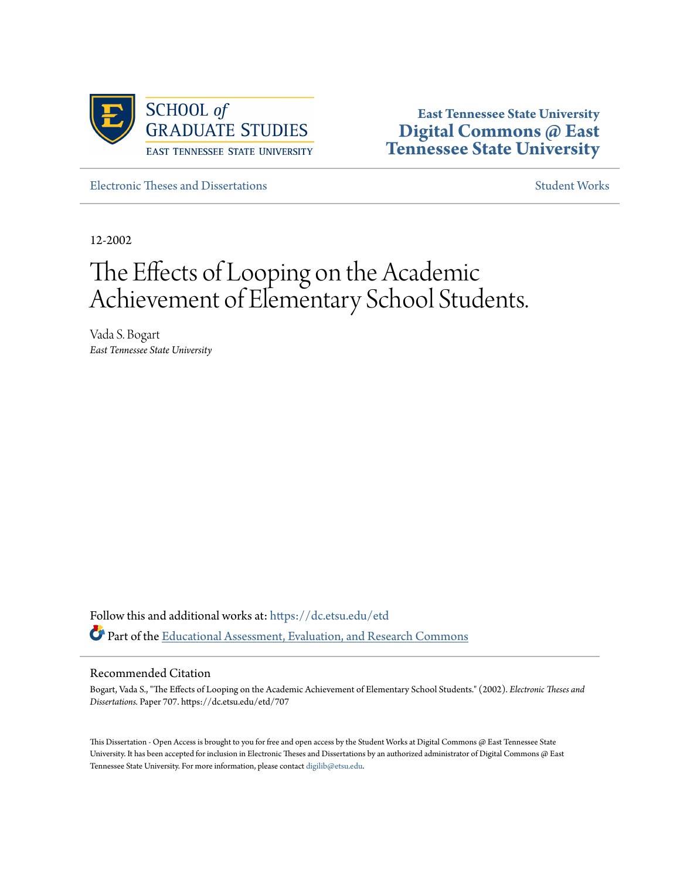

**East Tennessee State University [Digital Commons @ East](https://dc.etsu.edu?utm_source=dc.etsu.edu%2Fetd%2F707&utm_medium=PDF&utm_campaign=PDFCoverPages) [Tennessee State University](https://dc.etsu.edu?utm_source=dc.etsu.edu%2Fetd%2F707&utm_medium=PDF&utm_campaign=PDFCoverPages)**

[Electronic Theses and Dissertations](https://dc.etsu.edu/etd?utm_source=dc.etsu.edu%2Fetd%2F707&utm_medium=PDF&utm_campaign=PDFCoverPages) [Student Works](https://dc.etsu.edu/student-works?utm_source=dc.etsu.edu%2Fetd%2F707&utm_medium=PDF&utm_campaign=PDFCoverPages) Student Works Student Works

12-2002

# The Effects of Looping on the Academic Achievement of Elementary School Students.

Vada S. Bogart *East Tennessee State University*

Follow this and additional works at: [https://dc.etsu.edu/etd](https://dc.etsu.edu/etd?utm_source=dc.etsu.edu%2Fetd%2F707&utm_medium=PDF&utm_campaign=PDFCoverPages) Part of the [Educational Assessment, Evaluation, and Research Commons](http://network.bepress.com/hgg/discipline/796?utm_source=dc.etsu.edu%2Fetd%2F707&utm_medium=PDF&utm_campaign=PDFCoverPages)

### Recommended Citation

Bogart, Vada S., "The Effects of Looping on the Academic Achievement of Elementary School Students." (2002). *Electronic Theses and Dissertations.* Paper 707. https://dc.etsu.edu/etd/707

This Dissertation - Open Access is brought to you for free and open access by the Student Works at Digital Commons @ East Tennessee State University. It has been accepted for inclusion in Electronic Theses and Dissertations by an authorized administrator of Digital Commons @ East Tennessee State University. For more information, please contact [digilib@etsu.edu.](mailto:digilib@etsu.edu)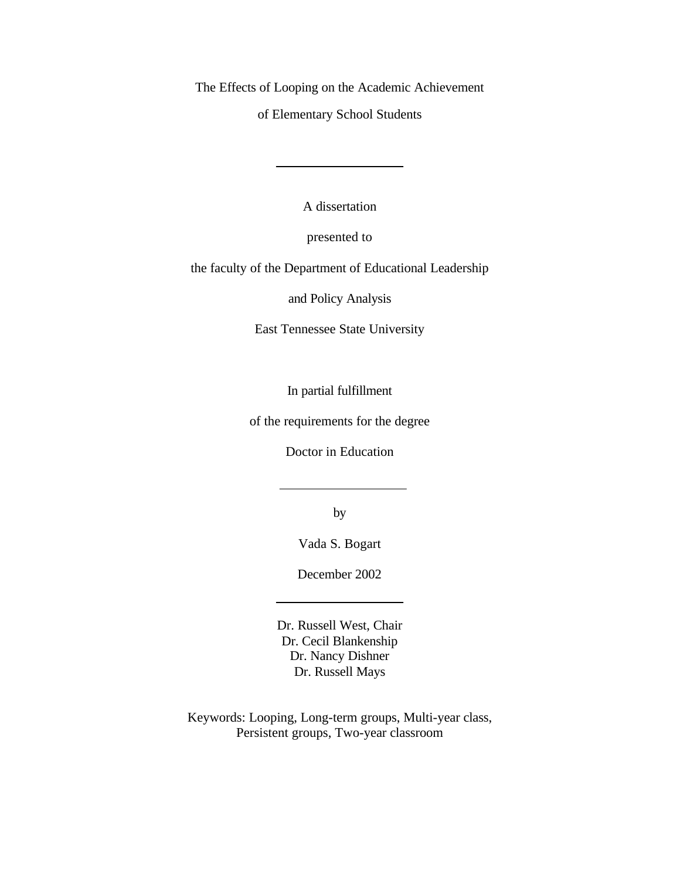The Effects of Looping on the Academic Achievement

of Elementary School Students

A dissertation

presented to

the faculty of the Department of Educational Leadership

and Policy Analysis

East Tennessee State University

In partial fulfillment

of the requirements for the degree

Doctor in Education

by

Vada S. Bogart

December 2002

Dr. Russell West, Chair Dr. Cecil Blankenship Dr. Nancy Dishner Dr. Russell Mays

Keywords: Looping, Long-term groups, Multi-year class, Persistent groups, Two-year classroom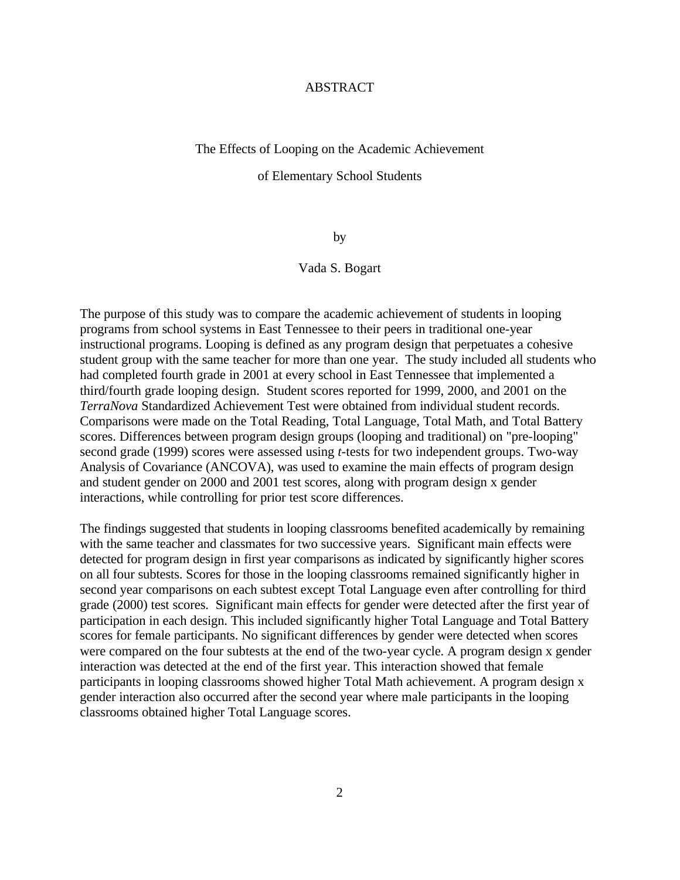### ABSTRACT

### The Effects of Looping on the Academic Achievement

#### of Elementary School Students

by

### Vada S. Bogart

The purpose of this study was to compare the academic achievement of students in looping programs from school systems in East Tennessee to their peers in traditional one-year instructional programs. Looping is defined as any program design that perpetuates a cohesive student group with the same teacher for more than one year. The study included all students who had completed fourth grade in 2001 at every school in East Tennessee that implemented a third/fourth grade looping design. Student scores reported for 1999, 2000, and 2001 on the *TerraNova* Standardized Achievement Test were obtained from individual student records. Comparisons were made on the Total Reading, Total Language, Total Math, and Total Battery scores. Differences between program design groups (looping and traditional) on "pre-looping" second grade (1999) scores were assessed using *t*-tests for two independent groups. Two-way Analysis of Covariance (ANCOVA), was used to examine the main effects of program design and student gender on 2000 and 2001 test scores, along with program design x gender interactions, while controlling for prior test score differences.

The findings suggested that students in looping classrooms benefited academically by remaining with the same teacher and classmates for two successive years. Significant main effects were detected for program design in first year comparisons as indicated by significantly higher scores on all four subtests. Scores for those in the looping classrooms remained significantly higher in second year comparisons on each subtest except Total Language even after controlling for third grade (2000) test scores. Significant main effects for gender were detected after the first year of participation in each design. This included significantly higher Total Language and Total Battery scores for female participants. No significant differences by gender were detected when scores were compared on the four subtests at the end of the two-year cycle. A program design x gender interaction was detected at the end of the first year. This interaction showed that female participants in looping classrooms showed higher Total Math achievement. A program design x gender interaction also occurred after the second year where male participants in the looping classrooms obtained higher Total Language scores.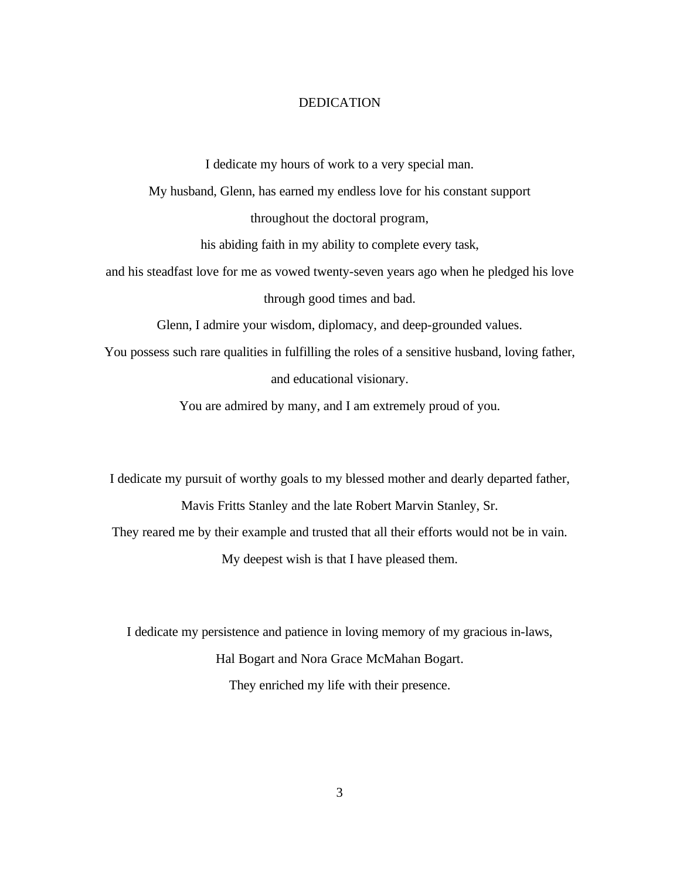### DEDICATION

I dedicate my hours of work to a very special man.

My husband, Glenn, has earned my endless love for his constant support

throughout the doctoral program,

his abiding faith in my ability to complete every task,

and his steadfast love for me as vowed twenty-seven years ago when he pledged his love through good times and bad.

Glenn, I admire your wisdom, diplomacy, and deep-grounded values.

You possess such rare qualities in fulfilling the roles of a sensitive husband, loving father, and educational visionary.

You are admired by many, and I am extremely proud of you.

I dedicate my pursuit of worthy goals to my blessed mother and dearly departed father, Mavis Fritts Stanley and the late Robert Marvin Stanley, Sr. They reared me by their example and trusted that all their efforts would not be in vain. My deepest wish is that I have pleased them.

I dedicate my persistence and patience in loving memory of my gracious in-laws, Hal Bogart and Nora Grace McMahan Bogart. They enriched my life with their presence.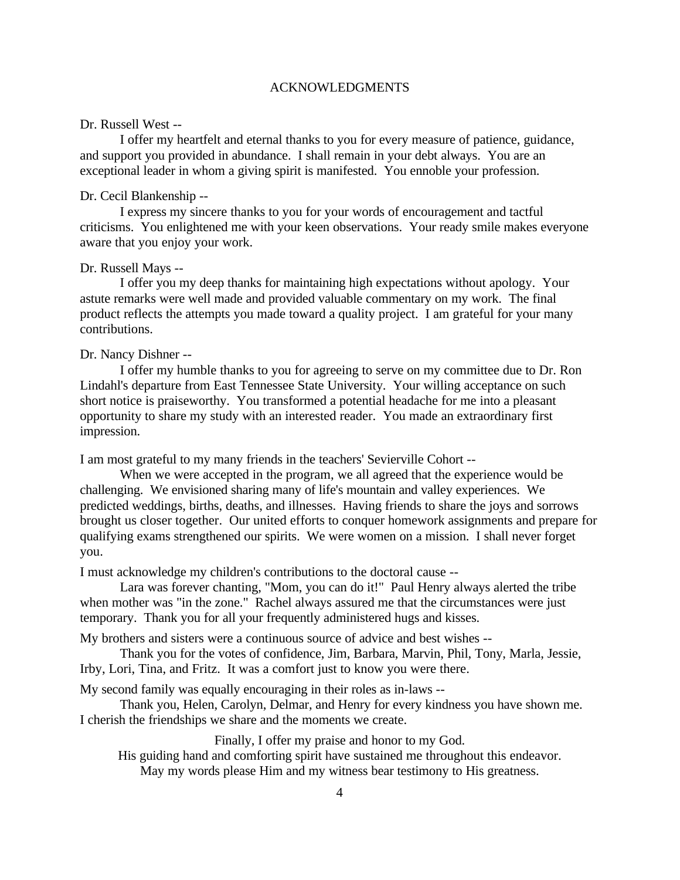### ACKNOWLEDGMENTS

### Dr. Russell West --

I offer my heartfelt and eternal thanks to you for every measure of patience, guidance, and support you provided in abundance. I shall remain in your debt always. You are an exceptional leader in whom a giving spirit is manifested. You ennoble your profession.

### Dr. Cecil Blankenship --

I express my sincere thanks to you for your words of encouragement and tactful criticisms. You enlightened me with your keen observations. Your ready smile makes everyone aware that you enjoy your work.

### Dr. Russell Mays --

I offer you my deep thanks for maintaining high expectations without apology. Your astute remarks were well made and provided valuable commentary on my work. The final product reflects the attempts you made toward a quality project. I am grateful for your many contributions.

### Dr. Nancy Dishner --

I offer my humble thanks to you for agreeing to serve on my committee due to Dr. Ron Lindahl's departure from East Tennessee State University. Your willing acceptance on such short notice is praiseworthy. You transformed a potential headache for me into a pleasant opportunity to share my study with an interested reader. You made an extraordinary first impression.

I am most grateful to my many friends in the teachers' Sevierville Cohort --

When we were accepted in the program, we all agreed that the experience would be challenging. We envisioned sharing many of life's mountain and valley experiences. We predicted weddings, births, deaths, and illnesses. Having friends to share the joys and sorrows brought us closer together. Our united efforts to conquer homework assignments and prepare for qualifying exams strengthened our spirits. We were women on a mission. I shall never forget you.

I must acknowledge my children's contributions to the doctoral cause --

Lara was forever chanting, "Mom, you can do it!" Paul Henry always alerted the tribe when mother was "in the zone." Rachel always assured me that the circumstances were just temporary. Thank you for all your frequently administered hugs and kisses.

My brothers and sisters were a continuous source of advice and best wishes --

Thank you for the votes of confidence, Jim, Barbara, Marvin, Phil, Tony, Marla, Jessie, Irby, Lori, Tina, and Fritz. It was a comfort just to know you were there.

My second family was equally encouraging in their roles as in-laws --

Thank you, Helen, Carolyn, Delmar, and Henry for every kindness you have shown me. I cherish the friendships we share and the moments we create.

Finally, I offer my praise and honor to my God.

His guiding hand and comforting spirit have sustained me throughout this endeavor. May my words please Him and my witness bear testimony to His greatness.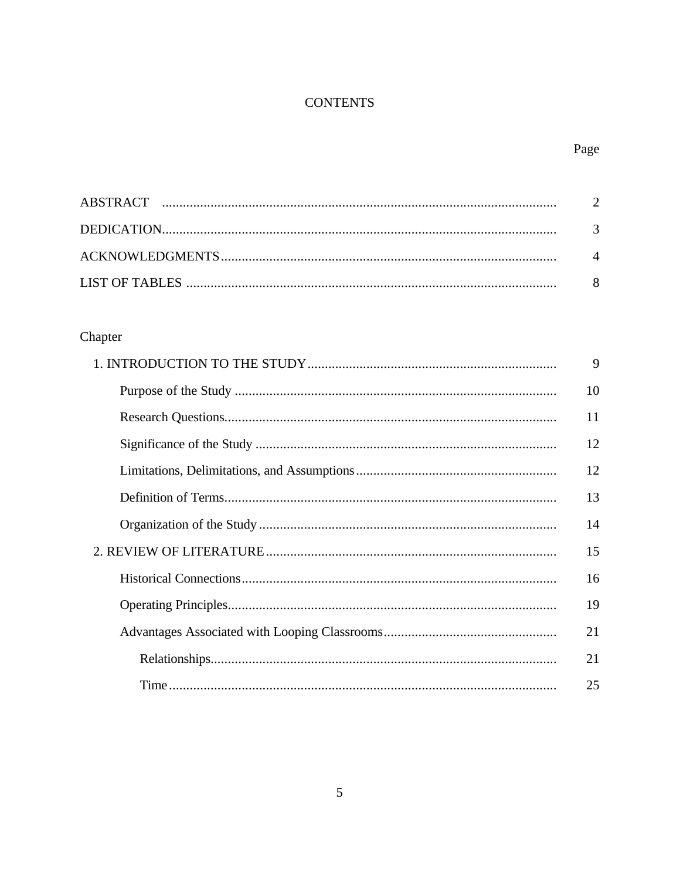### **CONTENTS**

### Page

### Chapter

| 9  |
|----|
| 10 |
| 11 |
| 12 |
| 12 |
| 13 |
| 14 |
| 15 |
| 16 |
| 19 |
| 21 |
| 21 |
| 25 |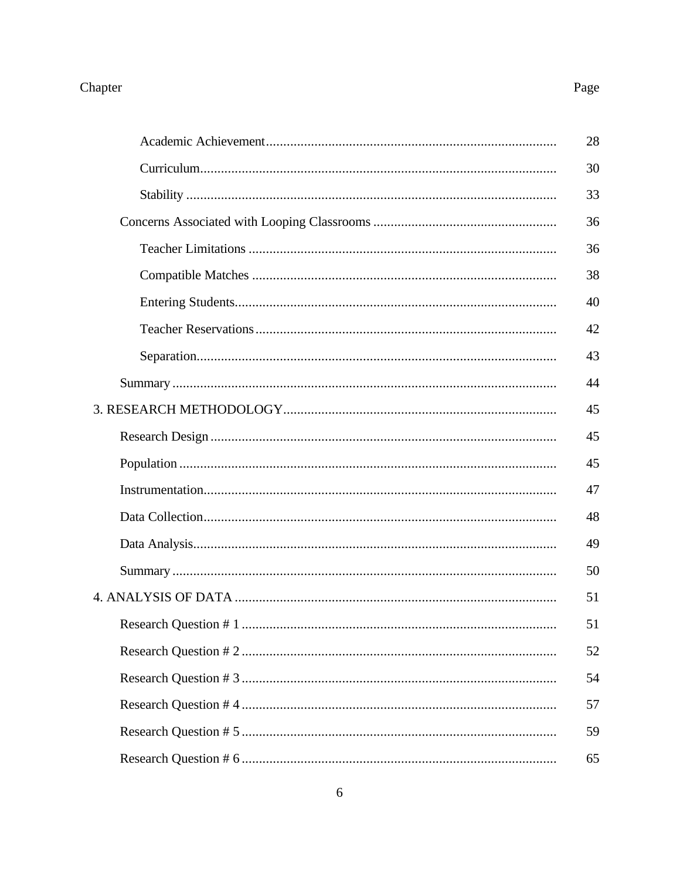# Chapter

# Page

|  | 28 |
|--|----|
|  | 30 |
|  | 33 |
|  | 36 |
|  | 36 |
|  | 38 |
|  | 40 |
|  | 42 |
|  | 43 |
|  | 44 |
|  | 45 |
|  | 45 |
|  | 45 |
|  | 47 |
|  | 48 |
|  | 49 |
|  | 50 |
|  | 51 |
|  | 51 |
|  | 52 |
|  | 54 |
|  | 57 |
|  | 59 |
|  | 65 |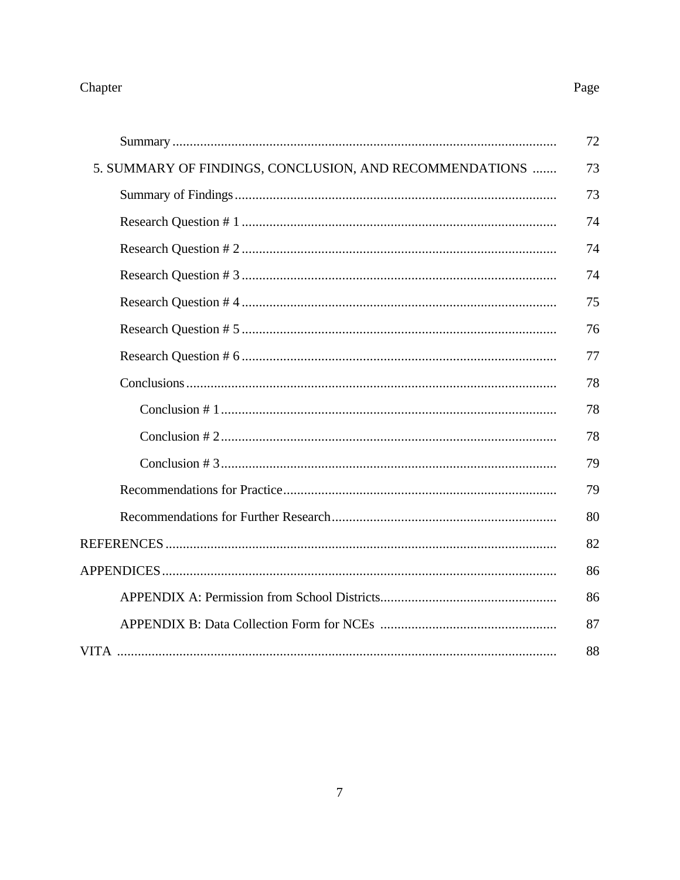### Chapter

### 5. SUMMARY OF FINDINGS, CONCLUSION, AND RECOMMENDATIONS .......

### Page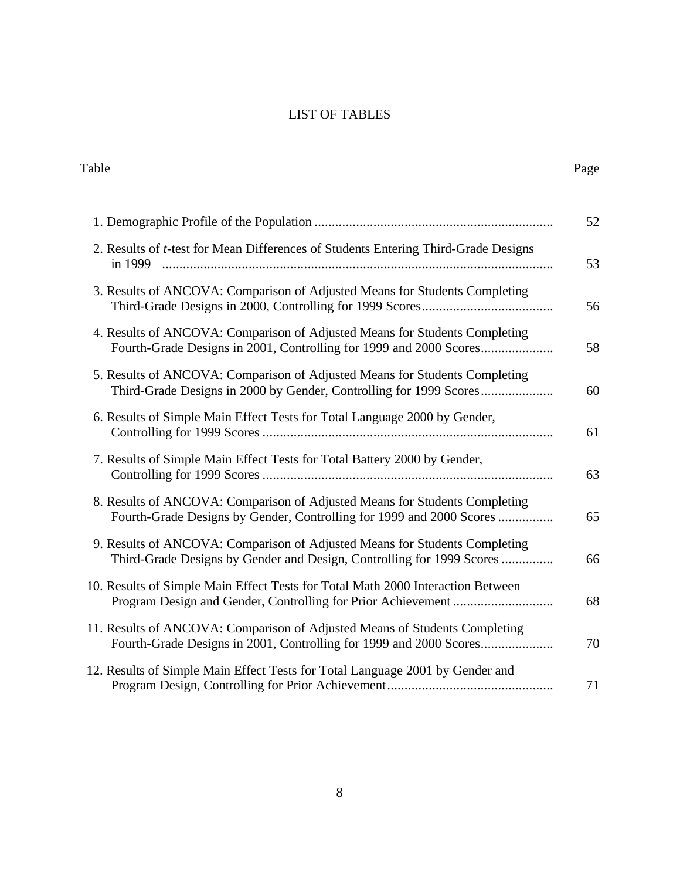### LIST OF TABLES

Table Page

| 2. Results of <i>t</i> -test for Mean Differences of Students Entering Third-Grade Designs<br>in 1999                                               |
|-----------------------------------------------------------------------------------------------------------------------------------------------------|
| 3. Results of ANCOVA: Comparison of Adjusted Means for Students Completing                                                                          |
| 4. Results of ANCOVA: Comparison of Adjusted Means for Students Completing<br>Fourth-Grade Designs in 2001, Controlling for 1999 and 2000 Scores    |
| 5. Results of ANCOVA: Comparison of Adjusted Means for Students Completing                                                                          |
| 6. Results of Simple Main Effect Tests for Total Language 2000 by Gender,                                                                           |
| 7. Results of Simple Main Effect Tests for Total Battery 2000 by Gender,                                                                            |
| 8. Results of ANCOVA: Comparison of Adjusted Means for Students Completing<br>Fourth-Grade Designs by Gender, Controlling for 1999 and 2000 Scores  |
| 9. Results of ANCOVA: Comparison of Adjusted Means for Students Completing<br>Third-Grade Designs by Gender and Design, Controlling for 1999 Scores |
| 10. Results of Simple Main Effect Tests for Total Math 2000 Interaction Between                                                                     |
| 11. Results of ANCOVA: Comparison of Adjusted Means of Students Completing                                                                          |
| 12. Results of Simple Main Effect Tests for Total Language 2001 by Gender and                                                                       |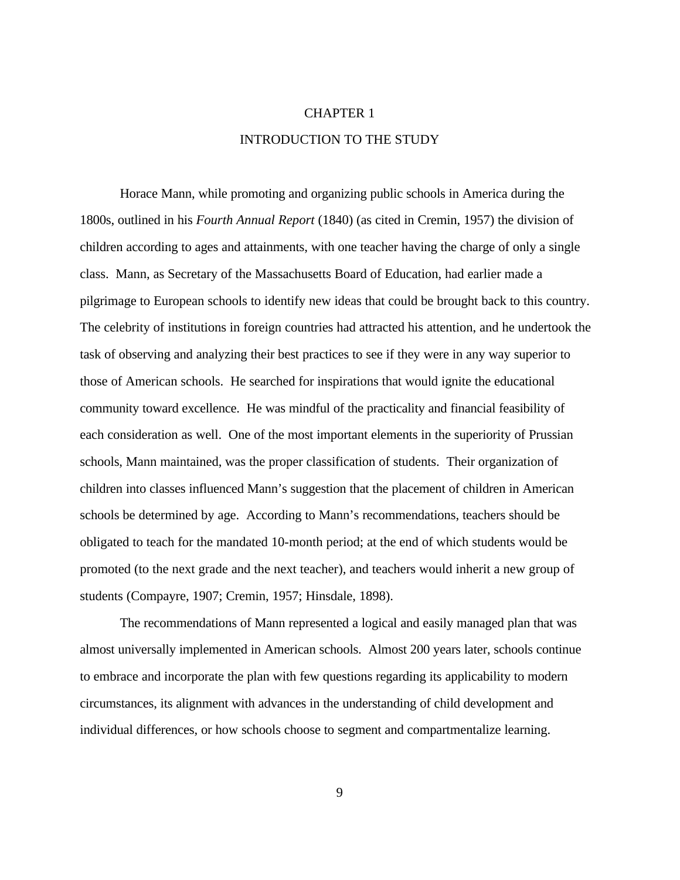## CHAPTER 1 INTRODUCTION TO THE STUDY

Horace Mann, while promoting and organizing public schools in America during the 1800s, outlined in his *Fourth Annual Report* (1840) (as cited in Cremin, 1957) the division of children according to ages and attainments, with one teacher having the charge of only a single class. Mann, as Secretary of the Massachusetts Board of Education, had earlier made a pilgrimage to European schools to identify new ideas that could be brought back to this country. The celebrity of institutions in foreign countries had attracted his attention, and he undertook the task of observing and analyzing their best practices to see if they were in any way superior to those of American schools. He searched for inspirations that would ignite the educational community toward excellence. He was mindful of the practicality and financial feasibility of each consideration as well. One of the most important elements in the superiority of Prussian schools, Mann maintained, was the proper classification of students. Their organization of children into classes influenced Mann's suggestion that the placement of children in American schools be determined by age. According to Mann's recommendations, teachers should be obligated to teach for the mandated 10-month period; at the end of which students would be promoted (to the next grade and the next teacher), and teachers would inherit a new group of students (Compayre, 1907; Cremin, 1957; Hinsdale, 1898).

The recommendations of Mann represented a logical and easily managed plan that was almost universally implemented in American schools. Almost 200 years later, schools continue to embrace and incorporate the plan with few questions regarding its applicability to modern circumstances, its alignment with advances in the understanding of child development and individual differences, or how schools choose to segment and compartmentalize learning.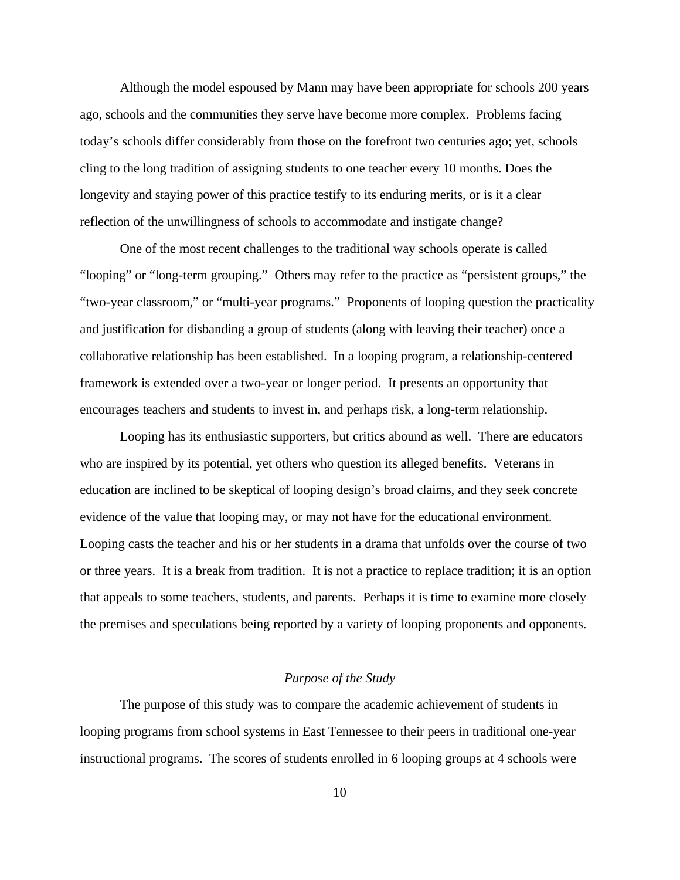Although the model espoused by Mann may have been appropriate for schools 200 years ago, schools and the communities they serve have become more complex. Problems facing today's schools differ considerably from those on the forefront two centuries ago; yet, schools cling to the long tradition of assigning students to one teacher every 10 months. Does the longevity and staying power of this practice testify to its enduring merits, or is it a clear reflection of the unwillingness of schools to accommodate and instigate change?

One of the most recent challenges to the traditional way schools operate is called "looping" or "long-term grouping." Others may refer to the practice as "persistent groups," the "two-year classroom," or "multi-year programs." Proponents of looping question the practicality and justification for disbanding a group of students (along with leaving their teacher) once a collaborative relationship has been established. In a looping program, a relationship-centered framework is extended over a two-year or longer period. It presents an opportunity that encourages teachers and students to invest in, and perhaps risk, a long-term relationship.

Looping has its enthusiastic supporters, but critics abound as well. There are educators who are inspired by its potential, yet others who question its alleged benefits. Veterans in education are inclined to be skeptical of looping design's broad claims, and they seek concrete evidence of the value that looping may, or may not have for the educational environment. Looping casts the teacher and his or her students in a drama that unfolds over the course of two or three years. It is a break from tradition. It is not a practice to replace tradition; it is an option that appeals to some teachers, students, and parents. Perhaps it is time to examine more closely the premises and speculations being reported by a variety of looping proponents and opponents.

### *Purpose of the Study*

The purpose of this study was to compare the academic achievement of students in looping programs from school systems in East Tennessee to their peers in traditional one-year instructional programs. The scores of students enrolled in 6 looping groups at 4 schools were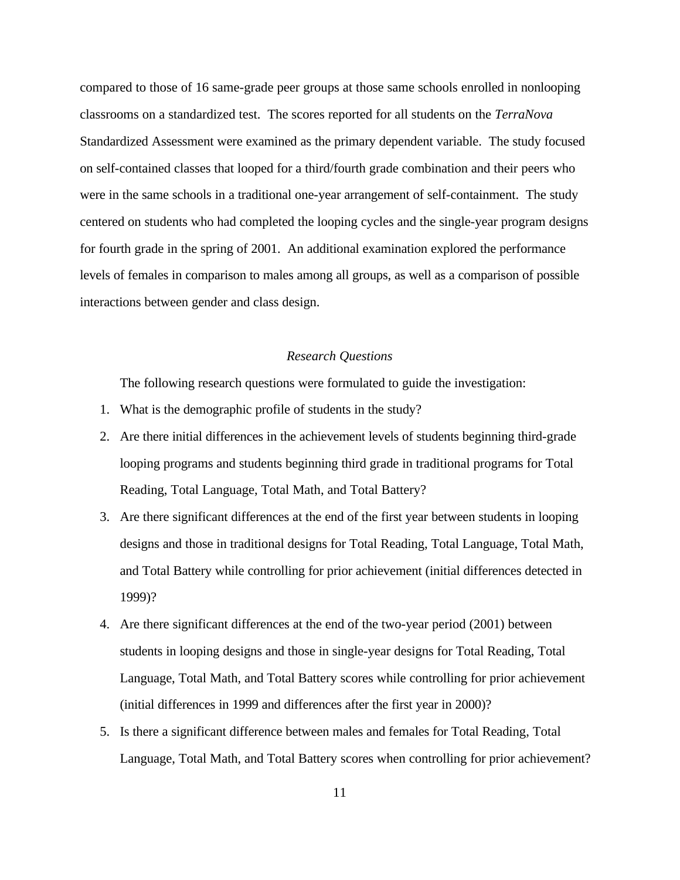compared to those of 16 same-grade peer groups at those same schools enrolled in nonlooping classrooms on a standardized test. The scores reported for all students on the *TerraNova* Standardized Assessment were examined as the primary dependent variable. The study focused on self-contained classes that looped for a third/fourth grade combination and their peers who were in the same schools in a traditional one-year arrangement of self-containment. The study centered on students who had completed the looping cycles and the single-year program designs for fourth grade in the spring of 2001. An additional examination explored the performance levels of females in comparison to males among all groups, as well as a comparison of possible interactions between gender and class design.

### *Research Questions*

The following research questions were formulated to guide the investigation:

- 1. What is the demographic profile of students in the study?
- 2. Are there initial differences in the achievement levels of students beginning third-grade looping programs and students beginning third grade in traditional programs for Total Reading, Total Language, Total Math, and Total Battery?
- 3. Are there significant differences at the end of the first year between students in looping designs and those in traditional designs for Total Reading, Total Language, Total Math, and Total Battery while controlling for prior achievement (initial differences detected in 1999)?
- 4. Are there significant differences at the end of the two-year period (2001) between students in looping designs and those in single-year designs for Total Reading, Total Language, Total Math, and Total Battery scores while controlling for prior achievement (initial differences in 1999 and differences after the first year in 2000)?
- 5. Is there a significant difference between males and females for Total Reading, Total Language, Total Math, and Total Battery scores when controlling for prior achievement?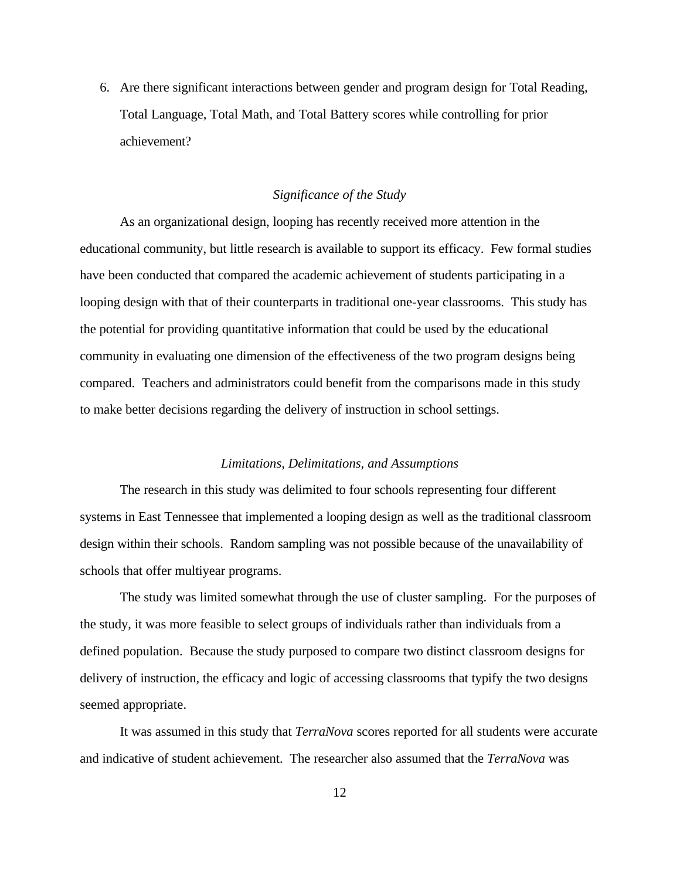6. Are there significant interactions between gender and program design for Total Reading, Total Language, Total Math, and Total Battery scores while controlling for prior achievement?

### *Significance of the Study*

As an organizational design, looping has recently received more attention in the educational community, but little research is available to support its efficacy. Few formal studies have been conducted that compared the academic achievement of students participating in a looping design with that of their counterparts in traditional one-year classrooms. This study has the potential for providing quantitative information that could be used by the educational community in evaluating one dimension of the effectiveness of the two program designs being compared. Teachers and administrators could benefit from the comparisons made in this study to make better decisions regarding the delivery of instruction in school settings.

### *Limitations, Delimitations, and Assumptions*

The research in this study was delimited to four schools representing four different systems in East Tennessee that implemented a looping design as well as the traditional classroom design within their schools. Random sampling was not possible because of the unavailability of schools that offer multiyear programs.

The study was limited somewhat through the use of cluster sampling. For the purposes of the study, it was more feasible to select groups of individuals rather than individuals from a defined population. Because the study purposed to compare two distinct classroom designs for delivery of instruction, the efficacy and logic of accessing classrooms that typify the two designs seemed appropriate.

It was assumed in this study that *TerraNova* scores reported for all students were accurate and indicative of student achievement. The researcher also assumed that the *TerraNova* was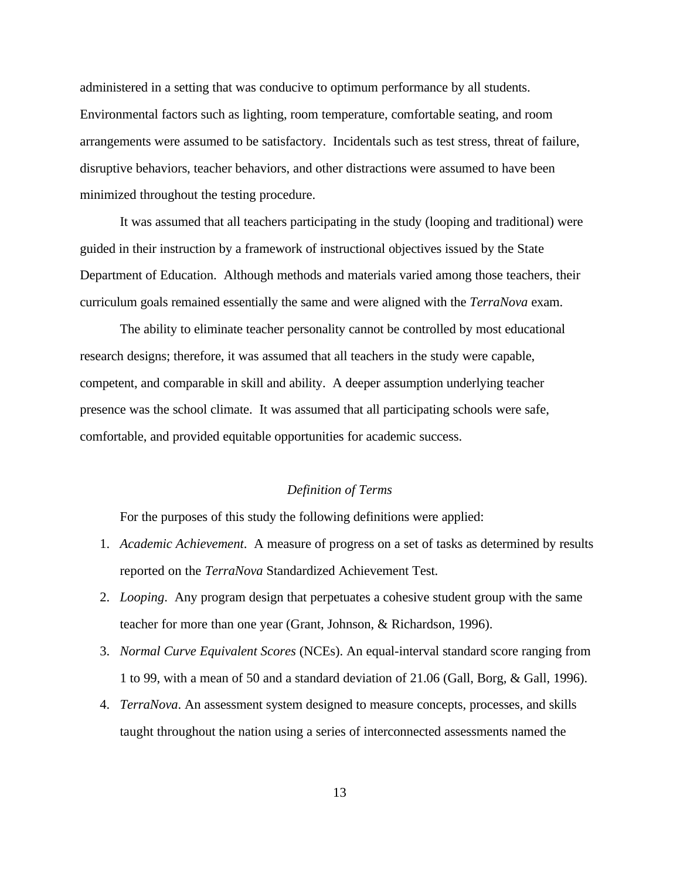administered in a setting that was conducive to optimum performance by all students. Environmental factors such as lighting, room temperature, comfortable seating, and room arrangements were assumed to be satisfactory. Incidentals such as test stress, threat of failure, disruptive behaviors, teacher behaviors, and other distractions were assumed to have been minimized throughout the testing procedure.

It was assumed that all teachers participating in the study (looping and traditional) were guided in their instruction by a framework of instructional objectives issued by the State Department of Education. Although methods and materials varied among those teachers, their curriculum goals remained essentially the same and were aligned with the *TerraNova* exam.

The ability to eliminate teacher personality cannot be controlled by most educational research designs; therefore, it was assumed that all teachers in the study were capable, competent, and comparable in skill and ability. A deeper assumption underlying teacher presence was the school climate. It was assumed that all participating schools were safe, comfortable, and provided equitable opportunities for academic success.

### *Definition of Terms*

For the purposes of this study the following definitions were applied:

- 1. *Academic Achievement*. A measure of progress on a set of tasks as determined by results reported on the *TerraNova* Standardized Achievement Test.
- 2. *Looping*. Any program design that perpetuates a cohesive student group with the same teacher for more than one year (Grant, Johnson, & Richardson, 1996).
- 3. *Normal Curve Equivalent Scores* (NCEs). An equal-interval standard score ranging from 1 to 99, with a mean of 50 and a standard deviation of 21.06 (Gall, Borg, & Gall, 1996).
- 4. *TerraNova*. An assessment system designed to measure concepts, processes, and skills taught throughout the nation using a series of interconnected assessments named the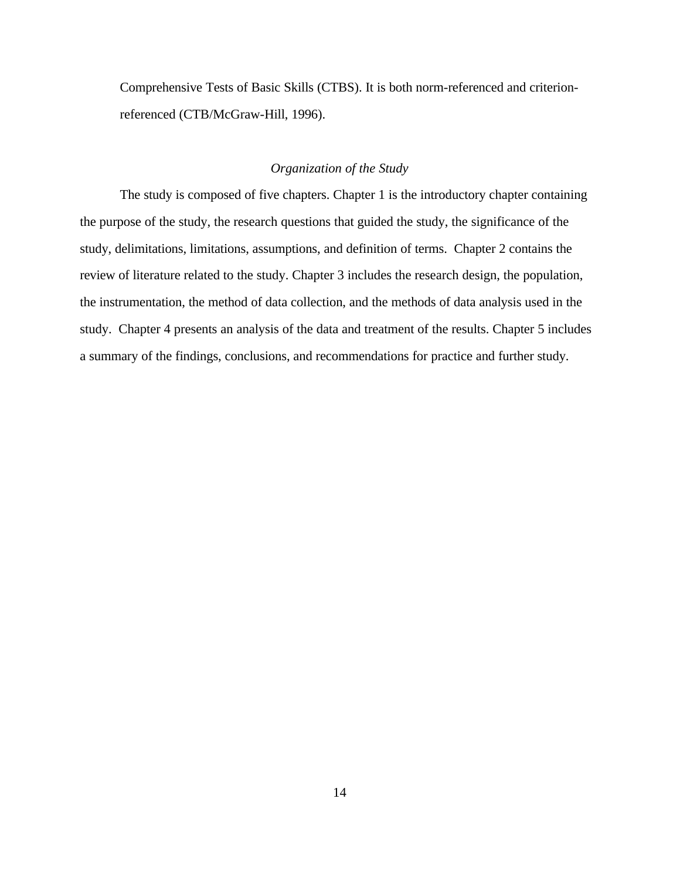Comprehensive Tests of Basic Skills (CTBS). It is both norm-referenced and criterionreferenced (CTB/McGraw-Hill, 1996).

### *Organization of the Study*

The study is composed of five chapters. Chapter 1 is the introductory chapter containing the purpose of the study, the research questions that guided the study, the significance of the study, delimitations, limitations, assumptions, and definition of terms. Chapter 2 contains the review of literature related to the study. Chapter 3 includes the research design, the population, the instrumentation, the method of data collection, and the methods of data analysis used in the study. Chapter 4 presents an analysis of the data and treatment of the results. Chapter 5 includes a summary of the findings, conclusions, and recommendations for practice and further study.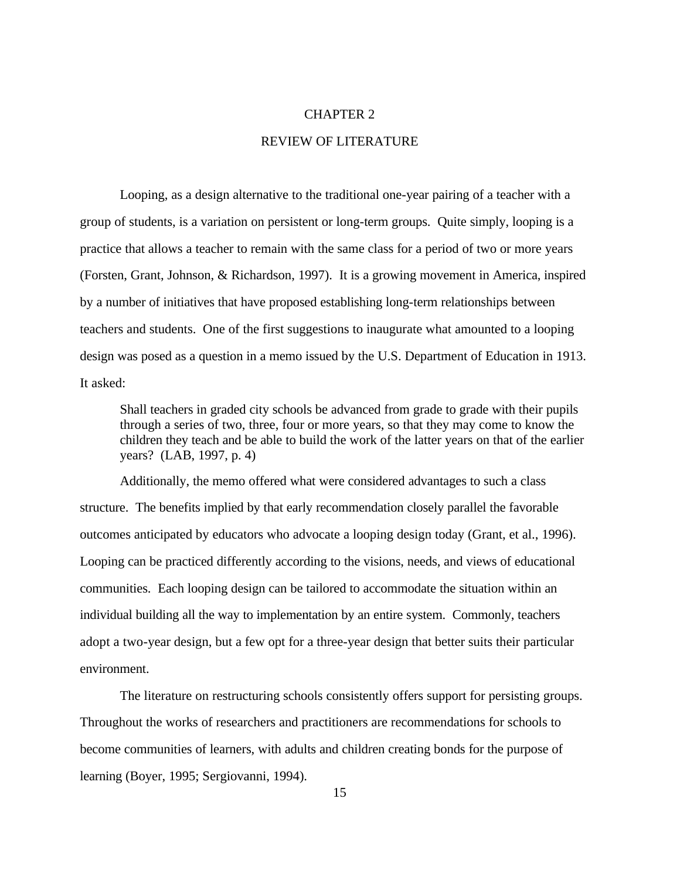#### CHAPTER 2

### REVIEW OF LITERATURE

Looping, as a design alternative to the traditional one-year pairing of a teacher with a group of students, is a variation on persistent or long-term groups. Quite simply, looping is a practice that allows a teacher to remain with the same class for a period of two or more years (Forsten, Grant, Johnson, & Richardson, 1997). It is a growing movement in America, inspired by a number of initiatives that have proposed establishing long-term relationships between teachers and students. One of the first suggestions to inaugurate what amounted to a looping design was posed as a question in a memo issued by the U.S. Department of Education in 1913. It asked:

Shall teachers in graded city schools be advanced from grade to grade with their pupils through a series of two, three, four or more years, so that they may come to know the children they teach and be able to build the work of the latter years on that of the earlier years? (LAB, 1997, p. 4)

Additionally, the memo offered what were considered advantages to such a class structure. The benefits implied by that early recommendation closely parallel the favorable outcomes anticipated by educators who advocate a looping design today (Grant, et al., 1996). Looping can be practiced differently according to the visions, needs, and views of educational communities. Each looping design can be tailored to accommodate the situation within an individual building all the way to implementation by an entire system. Commonly, teachers adopt a two-year design, but a few opt for a three-year design that better suits their particular environment.

The literature on restructuring schools consistently offers support for persisting groups. Throughout the works of researchers and practitioners are recommendations for schools to become communities of learners, with adults and children creating bonds for the purpose of learning (Boyer, 1995; Sergiovanni, 1994).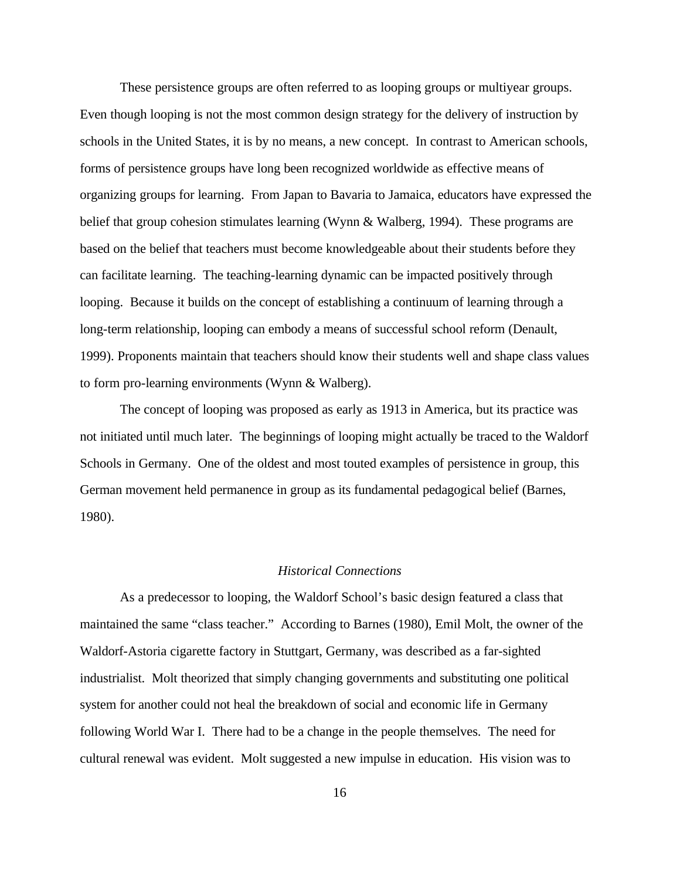These persistence groups are often referred to as looping groups or multiyear groups. Even though looping is not the most common design strategy for the delivery of instruction by schools in the United States, it is by no means, a new concept. In contrast to American schools, forms of persistence groups have long been recognized worldwide as effective means of organizing groups for learning. From Japan to Bavaria to Jamaica, educators have expressed the belief that group cohesion stimulates learning (Wynn & Walberg, 1994). These programs are based on the belief that teachers must become knowledgeable about their students before they can facilitate learning. The teaching-learning dynamic can be impacted positively through looping. Because it builds on the concept of establishing a continuum of learning through a long-term relationship, looping can embody a means of successful school reform (Denault, 1999). Proponents maintain that teachers should know their students well and shape class values to form pro-learning environments (Wynn & Walberg).

The concept of looping was proposed as early as 1913 in America, but its practice was not initiated until much later. The beginnings of looping might actually be traced to the Waldorf Schools in Germany. One of the oldest and most touted examples of persistence in group, this German movement held permanence in group as its fundamental pedagogical belief (Barnes, 1980).

### *Historical Connections*

As a predecessor to looping, the Waldorf School's basic design featured a class that maintained the same "class teacher." According to Barnes (1980), Emil Molt, the owner of the Waldorf-Astoria cigarette factory in Stuttgart, Germany, was described as a far-sighted industrialist. Molt theorized that simply changing governments and substituting one political system for another could not heal the breakdown of social and economic life in Germany following World War I. There had to be a change in the people themselves. The need for cultural renewal was evident. Molt suggested a new impulse in education. His vision was to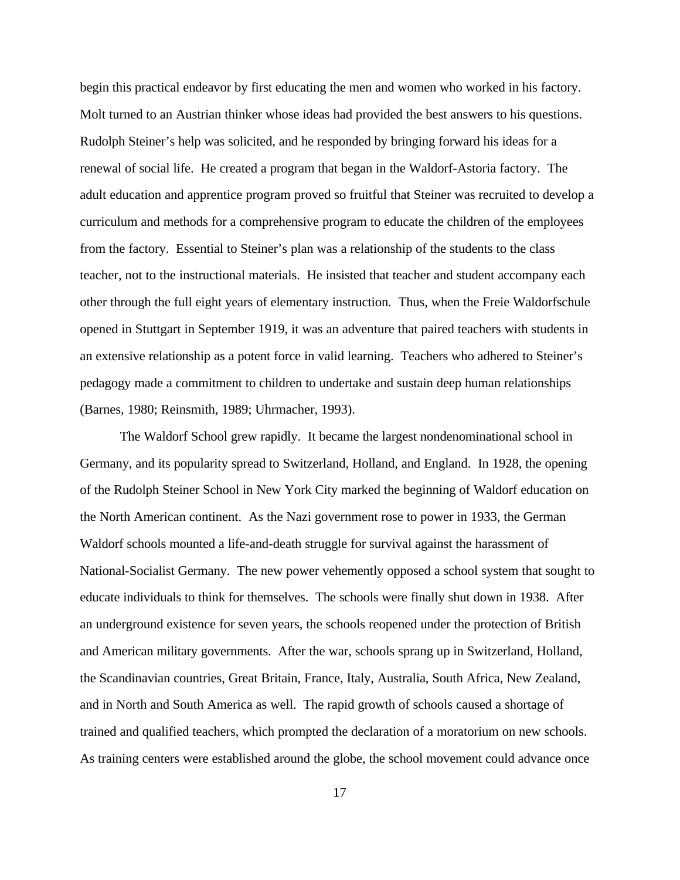begin this practical endeavor by first educating the men and women who worked in his factory. Molt turned to an Austrian thinker whose ideas had provided the best answers to his questions. Rudolph Steiner's help was solicited, and he responded by bringing forward his ideas for a renewal of social life. He created a program that began in the Waldorf-Astoria factory. The adult education and apprentice program proved so fruitful that Steiner was recruited to develop a curriculum and methods for a comprehensive program to educate the children of the employees from the factory. Essential to Steiner's plan was a relationship of the students to the class teacher, not to the instructional materials. He insisted that teacher and student accompany each other through the full eight years of elementary instruction. Thus, when the Freie Waldorfschule opened in Stuttgart in September 1919, it was an adventure that paired teachers with students in an extensive relationship as a potent force in valid learning. Teachers who adhered to Steiner's pedagogy made a commitment to children to undertake and sustain deep human relationships (Barnes, 1980; Reinsmith, 1989; Uhrmacher, 1993).

The Waldorf School grew rapidly. It became the largest nondenominational school in Germany, and its popularity spread to Switzerland, Holland, and England. In 1928, the opening of the Rudolph Steiner School in New York City marked the beginning of Waldorf education on the North American continent. As the Nazi government rose to power in 1933, the German Waldorf schools mounted a life-and-death struggle for survival against the harassment of National-Socialist Germany. The new power vehemently opposed a school system that sought to educate individuals to think for themselves. The schools were finally shut down in 1938. After an underground existence for seven years, the schools reopened under the protection of British and American military governments. After the war, schools sprang up in Switzerland, Holland, the Scandinavian countries, Great Britain, France, Italy, Australia, South Africa, New Zealand, and in North and South America as well. The rapid growth of schools caused a shortage of trained and qualified teachers, which prompted the declaration of a moratorium on new schools. As training centers were established around the globe, the school movement could advance once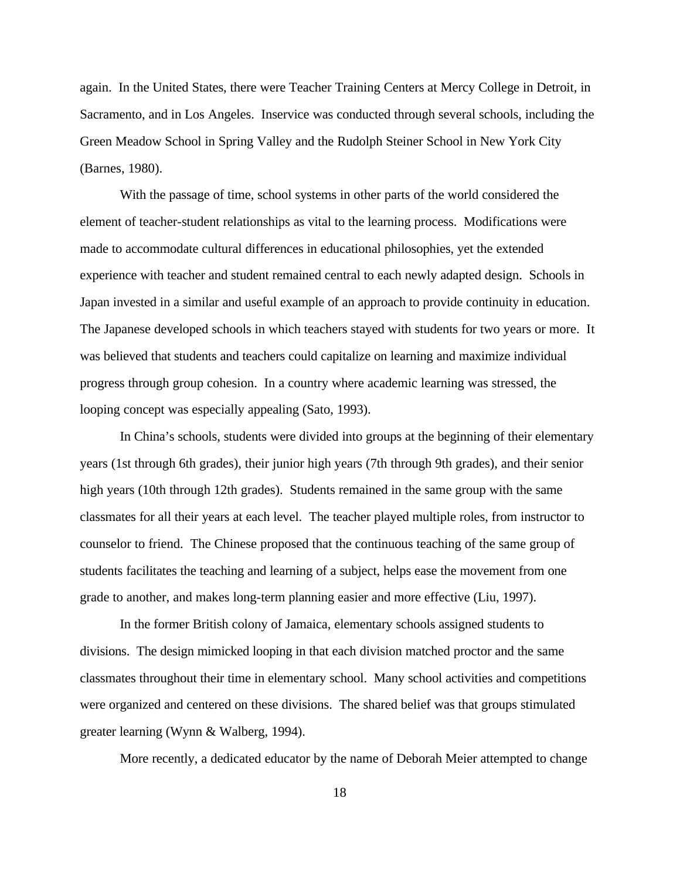again. In the United States, there were Teacher Training Centers at Mercy College in Detroit, in Sacramento, and in Los Angeles. Inservice was conducted through several schools, including the Green Meadow School in Spring Valley and the Rudolph Steiner School in New York City (Barnes, 1980).

With the passage of time, school systems in other parts of the world considered the element of teacher-student relationships as vital to the learning process. Modifications were made to accommodate cultural differences in educational philosophies, yet the extended experience with teacher and student remained central to each newly adapted design. Schools in Japan invested in a similar and useful example of an approach to provide continuity in education. The Japanese developed schools in which teachers stayed with students for two years or more. It was believed that students and teachers could capitalize on learning and maximize individual progress through group cohesion. In a country where academic learning was stressed, the looping concept was especially appealing (Sato, 1993).

In China's schools, students were divided into groups at the beginning of their elementary years (1st through 6th grades), their junior high years (7th through 9th grades), and their senior high years (10th through 12th grades). Students remained in the same group with the same classmates for all their years at each level. The teacher played multiple roles, from instructor to counselor to friend. The Chinese proposed that the continuous teaching of the same group of students facilitates the teaching and learning of a subject, helps ease the movement from one grade to another, and makes long-term planning easier and more effective (Liu, 1997).

In the former British colony of Jamaica, elementary schools assigned students to divisions. The design mimicked looping in that each division matched proctor and the same classmates throughout their time in elementary school. Many school activities and competitions were organized and centered on these divisions. The shared belief was that groups stimulated greater learning (Wynn & Walberg, 1994).

More recently, a dedicated educator by the name of Deborah Meier attempted to change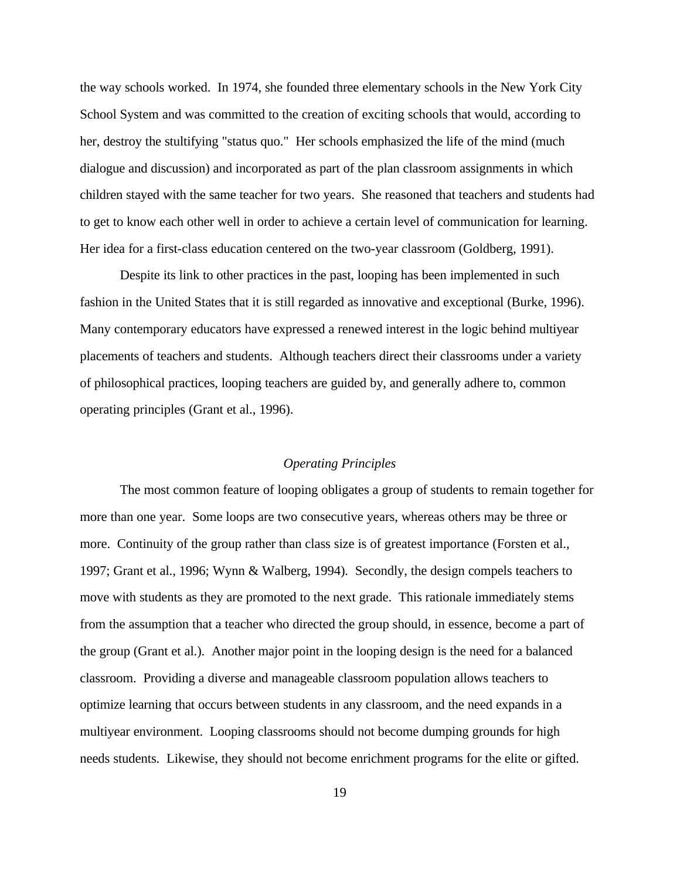the way schools worked. In 1974, she founded three elementary schools in the New York City School System and was committed to the creation of exciting schools that would, according to her, destroy the stultifying "status quo." Her schools emphasized the life of the mind (much dialogue and discussion) and incorporated as part of the plan classroom assignments in which children stayed with the same teacher for two years. She reasoned that teachers and students had to get to know each other well in order to achieve a certain level of communication for learning. Her idea for a first-class education centered on the two-year classroom (Goldberg, 1991).

Despite its link to other practices in the past, looping has been implemented in such fashion in the United States that it is still regarded as innovative and exceptional (Burke, 1996). Many contemporary educators have expressed a renewed interest in the logic behind multiyear placements of teachers and students. Although teachers direct their classrooms under a variety of philosophical practices, looping teachers are guided by, and generally adhere to, common operating principles (Grant et al., 1996).

### *Operating Principles*

The most common feature of looping obligates a group of students to remain together for more than one year. Some loops are two consecutive years, whereas others may be three or more. Continuity of the group rather than class size is of greatest importance (Forsten et al., 1997; Grant et al., 1996; Wynn & Walberg, 1994). Secondly, the design compels teachers to move with students as they are promoted to the next grade. This rationale immediately stems from the assumption that a teacher who directed the group should, in essence, become a part of the group (Grant et al.). Another major point in the looping design is the need for a balanced classroom. Providing a diverse and manageable classroom population allows teachers to optimize learning that occurs between students in any classroom, and the need expands in a multiyear environment. Looping classrooms should not become dumping grounds for high needs students. Likewise, they should not become enrichment programs for the elite or gifted.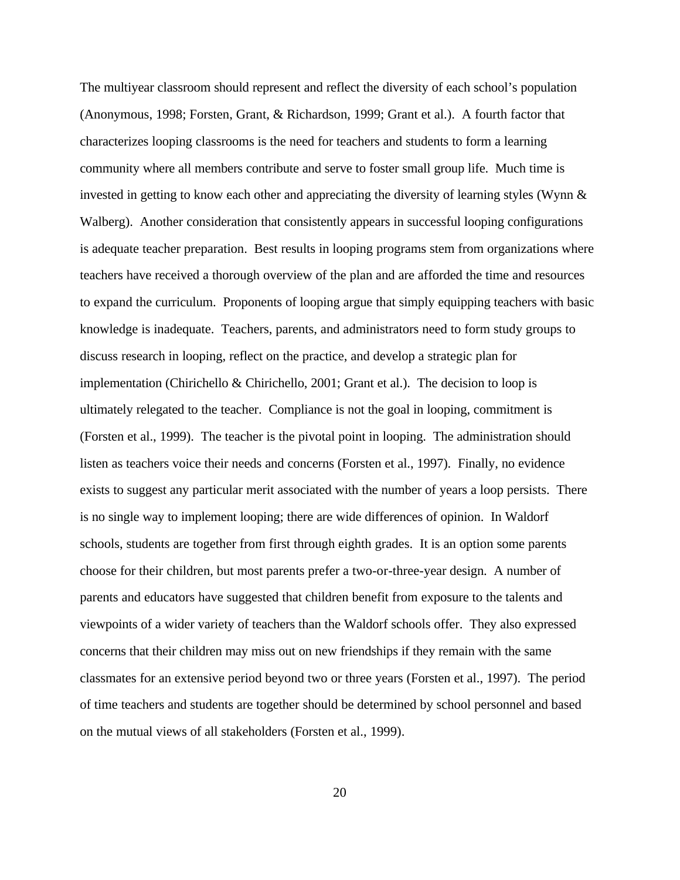The multiyear classroom should represent and reflect the diversity of each school's population (Anonymous, 1998; Forsten, Grant, & Richardson, 1999; Grant et al.). A fourth factor that characterizes looping classrooms is the need for teachers and students to form a learning community where all members contribute and serve to foster small group life. Much time is invested in getting to know each other and appreciating the diversity of learning styles (Wynn & Walberg). Another consideration that consistently appears in successful looping configurations is adequate teacher preparation. Best results in looping programs stem from organizations where teachers have received a thorough overview of the plan and are afforded the time and resources to expand the curriculum. Proponents of looping argue that simply equipping teachers with basic knowledge is inadequate. Teachers, parents, and administrators need to form study groups to discuss research in looping, reflect on the practice, and develop a strategic plan for implementation (Chirichello & Chirichello, 2001; Grant et al.). The decision to loop is ultimately relegated to the teacher. Compliance is not the goal in looping, commitment is (Forsten et al., 1999). The teacher is the pivotal point in looping. The administration should listen as teachers voice their needs and concerns (Forsten et al., 1997). Finally, no evidence exists to suggest any particular merit associated with the number of years a loop persists. There is no single way to implement looping; there are wide differences of opinion. In Waldorf schools, students are together from first through eighth grades. It is an option some parents choose for their children, but most parents prefer a two-or-three-year design. A number of parents and educators have suggested that children benefit from exposure to the talents and viewpoints of a wider variety of teachers than the Waldorf schools offer. They also expressed concerns that their children may miss out on new friendships if they remain with the same classmates for an extensive period beyond two or three years (Forsten et al., 1997). The period of time teachers and students are together should be determined by school personnel and based on the mutual views of all stakeholders (Forsten et al., 1999).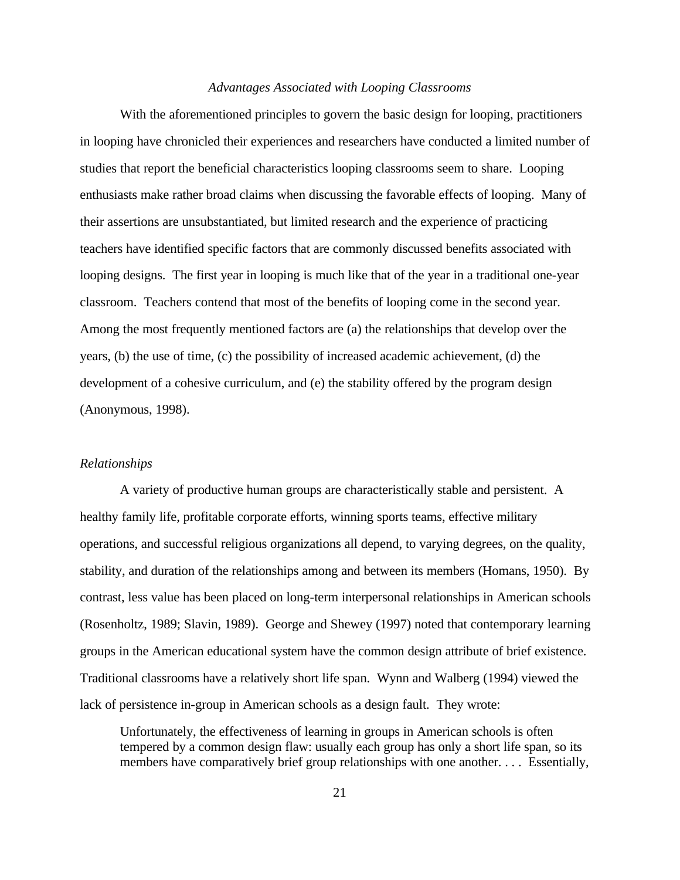### *Advantages Associated with Looping Classrooms*

With the aforementioned principles to govern the basic design for looping, practitioners in looping have chronicled their experiences and researchers have conducted a limited number of studies that report the beneficial characteristics looping classrooms seem to share. Looping enthusiasts make rather broad claims when discussing the favorable effects of looping. Many of their assertions are unsubstantiated, but limited research and the experience of practicing teachers have identified specific factors that are commonly discussed benefits associated with looping designs. The first year in looping is much like that of the year in a traditional one-year classroom. Teachers contend that most of the benefits of looping come in the second year. Among the most frequently mentioned factors are (a) the relationships that develop over the years, (b) the use of time, (c) the possibility of increased academic achievement, (d) the development of a cohesive curriculum, and (e) the stability offered by the program design (Anonymous, 1998).

### *Relationships*

A variety of productive human groups are characteristically stable and persistent. A healthy family life, profitable corporate efforts, winning sports teams, effective military operations, and successful religious organizations all depend, to varying degrees, on the quality, stability, and duration of the relationships among and between its members (Homans, 1950). By contrast, less value has been placed on long-term interpersonal relationships in American schools (Rosenholtz, 1989; Slavin, 1989). George and Shewey (1997) noted that contemporary learning groups in the American educational system have the common design attribute of brief existence. Traditional classrooms have a relatively short life span. Wynn and Walberg (1994) viewed the lack of persistence in-group in American schools as a design fault. They wrote:

Unfortunately, the effectiveness of learning in groups in American schools is often tempered by a common design flaw: usually each group has only a short life span, so its members have comparatively brief group relationships with one another. . . . Essentially,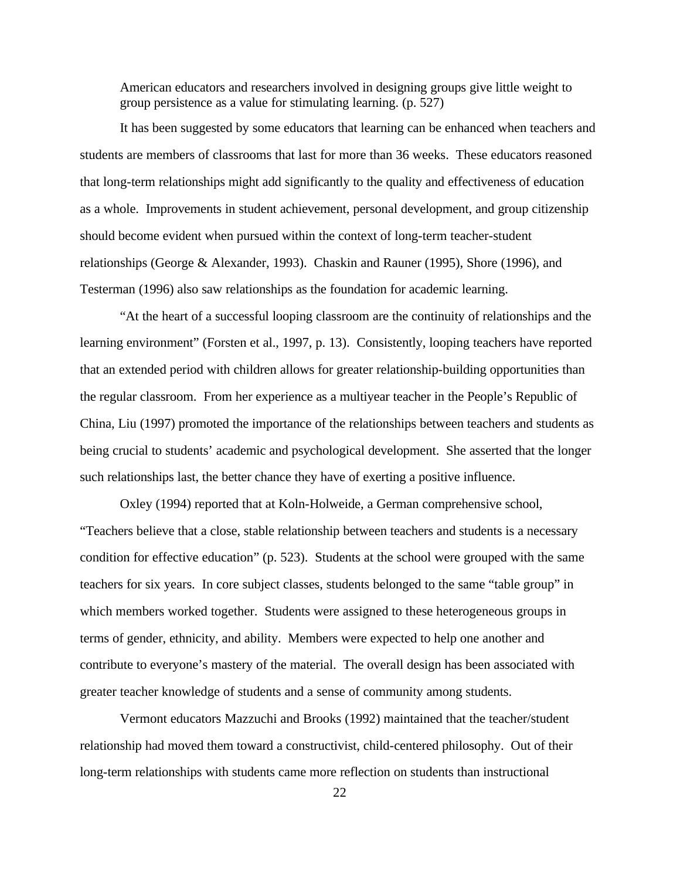American educators and researchers involved in designing groups give little weight to group persistence as a value for stimulating learning. (p. 527)

It has been suggested by some educators that learning can be enhanced when teachers and students are members of classrooms that last for more than 36 weeks. These educators reasoned that long-term relationships might add significantly to the quality and effectiveness of education as a whole. Improvements in student achievement, personal development, and group citizenship should become evident when pursued within the context of long-term teacher-student relationships (George & Alexander, 1993). Chaskin and Rauner (1995), Shore (1996), and Testerman (1996) also saw relationships as the foundation for academic learning.

"At the heart of a successful looping classroom are the continuity of relationships and the learning environment" (Forsten et al., 1997, p. 13). Consistently, looping teachers have reported that an extended period with children allows for greater relationship-building opportunities than the regular classroom. From her experience as a multiyear teacher in the People's Republic of China, Liu (1997) promoted the importance of the relationships between teachers and students as being crucial to students' academic and psychological development. She asserted that the longer such relationships last, the better chance they have of exerting a positive influence.

Oxley (1994) reported that at Koln-Holweide, a German comprehensive school, "Teachers believe that a close, stable relationship between teachers and students is a necessary condition for effective education" (p. 523). Students at the school were grouped with the same teachers for six years. In core subject classes, students belonged to the same "table group" in which members worked together. Students were assigned to these heterogeneous groups in terms of gender, ethnicity, and ability. Members were expected to help one another and contribute to everyone's mastery of the material. The overall design has been associated with greater teacher knowledge of students and a sense of community among students.

Vermont educators Mazzuchi and Brooks (1992) maintained that the teacher/student relationship had moved them toward a constructivist, child-centered philosophy. Out of their long-term relationships with students came more reflection on students than instructional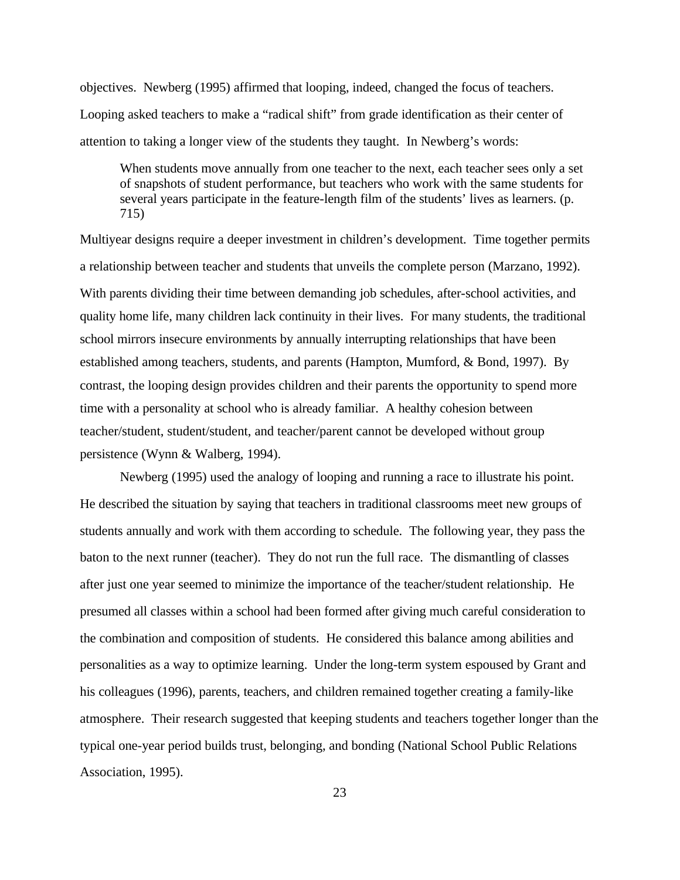objectives. Newberg (1995) affirmed that looping, indeed, changed the focus of teachers. Looping asked teachers to make a "radical shift" from grade identification as their center of attention to taking a longer view of the students they taught. In Newberg's words:

When students move annually from one teacher to the next, each teacher sees only a set of snapshots of student performance, but teachers who work with the same students for several years participate in the feature-length film of the students' lives as learners. (p. 715)

Multiyear designs require a deeper investment in children's development. Time together permits a relationship between teacher and students that unveils the complete person (Marzano, 1992). With parents dividing their time between demanding job schedules, after-school activities, and quality home life, many children lack continuity in their lives. For many students, the traditional school mirrors insecure environments by annually interrupting relationships that have been established among teachers, students, and parents (Hampton, Mumford, & Bond, 1997). By contrast, the looping design provides children and their parents the opportunity to spend more time with a personality at school who is already familiar. A healthy cohesion between teacher/student, student/student, and teacher/parent cannot be developed without group persistence (Wynn & Walberg, 1994).

Newberg (1995) used the analogy of looping and running a race to illustrate his point. He described the situation by saying that teachers in traditional classrooms meet new groups of students annually and work with them according to schedule. The following year, they pass the baton to the next runner (teacher). They do not run the full race. The dismantling of classes after just one year seemed to minimize the importance of the teacher/student relationship. He presumed all classes within a school had been formed after giving much careful consideration to the combination and composition of students. He considered this balance among abilities and personalities as a way to optimize learning. Under the long-term system espoused by Grant and his colleagues (1996), parents, teachers, and children remained together creating a family-like atmosphere. Their research suggested that keeping students and teachers together longer than the typical one-year period builds trust, belonging, and bonding (National School Public Relations Association, 1995).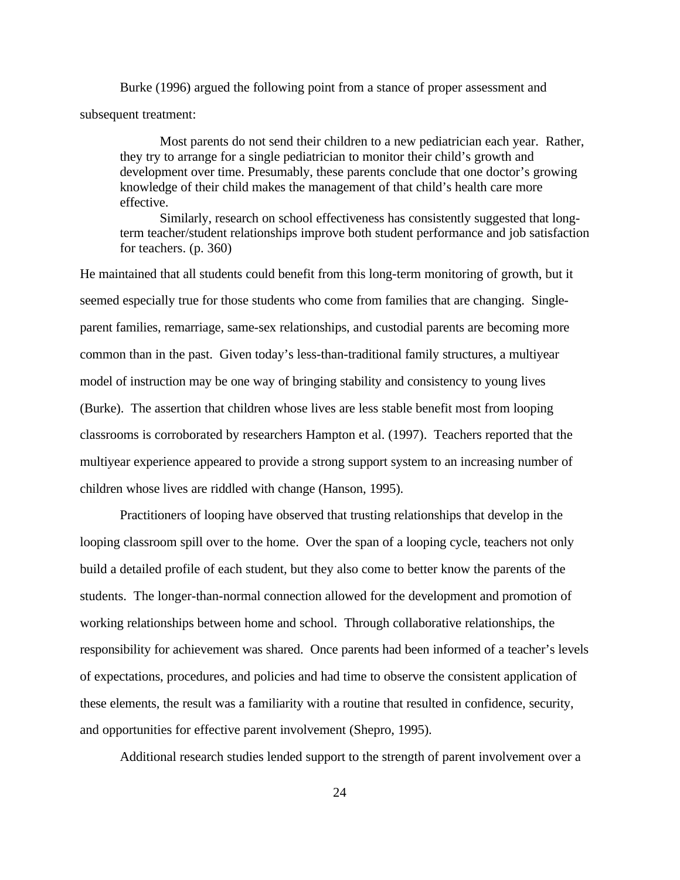Burke (1996) argued the following point from a stance of proper assessment and subsequent treatment:

Most parents do not send their children to a new pediatrician each year. Rather, they try to arrange for a single pediatrician to monitor their child's growth and development over time. Presumably, these parents conclude that one doctor's growing knowledge of their child makes the management of that child's health care more effective.

Similarly, research on school effectiveness has consistently suggested that longterm teacher/student relationships improve both student performance and job satisfaction for teachers. (p. 360)

He maintained that all students could benefit from this long-term monitoring of growth, but it seemed especially true for those students who come from families that are changing. Singleparent families, remarriage, same-sex relationships, and custodial parents are becoming more common than in the past. Given today's less-than-traditional family structures, a multiyear model of instruction may be one way of bringing stability and consistency to young lives (Burke). The assertion that children whose lives are less stable benefit most from looping classrooms is corroborated by researchers Hampton et al. (1997). Teachers reported that the multiyear experience appeared to provide a strong support system to an increasing number of children whose lives are riddled with change (Hanson, 1995).

Practitioners of looping have observed that trusting relationships that develop in the looping classroom spill over to the home. Over the span of a looping cycle, teachers not only build a detailed profile of each student, but they also come to better know the parents of the students. The longer-than-normal connection allowed for the development and promotion of working relationships between home and school. Through collaborative relationships, the responsibility for achievement was shared. Once parents had been informed of a teacher's levels of expectations, procedures, and policies and had time to observe the consistent application of these elements, the result was a familiarity with a routine that resulted in confidence, security, and opportunities for effective parent involvement (Shepro, 1995).

Additional research studies lended support to the strength of parent involvement over a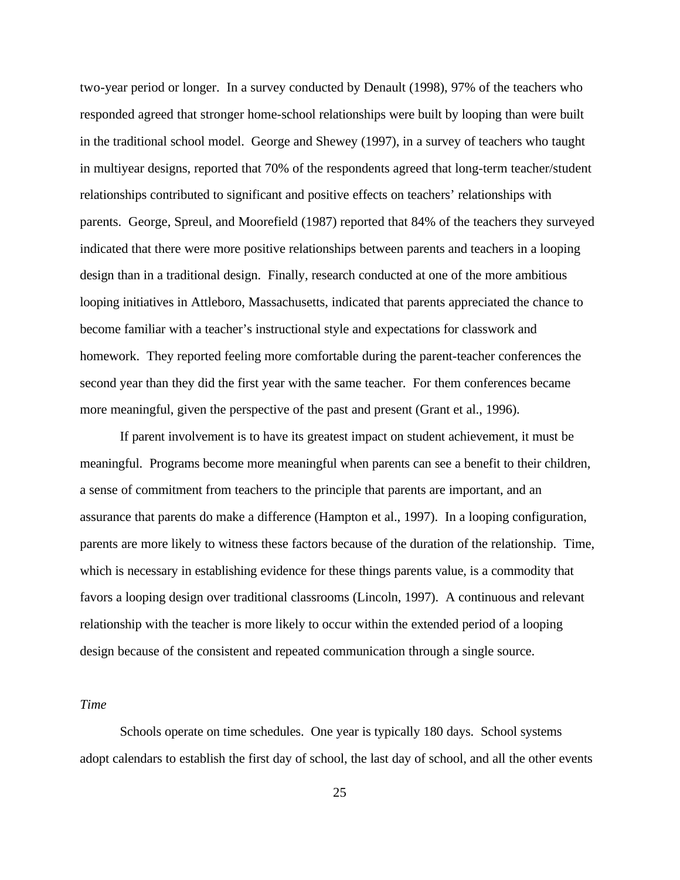two-year period or longer. In a survey conducted by Denault (1998), 97% of the teachers who responded agreed that stronger home-school relationships were built by looping than were built in the traditional school model. George and Shewey (1997), in a survey of teachers who taught in multiyear designs, reported that 70% of the respondents agreed that long-term teacher/student relationships contributed to significant and positive effects on teachers' relationships with parents. George, Spreul, and Moorefield (1987) reported that 84% of the teachers they surveyed indicated that there were more positive relationships between parents and teachers in a looping design than in a traditional design. Finally, research conducted at one of the more ambitious looping initiatives in Attleboro, Massachusetts, indicated that parents appreciated the chance to become familiar with a teacher's instructional style and expectations for classwork and homework. They reported feeling more comfortable during the parent-teacher conferences the second year than they did the first year with the same teacher. For them conferences became more meaningful, given the perspective of the past and present (Grant et al., 1996).

If parent involvement is to have its greatest impact on student achievement, it must be meaningful. Programs become more meaningful when parents can see a benefit to their children, a sense of commitment from teachers to the principle that parents are important, and an assurance that parents do make a difference (Hampton et al., 1997). In a looping configuration, parents are more likely to witness these factors because of the duration of the relationship. Time, which is necessary in establishing evidence for these things parents value, is a commodity that favors a looping design over traditional classrooms (Lincoln, 1997). A continuous and relevant relationship with the teacher is more likely to occur within the extended period of a looping design because of the consistent and repeated communication through a single source.

### *Time*

Schools operate on time schedules. One year is typically 180 days. School systems adopt calendars to establish the first day of school, the last day of school, and all the other events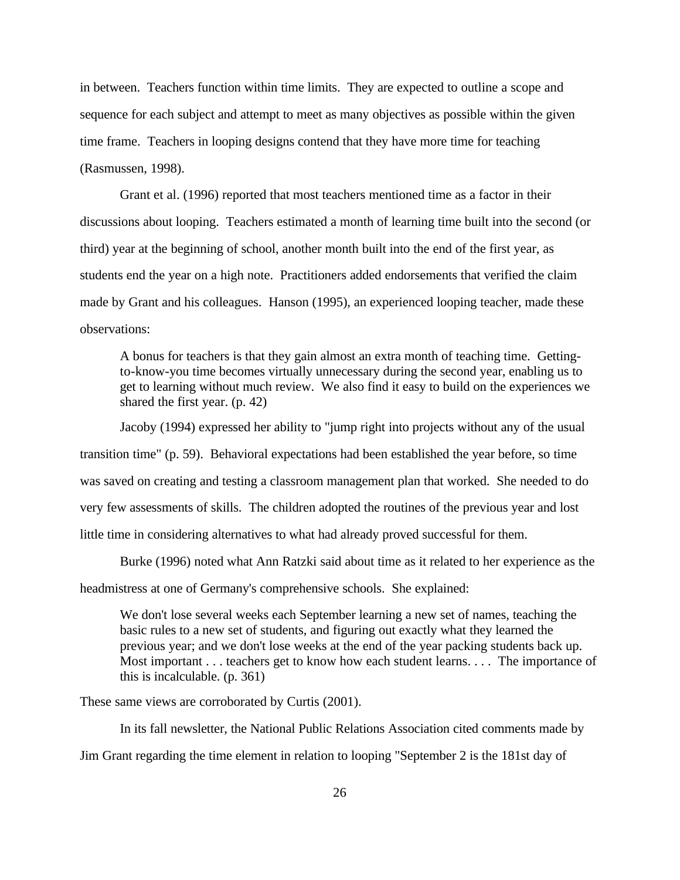in between. Teachers function within time limits. They are expected to outline a scope and sequence for each subject and attempt to meet as many objectives as possible within the given time frame. Teachers in looping designs contend that they have more time for teaching (Rasmussen, 1998).

Grant et al. (1996) reported that most teachers mentioned time as a factor in their discussions about looping. Teachers estimated a month of learning time built into the second (or third) year at the beginning of school, another month built into the end of the first year, as students end the year on a high note. Practitioners added endorsements that verified the claim made by Grant and his colleagues. Hanson (1995), an experienced looping teacher, made these observations:

A bonus for teachers is that they gain almost an extra month of teaching time. Gettingto-know-you time becomes virtually unnecessary during the second year, enabling us to get to learning without much review. We also find it easy to build on the experiences we shared the first year. (p. 42)

Jacoby (1994) expressed her ability to "jump right into projects without any of the usual transition time" (p. 59). Behavioral expectations had been established the year before, so time was saved on creating and testing a classroom management plan that worked. She needed to do very few assessments of skills. The children adopted the routines of the previous year and lost little time in considering alternatives to what had already proved successful for them.

Burke (1996) noted what Ann Ratzki said about time as it related to her experience as the headmistress at one of Germany's comprehensive schools. She explained:

We don't lose several weeks each September learning a new set of names, teaching the basic rules to a new set of students, and figuring out exactly what they learned the previous year; and we don't lose weeks at the end of the year packing students back up. Most important . . . teachers get to know how each student learns. . . . The importance of this is incalculable. (p. 361)

These same views are corroborated by Curtis (2001).

In its fall newsletter, the National Public Relations Association cited comments made by Jim Grant regarding the time element in relation to looping "September 2 is the 181st day of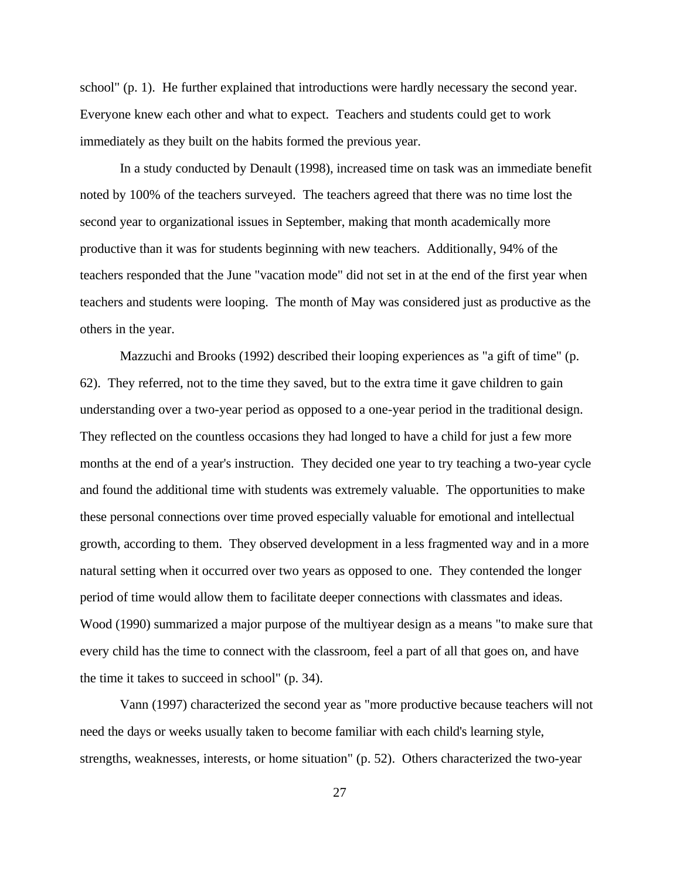school" (p. 1). He further explained that introductions were hardly necessary the second year. Everyone knew each other and what to expect. Teachers and students could get to work immediately as they built on the habits formed the previous year.

In a study conducted by Denault (1998), increased time on task was an immediate benefit noted by 100% of the teachers surveyed. The teachers agreed that there was no time lost the second year to organizational issues in September, making that month academically more productive than it was for students beginning with new teachers. Additionally, 94% of the teachers responded that the June "vacation mode" did not set in at the end of the first year when teachers and students were looping. The month of May was considered just as productive as the others in the year.

Mazzuchi and Brooks (1992) described their looping experiences as "a gift of time" (p. 62). They referred, not to the time they saved, but to the extra time it gave children to gain understanding over a two-year period as opposed to a one-year period in the traditional design. They reflected on the countless occasions they had longed to have a child for just a few more months at the end of a year's instruction. They decided one year to try teaching a two-year cycle and found the additional time with students was extremely valuable. The opportunities to make these personal connections over time proved especially valuable for emotional and intellectual growth, according to them. They observed development in a less fragmented way and in a more natural setting when it occurred over two years as opposed to one. They contended the longer period of time would allow them to facilitate deeper connections with classmates and ideas. Wood (1990) summarized a major purpose of the multiyear design as a means "to make sure that every child has the time to connect with the classroom, feel a part of all that goes on, and have the time it takes to succeed in school" (p. 34).

Vann (1997) characterized the second year as "more productive because teachers will not need the days or weeks usually taken to become familiar with each child's learning style, strengths, weaknesses, interests, or home situation" (p. 52). Others characterized the two-year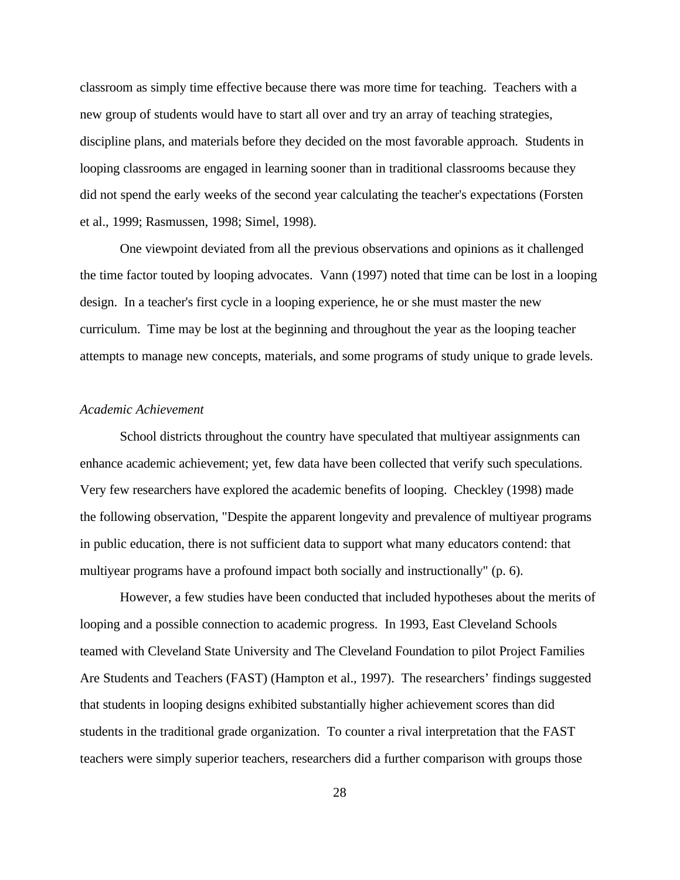classroom as simply time effective because there was more time for teaching. Teachers with a new group of students would have to start all over and try an array of teaching strategies, discipline plans, and materials before they decided on the most favorable approach. Students in looping classrooms are engaged in learning sooner than in traditional classrooms because they did not spend the early weeks of the second year calculating the teacher's expectations (Forsten et al., 1999; Rasmussen, 1998; Simel, 1998).

One viewpoint deviated from all the previous observations and opinions as it challenged the time factor touted by looping advocates. Vann (1997) noted that time can be lost in a looping design. In a teacher's first cycle in a looping experience, he or she must master the new curriculum. Time may be lost at the beginning and throughout the year as the looping teacher attempts to manage new concepts, materials, and some programs of study unique to grade levels.

### *Academic Achievement*

School districts throughout the country have speculated that multiyear assignments can enhance academic achievement; yet, few data have been collected that verify such speculations. Very few researchers have explored the academic benefits of looping. Checkley (1998) made the following observation, "Despite the apparent longevity and prevalence of multiyear programs in public education, there is not sufficient data to support what many educators contend: that multiyear programs have a profound impact both socially and instructionally" (p. 6).

However, a few studies have been conducted that included hypotheses about the merits of looping and a possible connection to academic progress. In 1993, East Cleveland Schools teamed with Cleveland State University and The Cleveland Foundation to pilot Project Families Are Students and Teachers (FAST) (Hampton et al., 1997). The researchers' findings suggested that students in looping designs exhibited substantially higher achievement scores than did students in the traditional grade organization. To counter a rival interpretation that the FAST teachers were simply superior teachers, researchers did a further comparison with groups those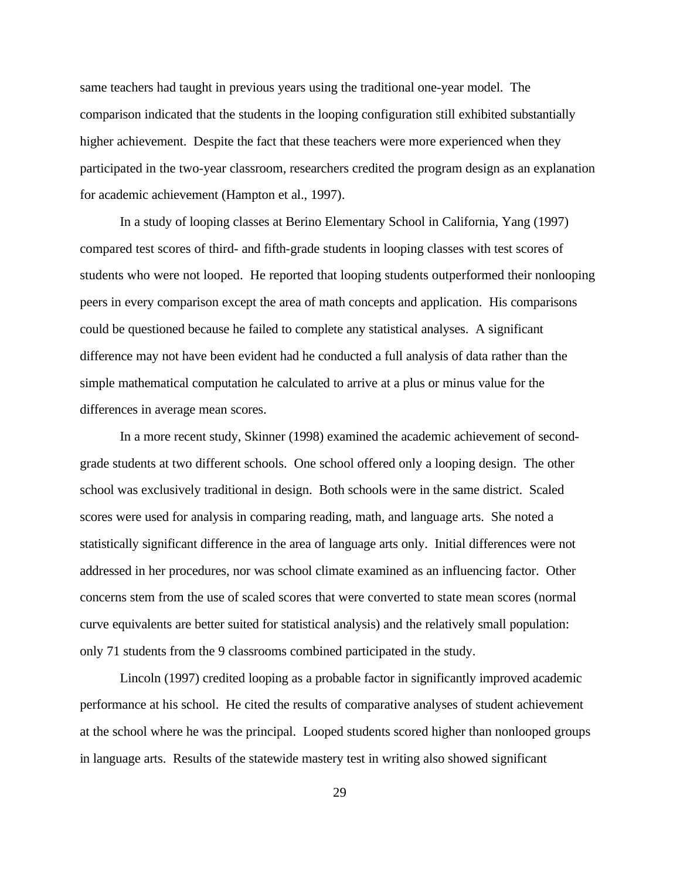same teachers had taught in previous years using the traditional one-year model. The comparison indicated that the students in the looping configuration still exhibited substantially higher achievement. Despite the fact that these teachers were more experienced when they participated in the two-year classroom, researchers credited the program design as an explanation for academic achievement (Hampton et al., 1997).

In a study of looping classes at Berino Elementary School in California, Yang (1997) compared test scores of third- and fifth-grade students in looping classes with test scores of students who were not looped. He reported that looping students outperformed their nonlooping peers in every comparison except the area of math concepts and application. His comparisons could be questioned because he failed to complete any statistical analyses. A significant difference may not have been evident had he conducted a full analysis of data rather than the simple mathematical computation he calculated to arrive at a plus or minus value for the differences in average mean scores.

In a more recent study, Skinner (1998) examined the academic achievement of secondgrade students at two different schools. One school offered only a looping design. The other school was exclusively traditional in design. Both schools were in the same district. Scaled scores were used for analysis in comparing reading, math, and language arts. She noted a statistically significant difference in the area of language arts only. Initial differences were not addressed in her procedures, nor was school climate examined as an influencing factor. Other concerns stem from the use of scaled scores that were converted to state mean scores (normal curve equivalents are better suited for statistical analysis) and the relatively small population: only 71 students from the 9 classrooms combined participated in the study.

Lincoln (1997) credited looping as a probable factor in significantly improved academic performance at his school. He cited the results of comparative analyses of student achievement at the school where he was the principal. Looped students scored higher than nonlooped groups in language arts. Results of the statewide mastery test in writing also showed significant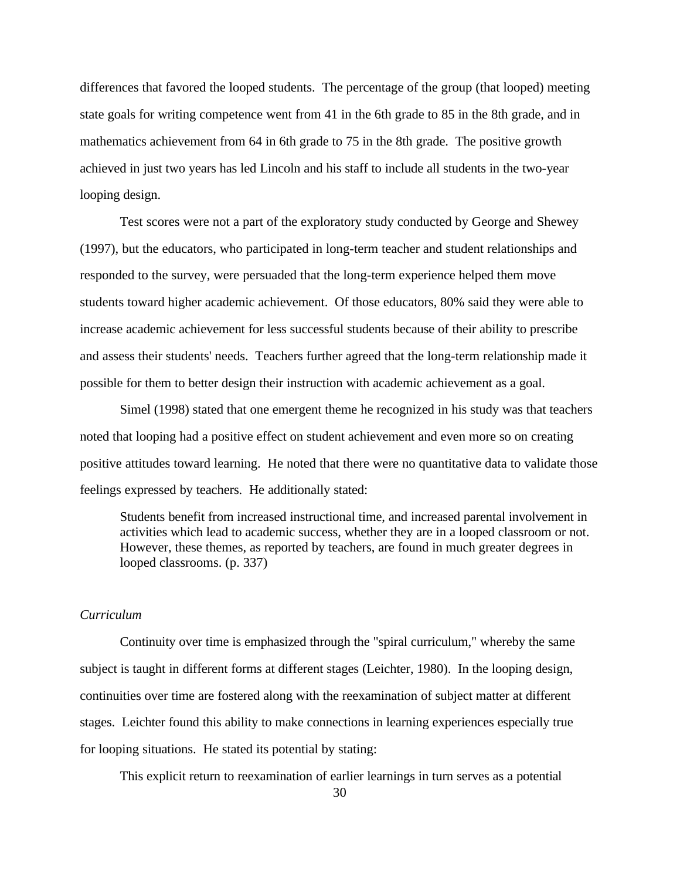differences that favored the looped students. The percentage of the group (that looped) meeting state goals for writing competence went from 41 in the 6th grade to 85 in the 8th grade, and in mathematics achievement from 64 in 6th grade to 75 in the 8th grade. The positive growth achieved in just two years has led Lincoln and his staff to include all students in the two-year looping design.

Test scores were not a part of the exploratory study conducted by George and Shewey (1997), but the educators, who participated in long-term teacher and student relationships and responded to the survey, were persuaded that the long-term experience helped them move students toward higher academic achievement. Of those educators, 80% said they were able to increase academic achievement for less successful students because of their ability to prescribe and assess their students' needs. Teachers further agreed that the long-term relationship made it possible for them to better design their instruction with academic achievement as a goal.

Simel (1998) stated that one emergent theme he recognized in his study was that teachers noted that looping had a positive effect on student achievement and even more so on creating positive attitudes toward learning. He noted that there were no quantitative data to validate those feelings expressed by teachers. He additionally stated:

Students benefit from increased instructional time, and increased parental involvement in activities which lead to academic success, whether they are in a looped classroom or not. However, these themes, as reported by teachers, are found in much greater degrees in looped classrooms. (p. 337)

### *Curriculum*

Continuity over time is emphasized through the "spiral curriculum," whereby the same subject is taught in different forms at different stages (Leichter, 1980). In the looping design, continuities over time are fostered along with the reexamination of subject matter at different stages. Leichter found this ability to make connections in learning experiences especially true for looping situations. He stated its potential by stating:

This explicit return to reexamination of earlier learnings in turn serves as a potential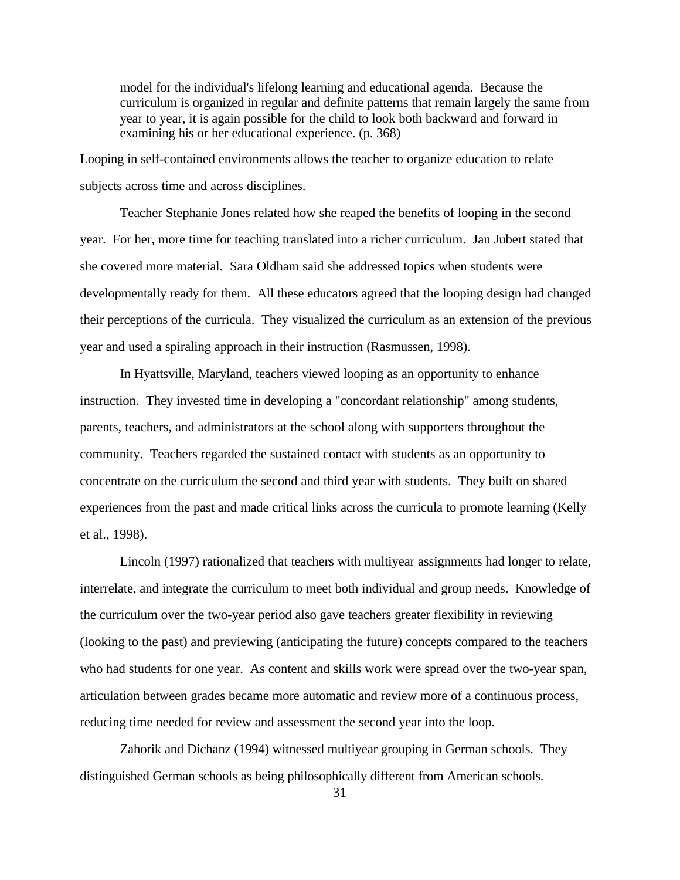model for the individual's lifelong learning and educational agenda. Because the curriculum is organized in regular and definite patterns that remain largely the same from year to year, it is again possible for the child to look both backward and forward in examining his or her educational experience. (p. 368)

Looping in self-contained environments allows the teacher to organize education to relate subjects across time and across disciplines.

Teacher Stephanie Jones related how she reaped the benefits of looping in the second year. For her, more time for teaching translated into a richer curriculum. Jan Jubert stated that she covered more material. Sara Oldham said she addressed topics when students were developmentally ready for them. All these educators agreed that the looping design had changed their perceptions of the curricula. They visualized the curriculum as an extension of the previous year and used a spiraling approach in their instruction (Rasmussen, 1998).

In Hyattsville, Maryland, teachers viewed looping as an opportunity to enhance instruction. They invested time in developing a "concordant relationship" among students, parents, teachers, and administrators at the school along with supporters throughout the community. Teachers regarded the sustained contact with students as an opportunity to concentrate on the curriculum the second and third year with students. They built on shared experiences from the past and made critical links across the curricula to promote learning (Kelly et al., 1998).

Lincoln (1997) rationalized that teachers with multiyear assignments had longer to relate, interrelate, and integrate the curriculum to meet both individual and group needs. Knowledge of the curriculum over the two-year period also gave teachers greater flexibility in reviewing (looking to the past) and previewing (anticipating the future) concepts compared to the teachers who had students for one year. As content and skills work were spread over the two-year span, articulation between grades became more automatic and review more of a continuous process, reducing time needed for review and assessment the second year into the loop.

Zahorik and Dichanz (1994) witnessed multiyear grouping in German schools. They distinguished German schools as being philosophically different from American schools.

<sup>31</sup>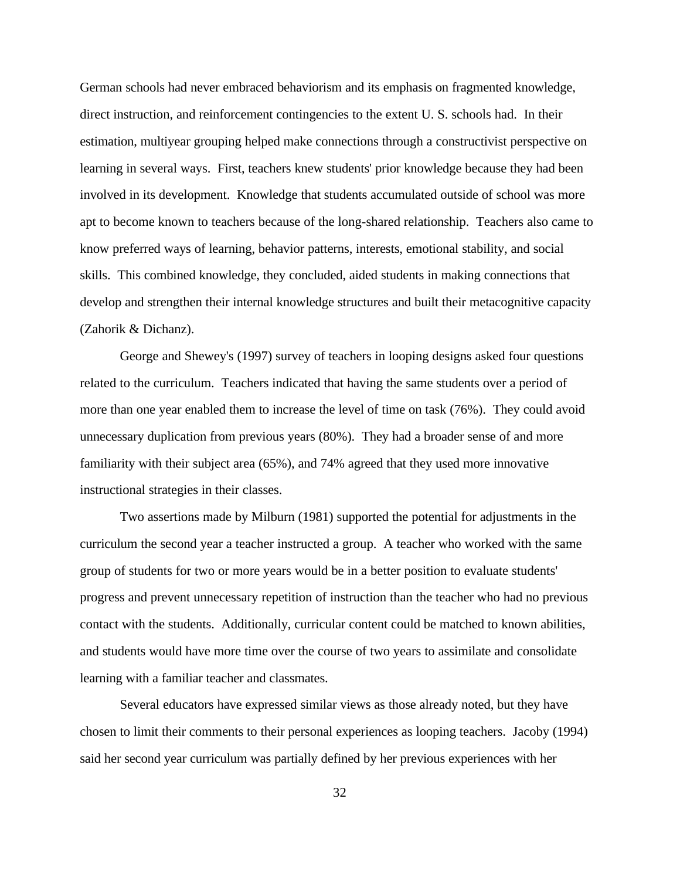German schools had never embraced behaviorism and its emphasis on fragmented knowledge, direct instruction, and reinforcement contingencies to the extent U. S. schools had. In their estimation, multiyear grouping helped make connections through a constructivist perspective on learning in several ways. First, teachers knew students' prior knowledge because they had been involved in its development. Knowledge that students accumulated outside of school was more apt to become known to teachers because of the long-shared relationship. Teachers also came to know preferred ways of learning, behavior patterns, interests, emotional stability, and social skills. This combined knowledge, they concluded, aided students in making connections that develop and strengthen their internal knowledge structures and built their metacognitive capacity (Zahorik & Dichanz).

George and Shewey's (1997) survey of teachers in looping designs asked four questions related to the curriculum. Teachers indicated that having the same students over a period of more than one year enabled them to increase the level of time on task (76%). They could avoid unnecessary duplication from previous years (80%). They had a broader sense of and more familiarity with their subject area (65%), and 74% agreed that they used more innovative instructional strategies in their classes.

Two assertions made by Milburn (1981) supported the potential for adjustments in the curriculum the second year a teacher instructed a group. A teacher who worked with the same group of students for two or more years would be in a better position to evaluate students' progress and prevent unnecessary repetition of instruction than the teacher who had no previous contact with the students. Additionally, curricular content could be matched to known abilities, and students would have more time over the course of two years to assimilate and consolidate learning with a familiar teacher and classmates.

Several educators have expressed similar views as those already noted, but they have chosen to limit their comments to their personal experiences as looping teachers. Jacoby (1994) said her second year curriculum was partially defined by her previous experiences with her

32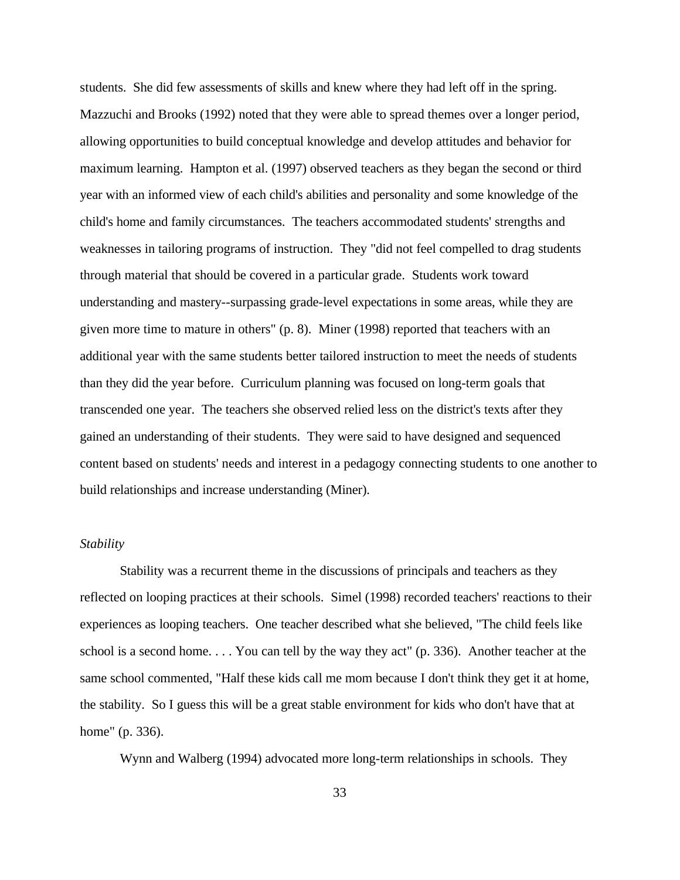students. She did few assessments of skills and knew where they had left off in the spring. Mazzuchi and Brooks (1992) noted that they were able to spread themes over a longer period, allowing opportunities to build conceptual knowledge and develop attitudes and behavior for maximum learning. Hampton et al. (1997) observed teachers as they began the second or third year with an informed view of each child's abilities and personality and some knowledge of the child's home and family circumstances. The teachers accommodated students' strengths and weaknesses in tailoring programs of instruction. They "did not feel compelled to drag students through material that should be covered in a particular grade. Students work toward understanding and mastery--surpassing grade-level expectations in some areas, while they are given more time to mature in others" (p. 8). Miner (1998) reported that teachers with an additional year with the same students better tailored instruction to meet the needs of students than they did the year before. Curriculum planning was focused on long-term goals that transcended one year. The teachers she observed relied less on the district's texts after they gained an understanding of their students. They were said to have designed and sequenced content based on students' needs and interest in a pedagogy connecting students to one another to build relationships and increase understanding (Miner).

### *Stability*

Stability was a recurrent theme in the discussions of principals and teachers as they reflected on looping practices at their schools. Simel (1998) recorded teachers' reactions to their experiences as looping teachers. One teacher described what she believed, "The child feels like school is a second home. . . . You can tell by the way they act" (p. 336). Another teacher at the same school commented, "Half these kids call me mom because I don't think they get it at home, the stability. So I guess this will be a great stable environment for kids who don't have that at home" (p. 336).

Wynn and Walberg (1994) advocated more long-term relationships in schools. They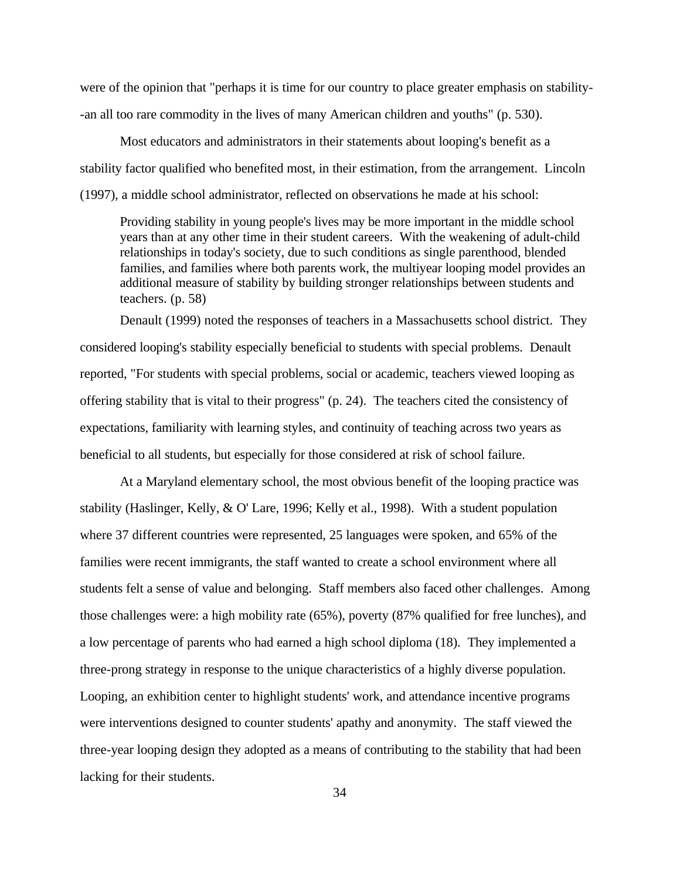were of the opinion that "perhaps it is time for our country to place greater emphasis on stability- -an all too rare commodity in the lives of many American children and youths" (p. 530).

Most educators and administrators in their statements about looping's benefit as a stability factor qualified who benefited most, in their estimation, from the arrangement. Lincoln (1997), a middle school administrator, reflected on observations he made at his school:

Providing stability in young people's lives may be more important in the middle school years than at any other time in their student careers. With the weakening of adult-child relationships in today's society, due to such conditions as single parenthood, blended families, and families where both parents work, the multiyear looping model provides an additional measure of stability by building stronger relationships between students and teachers. (p. 58)

Denault (1999) noted the responses of teachers in a Massachusetts school district. They considered looping's stability especially beneficial to students with special problems. Denault reported, "For students with special problems, social or academic, teachers viewed looping as offering stability that is vital to their progress" (p. 24). The teachers cited the consistency of expectations, familiarity with learning styles, and continuity of teaching across two years as beneficial to all students, but especially for those considered at risk of school failure.

At a Maryland elementary school, the most obvious benefit of the looping practice was stability (Haslinger, Kelly, & O' Lare, 1996; Kelly et al., 1998). With a student population where 37 different countries were represented, 25 languages were spoken, and 65% of the families were recent immigrants, the staff wanted to create a school environment where all students felt a sense of value and belonging. Staff members also faced other challenges. Among those challenges were: a high mobility rate (65%), poverty (87% qualified for free lunches), and a low percentage of parents who had earned a high school diploma (18). They implemented a three-prong strategy in response to the unique characteristics of a highly diverse population. Looping, an exhibition center to highlight students' work, and attendance incentive programs were interventions designed to counter students' apathy and anonymity. The staff viewed the three-year looping design they adopted as a means of contributing to the stability that had been lacking for their students.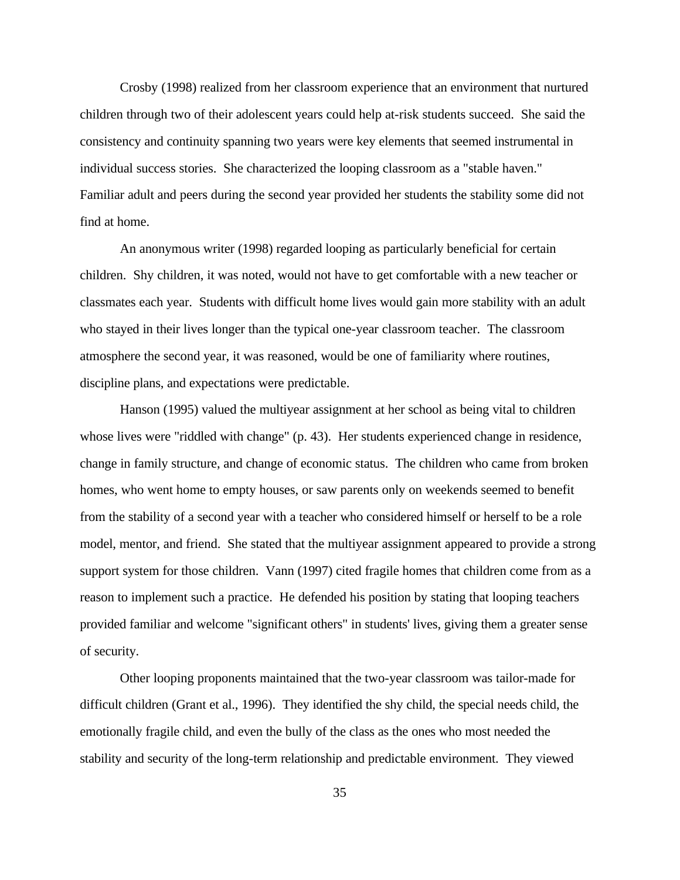Crosby (1998) realized from her classroom experience that an environment that nurtured children through two of their adolescent years could help at-risk students succeed. She said the consistency and continuity spanning two years were key elements that seemed instrumental in individual success stories. She characterized the looping classroom as a "stable haven." Familiar adult and peers during the second year provided her students the stability some did not find at home.

An anonymous writer (1998) regarded looping as particularly beneficial for certain children. Shy children, it was noted, would not have to get comfortable with a new teacher or classmates each year. Students with difficult home lives would gain more stability with an adult who stayed in their lives longer than the typical one-year classroom teacher. The classroom atmosphere the second year, it was reasoned, would be one of familiarity where routines, discipline plans, and expectations were predictable.

Hanson (1995) valued the multiyear assignment at her school as being vital to children whose lives were "riddled with change" (p. 43). Her students experienced change in residence, change in family structure, and change of economic status. The children who came from broken homes, who went home to empty houses, or saw parents only on weekends seemed to benefit from the stability of a second year with a teacher who considered himself or herself to be a role model, mentor, and friend. She stated that the multiyear assignment appeared to provide a strong support system for those children. Vann (1997) cited fragile homes that children come from as a reason to implement such a practice. He defended his position by stating that looping teachers provided familiar and welcome "significant others" in students' lives, giving them a greater sense of security.

Other looping proponents maintained that the two-year classroom was tailor-made for difficult children (Grant et al., 1996). They identified the shy child, the special needs child, the emotionally fragile child, and even the bully of the class as the ones who most needed the stability and security of the long-term relationship and predictable environment. They viewed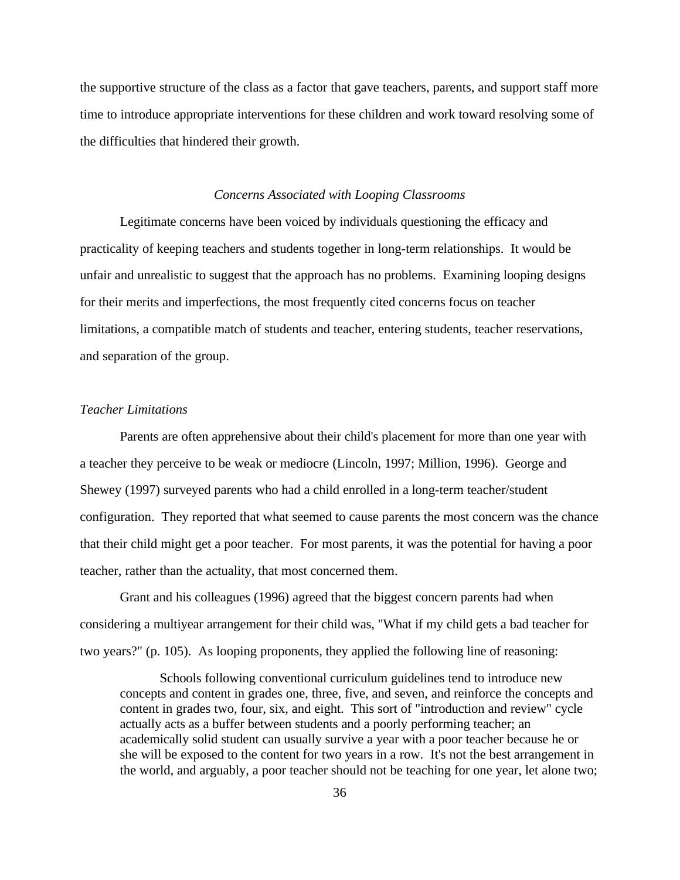the supportive structure of the class as a factor that gave teachers, parents, and support staff more time to introduce appropriate interventions for these children and work toward resolving some of the difficulties that hindered their growth.

#### *Concerns Associated with Looping Classrooms*

Legitimate concerns have been voiced by individuals questioning the efficacy and practicality of keeping teachers and students together in long-term relationships. It would be unfair and unrealistic to suggest that the approach has no problems. Examining looping designs for their merits and imperfections, the most frequently cited concerns focus on teacher limitations, a compatible match of students and teacher, entering students, teacher reservations, and separation of the group.

## *Teacher Limitations*

Parents are often apprehensive about their child's placement for more than one year with a teacher they perceive to be weak or mediocre (Lincoln, 1997; Million, 1996). George and Shewey (1997) surveyed parents who had a child enrolled in a long-term teacher/student configuration. They reported that what seemed to cause parents the most concern was the chance that their child might get a poor teacher. For most parents, it was the potential for having a poor teacher, rather than the actuality, that most concerned them.

Grant and his colleagues (1996) agreed that the biggest concern parents had when considering a multiyear arrangement for their child was, "What if my child gets a bad teacher for two years?" (p. 105). As looping proponents, they applied the following line of reasoning:

Schools following conventional curriculum guidelines tend to introduce new concepts and content in grades one, three, five, and seven, and reinforce the concepts and content in grades two, four, six, and eight. This sort of "introduction and review" cycle actually acts as a buffer between students and a poorly performing teacher; an academically solid student can usually survive a year with a poor teacher because he or she will be exposed to the content for two years in a row. It's not the best arrangement in the world, and arguably, a poor teacher should not be teaching for one year, let alone two;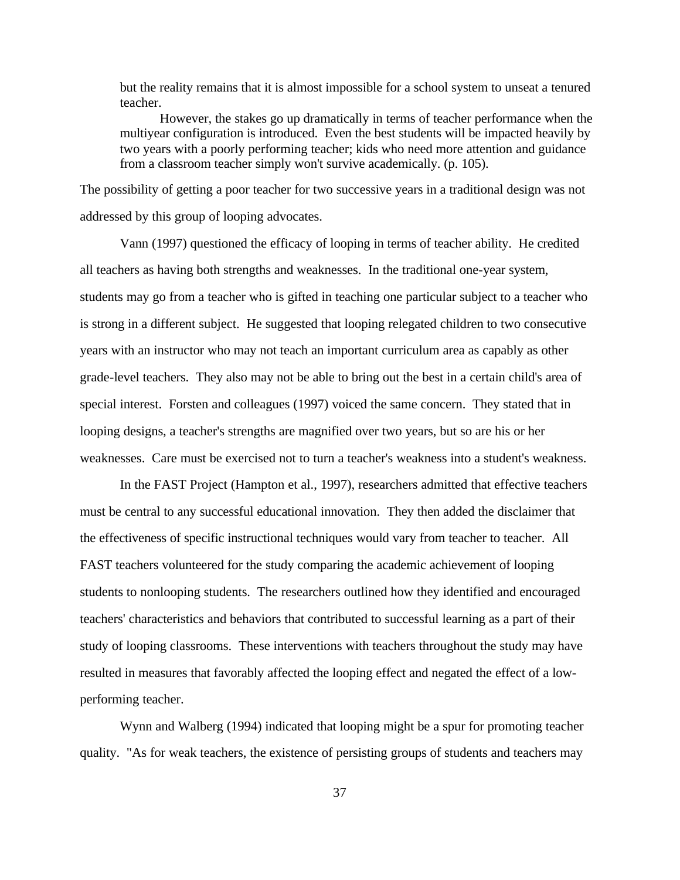but the reality remains that it is almost impossible for a school system to unseat a tenured teacher.

However, the stakes go up dramatically in terms of teacher performance when the multiyear configuration is introduced. Even the best students will be impacted heavily by two years with a poorly performing teacher; kids who need more attention and guidance from a classroom teacher simply won't survive academically. (p. 105).

The possibility of getting a poor teacher for two successive years in a traditional design was not addressed by this group of looping advocates.

Vann (1997) questioned the efficacy of looping in terms of teacher ability. He credited all teachers as having both strengths and weaknesses. In the traditional one-year system, students may go from a teacher who is gifted in teaching one particular subject to a teacher who is strong in a different subject. He suggested that looping relegated children to two consecutive years with an instructor who may not teach an important curriculum area as capably as other grade-level teachers. They also may not be able to bring out the best in a certain child's area of special interest. Forsten and colleagues (1997) voiced the same concern. They stated that in looping designs, a teacher's strengths are magnified over two years, but so are his or her weaknesses. Care must be exercised not to turn a teacher's weakness into a student's weakness.

In the FAST Project (Hampton et al., 1997), researchers admitted that effective teachers must be central to any successful educational innovation. They then added the disclaimer that the effectiveness of specific instructional techniques would vary from teacher to teacher. All FAST teachers volunteered for the study comparing the academic achievement of looping students to nonlooping students. The researchers outlined how they identified and encouraged teachers' characteristics and behaviors that contributed to successful learning as a part of their study of looping classrooms. These interventions with teachers throughout the study may have resulted in measures that favorably affected the looping effect and negated the effect of a lowperforming teacher.

Wynn and Walberg (1994) indicated that looping might be a spur for promoting teacher quality. "As for weak teachers, the existence of persisting groups of students and teachers may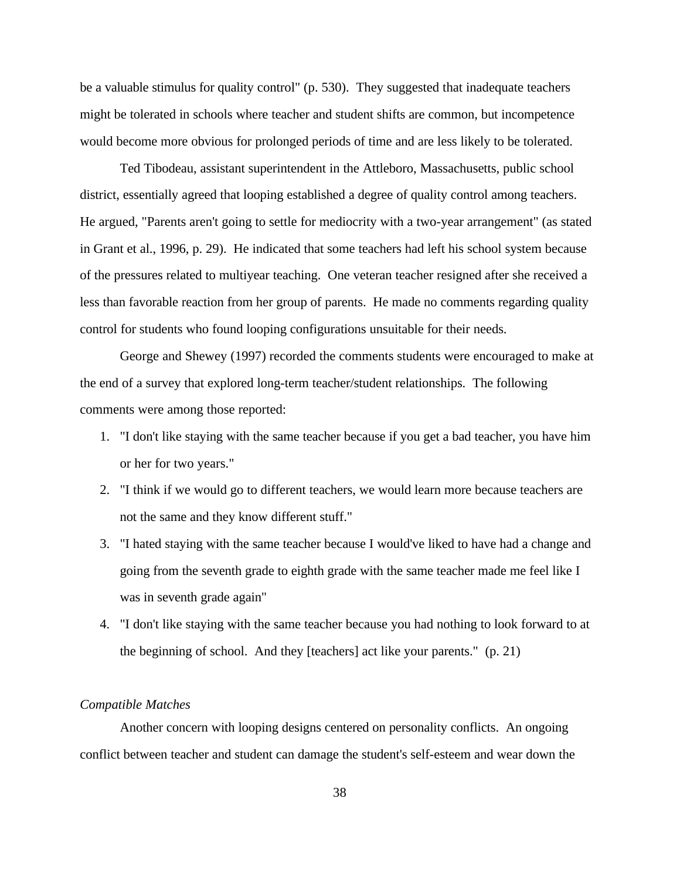be a valuable stimulus for quality control" (p. 530). They suggested that inadequate teachers might be tolerated in schools where teacher and student shifts are common, but incompetence would become more obvious for prolonged periods of time and are less likely to be tolerated.

Ted Tibodeau, assistant superintendent in the Attleboro, Massachusetts, public school district, essentially agreed that looping established a degree of quality control among teachers. He argued, "Parents aren't going to settle for mediocrity with a two-year arrangement" (as stated in Grant et al., 1996, p. 29). He indicated that some teachers had left his school system because of the pressures related to multiyear teaching. One veteran teacher resigned after she received a less than favorable reaction from her group of parents. He made no comments regarding quality control for students who found looping configurations unsuitable for their needs.

George and Shewey (1997) recorded the comments students were encouraged to make at the end of a survey that explored long-term teacher/student relationships. The following comments were among those reported:

- 1. "I don't like staying with the same teacher because if you get a bad teacher, you have him or her for two years."
- 2. "I think if we would go to different teachers, we would learn more because teachers are not the same and they know different stuff."
- 3. "I hated staying with the same teacher because I would've liked to have had a change and going from the seventh grade to eighth grade with the same teacher made me feel like I was in seventh grade again"
- 4. "I don't like staying with the same teacher because you had nothing to look forward to at the beginning of school. And they [teachers] act like your parents." (p. 21)

### *Compatible Matches*

Another concern with looping designs centered on personality conflicts. An ongoing conflict between teacher and student can damage the student's self-esteem and wear down the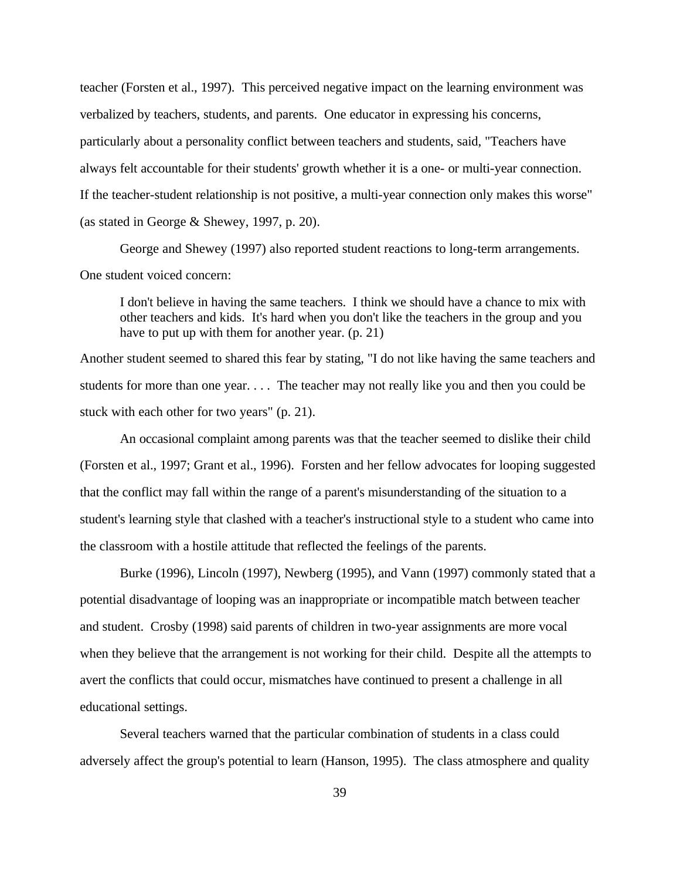teacher (Forsten et al., 1997). This perceived negative impact on the learning environment was verbalized by teachers, students, and parents. One educator in expressing his concerns, particularly about a personality conflict between teachers and students, said, "Teachers have always felt accountable for their students' growth whether it is a one- or multi-year connection. If the teacher-student relationship is not positive, a multi-year connection only makes this worse" (as stated in George & Shewey, 1997, p. 20).

George and Shewey (1997) also reported student reactions to long-term arrangements. One student voiced concern:

I don't believe in having the same teachers. I think we should have a chance to mix with other teachers and kids. It's hard when you don't like the teachers in the group and you have to put up with them for another year. (p. 21)

Another student seemed to shared this fear by stating, "I do not like having the same teachers and students for more than one year. . . . The teacher may not really like you and then you could be stuck with each other for two years" (p. 21).

An occasional complaint among parents was that the teacher seemed to dislike their child (Forsten et al., 1997; Grant et al., 1996). Forsten and her fellow advocates for looping suggested that the conflict may fall within the range of a parent's misunderstanding of the situation to a student's learning style that clashed with a teacher's instructional style to a student who came into the classroom with a hostile attitude that reflected the feelings of the parents.

Burke (1996), Lincoln (1997), Newberg (1995), and Vann (1997) commonly stated that a potential disadvantage of looping was an inappropriate or incompatible match between teacher and student. Crosby (1998) said parents of children in two-year assignments are more vocal when they believe that the arrangement is not working for their child. Despite all the attempts to avert the conflicts that could occur, mismatches have continued to present a challenge in all educational settings.

Several teachers warned that the particular combination of students in a class could adversely affect the group's potential to learn (Hanson, 1995). The class atmosphere and quality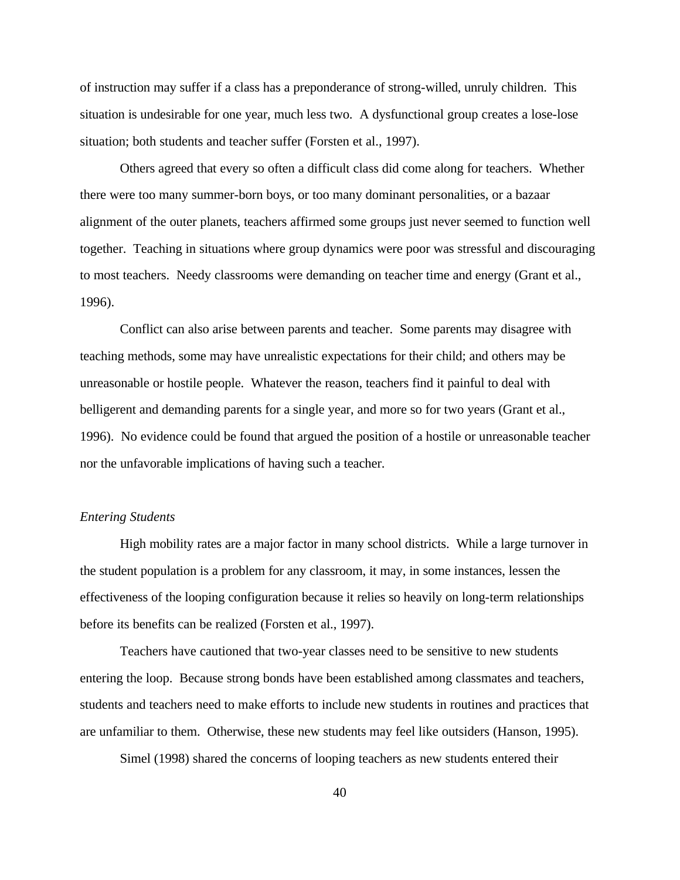of instruction may suffer if a class has a preponderance of strong-willed, unruly children. This situation is undesirable for one year, much less two. A dysfunctional group creates a lose-lose situation; both students and teacher suffer (Forsten et al., 1997).

Others agreed that every so often a difficult class did come along for teachers. Whether there were too many summer-born boys, or too many dominant personalities, or a bazaar alignment of the outer planets, teachers affirmed some groups just never seemed to function well together. Teaching in situations where group dynamics were poor was stressful and discouraging to most teachers. Needy classrooms were demanding on teacher time and energy (Grant et al., 1996).

Conflict can also arise between parents and teacher. Some parents may disagree with teaching methods, some may have unrealistic expectations for their child; and others may be unreasonable or hostile people. Whatever the reason, teachers find it painful to deal with belligerent and demanding parents for a single year, and more so for two years (Grant et al., 1996). No evidence could be found that argued the position of a hostile or unreasonable teacher nor the unfavorable implications of having such a teacher.

#### *Entering Students*

High mobility rates are a major factor in many school districts. While a large turnover in the student population is a problem for any classroom, it may, in some instances, lessen the effectiveness of the looping configuration because it relies so heavily on long-term relationships before its benefits can be realized (Forsten et al., 1997).

Teachers have cautioned that two-year classes need to be sensitive to new students entering the loop. Because strong bonds have been established among classmates and teachers, students and teachers need to make efforts to include new students in routines and practices that are unfamiliar to them. Otherwise, these new students may feel like outsiders (Hanson, 1995).

Simel (1998) shared the concerns of looping teachers as new students entered their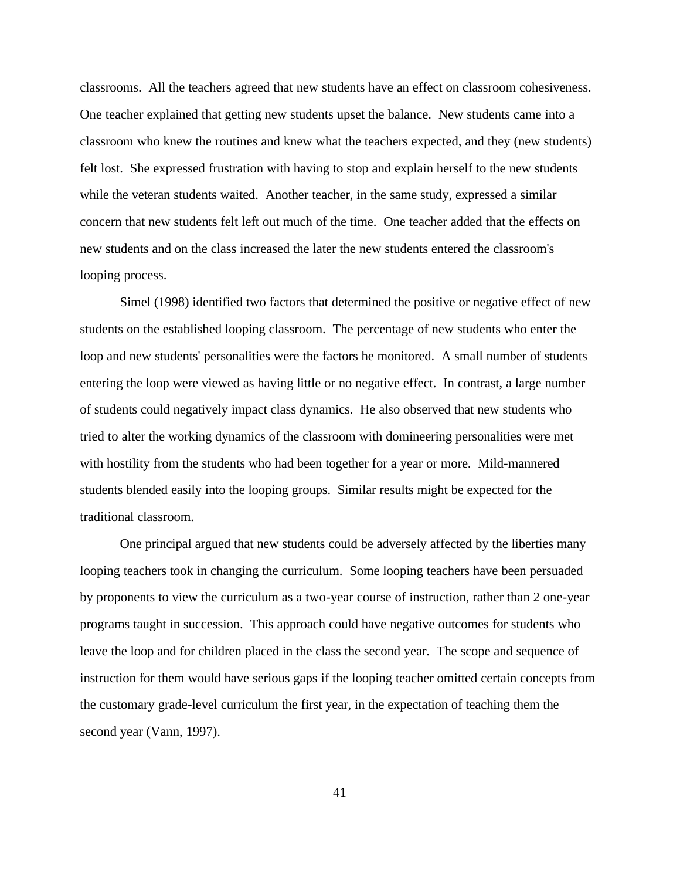classrooms. All the teachers agreed that new students have an effect on classroom cohesiveness. One teacher explained that getting new students upset the balance. New students came into a classroom who knew the routines and knew what the teachers expected, and they (new students) felt lost. She expressed frustration with having to stop and explain herself to the new students while the veteran students waited. Another teacher, in the same study, expressed a similar concern that new students felt left out much of the time. One teacher added that the effects on new students and on the class increased the later the new students entered the classroom's looping process.

Simel (1998) identified two factors that determined the positive or negative effect of new students on the established looping classroom. The percentage of new students who enter the loop and new students' personalities were the factors he monitored. A small number of students entering the loop were viewed as having little or no negative effect. In contrast, a large number of students could negatively impact class dynamics. He also observed that new students who tried to alter the working dynamics of the classroom with domineering personalities were met with hostility from the students who had been together for a year or more. Mild-mannered students blended easily into the looping groups. Similar results might be expected for the traditional classroom.

One principal argued that new students could be adversely affected by the liberties many looping teachers took in changing the curriculum. Some looping teachers have been persuaded by proponents to view the curriculum as a two-year course of instruction, rather than 2 one-year programs taught in succession. This approach could have negative outcomes for students who leave the loop and for children placed in the class the second year. The scope and sequence of instruction for them would have serious gaps if the looping teacher omitted certain concepts from the customary grade-level curriculum the first year, in the expectation of teaching them the second year (Vann, 1997).

41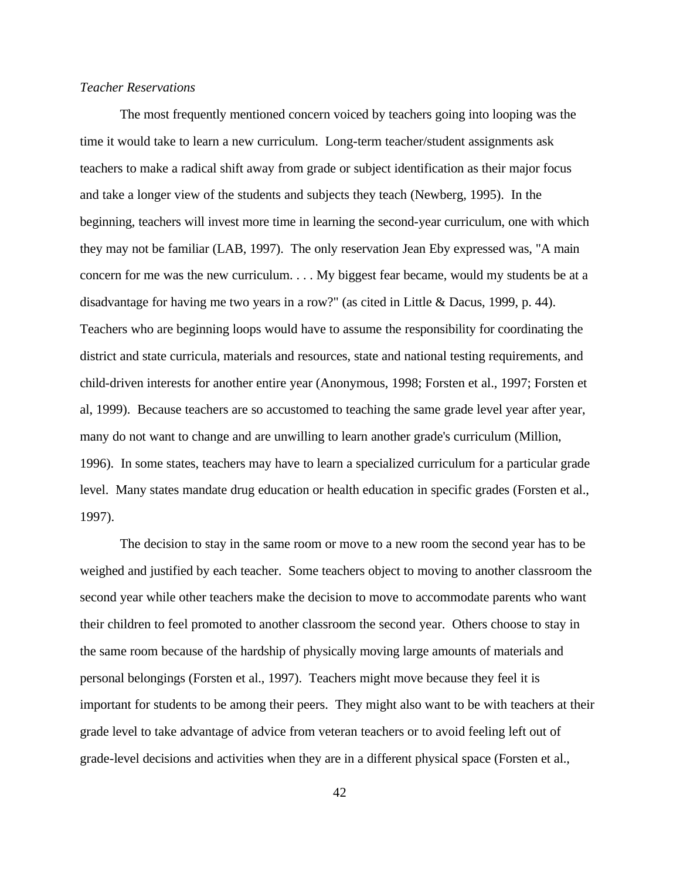### *Teacher Reservations*

The most frequently mentioned concern voiced by teachers going into looping was the time it would take to learn a new curriculum. Long-term teacher/student assignments ask teachers to make a radical shift away from grade or subject identification as their major focus and take a longer view of the students and subjects they teach (Newberg, 1995). In the beginning, teachers will invest more time in learning the second-year curriculum, one with which they may not be familiar (LAB, 1997). The only reservation Jean Eby expressed was, "A main concern for me was the new curriculum. . . . My biggest fear became, would my students be at a disadvantage for having me two years in a row?" (as cited in Little & Dacus, 1999, p. 44). Teachers who are beginning loops would have to assume the responsibility for coordinating the district and state curricula, materials and resources, state and national testing requirements, and child-driven interests for another entire year (Anonymous, 1998; Forsten et al., 1997; Forsten et al, 1999). Because teachers are so accustomed to teaching the same grade level year after year, many do not want to change and are unwilling to learn another grade's curriculum (Million, 1996). In some states, teachers may have to learn a specialized curriculum for a particular grade level. Many states mandate drug education or health education in specific grades (Forsten et al., 1997).

The decision to stay in the same room or move to a new room the second year has to be weighed and justified by each teacher. Some teachers object to moving to another classroom the second year while other teachers make the decision to move to accommodate parents who want their children to feel promoted to another classroom the second year. Others choose to stay in the same room because of the hardship of physically moving large amounts of materials and personal belongings (Forsten et al., 1997). Teachers might move because they feel it is important for students to be among their peers. They might also want to be with teachers at their grade level to take advantage of advice from veteran teachers or to avoid feeling left out of grade-level decisions and activities when they are in a different physical space (Forsten et al.,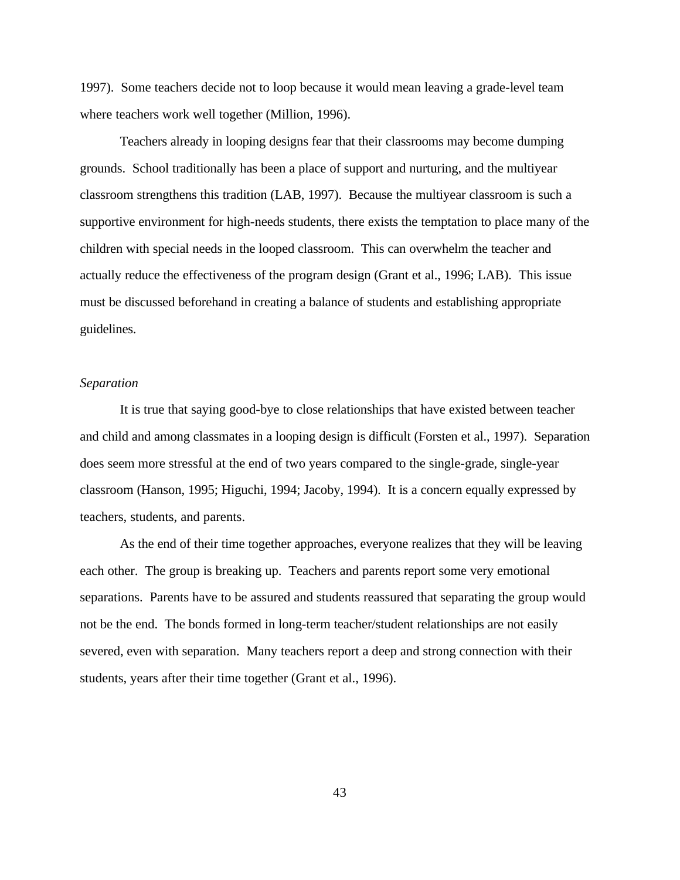1997). Some teachers decide not to loop because it would mean leaving a grade-level team where teachers work well together (Million, 1996).

Teachers already in looping designs fear that their classrooms may become dumping grounds. School traditionally has been a place of support and nurturing, and the multiyear classroom strengthens this tradition (LAB, 1997). Because the multiyear classroom is such a supportive environment for high-needs students, there exists the temptation to place many of the children with special needs in the looped classroom. This can overwhelm the teacher and actually reduce the effectiveness of the program design (Grant et al., 1996; LAB). This issue must be discussed beforehand in creating a balance of students and establishing appropriate guidelines.

#### *Separation*

It is true that saying good-bye to close relationships that have existed between teacher and child and among classmates in a looping design is difficult (Forsten et al., 1997). Separation does seem more stressful at the end of two years compared to the single-grade, single-year classroom (Hanson, 1995; Higuchi, 1994; Jacoby, 1994). It is a concern equally expressed by teachers, students, and parents.

As the end of their time together approaches, everyone realizes that they will be leaving each other. The group is breaking up. Teachers and parents report some very emotional separations. Parents have to be assured and students reassured that separating the group would not be the end. The bonds formed in long-term teacher/student relationships are not easily severed, even with separation. Many teachers report a deep and strong connection with their students, years after their time together (Grant et al., 1996).

43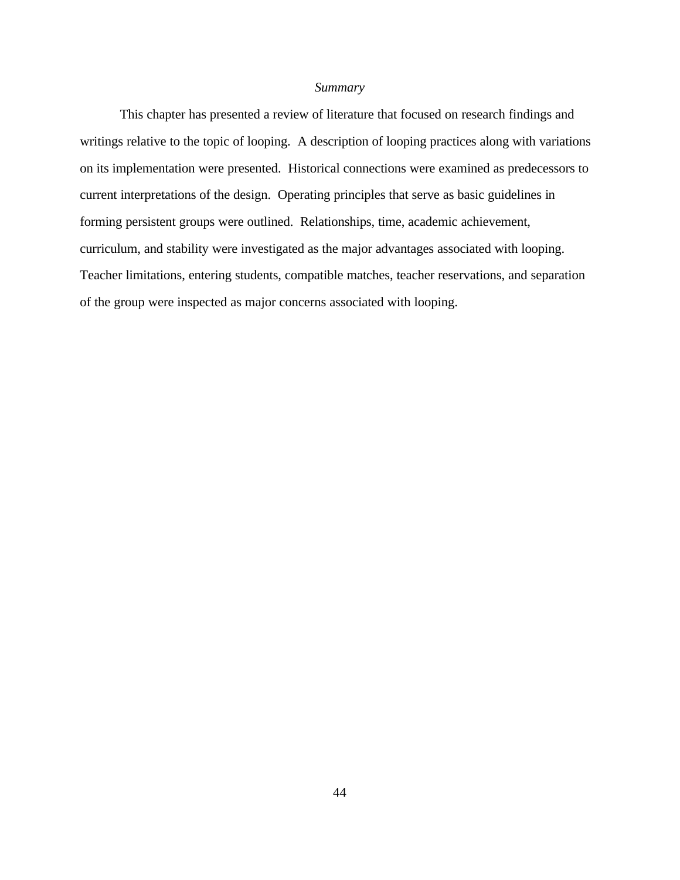#### *Summary*

This chapter has presented a review of literature that focused on research findings and writings relative to the topic of looping. A description of looping practices along with variations on its implementation were presented. Historical connections were examined as predecessors to current interpretations of the design. Operating principles that serve as basic guidelines in forming persistent groups were outlined. Relationships, time, academic achievement, curriculum, and stability were investigated as the major advantages associated with looping. Teacher limitations, entering students, compatible matches, teacher reservations, and separation of the group were inspected as major concerns associated with looping.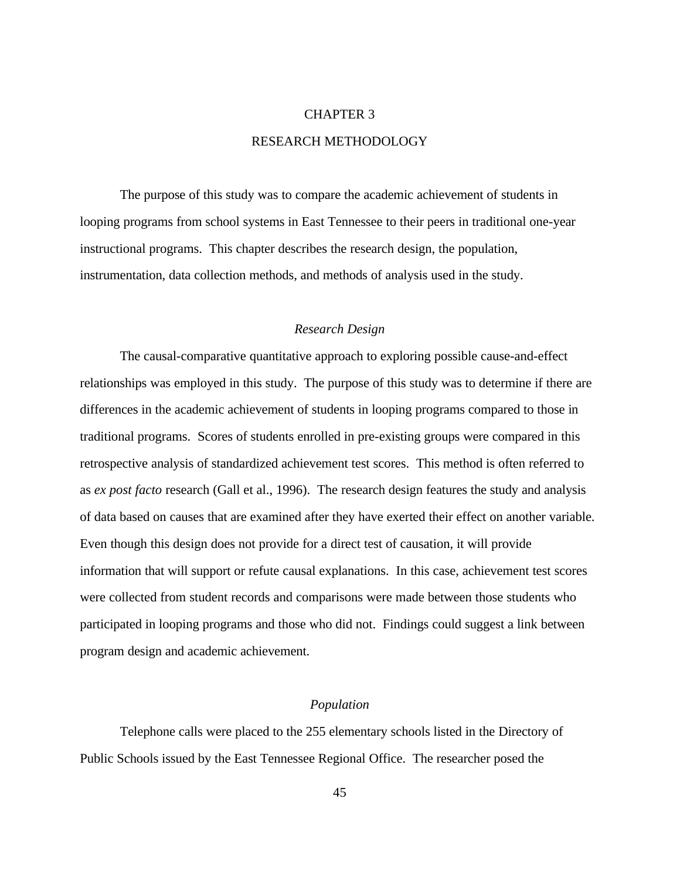## CHAPTER 3 RESEARCH METHODOLOGY

The purpose of this study was to compare the academic achievement of students in looping programs from school systems in East Tennessee to their peers in traditional one-year instructional programs. This chapter describes the research design, the population, instrumentation, data collection methods, and methods of analysis used in the study.

#### *Research Design*

The causal-comparative quantitative approach to exploring possible cause-and-effect relationships was employed in this study. The purpose of this study was to determine if there are differences in the academic achievement of students in looping programs compared to those in traditional programs. Scores of students enrolled in pre-existing groups were compared in this retrospective analysis of standardized achievement test scores. This method is often referred to as *ex post facto* research (Gall et al., 1996). The research design features the study and analysis of data based on causes that are examined after they have exerted their effect on another variable. Even though this design does not provide for a direct test of causation, it will provide information that will support or refute causal explanations. In this case, achievement test scores were collected from student records and comparisons were made between those students who participated in looping programs and those who did not. Findings could suggest a link between program design and academic achievement.

#### *Population*

Telephone calls were placed to the 255 elementary schools listed in the Directory of Public Schools issued by the East Tennessee Regional Office. The researcher posed the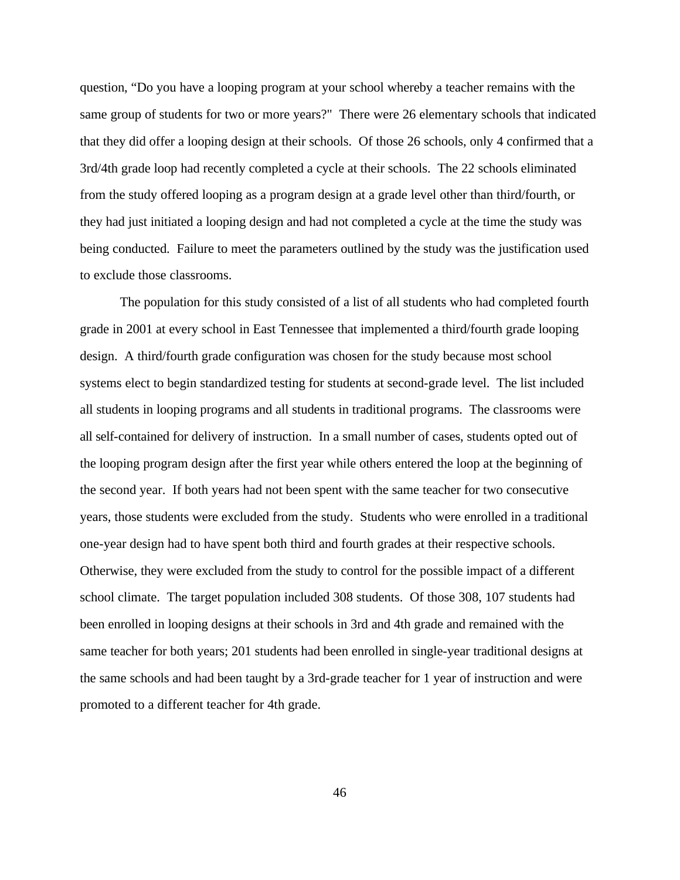question, "Do you have a looping program at your school whereby a teacher remains with the same group of students for two or more years?" There were 26 elementary schools that indicated that they did offer a looping design at their schools. Of those 26 schools, only 4 confirmed that a 3rd/4th grade loop had recently completed a cycle at their schools. The 22 schools eliminated from the study offered looping as a program design at a grade level other than third/fourth, or they had just initiated a looping design and had not completed a cycle at the time the study was being conducted. Failure to meet the parameters outlined by the study was the justification used to exclude those classrooms.

The population for this study consisted of a list of all students who had completed fourth grade in 2001 at every school in East Tennessee that implemented a third/fourth grade looping design. A third/fourth grade configuration was chosen for the study because most school systems elect to begin standardized testing for students at second-grade level. The list included all students in looping programs and all students in traditional programs. The classrooms were all self-contained for delivery of instruction. In a small number of cases, students opted out of the looping program design after the first year while others entered the loop at the beginning of the second year. If both years had not been spent with the same teacher for two consecutive years, those students were excluded from the study. Students who were enrolled in a traditional one-year design had to have spent both third and fourth grades at their respective schools. Otherwise, they were excluded from the study to control for the possible impact of a different school climate. The target population included 308 students. Of those 308, 107 students had been enrolled in looping designs at their schools in 3rd and 4th grade and remained with the same teacher for both years; 201 students had been enrolled in single-year traditional designs at the same schools and had been taught by a 3rd-grade teacher for 1 year of instruction and were promoted to a different teacher for 4th grade.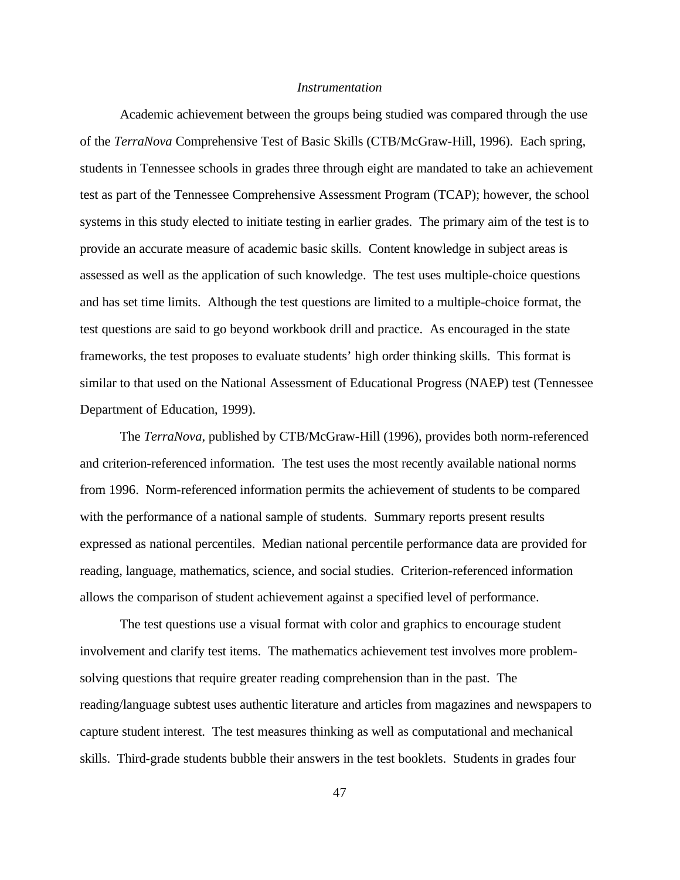#### *Instrumentation*

Academic achievement between the groups being studied was compared through the use of the *TerraNova* Comprehensive Test of Basic Skills (CTB/McGraw-Hill, 1996). Each spring, students in Tennessee schools in grades three through eight are mandated to take an achievement test as part of the Tennessee Comprehensive Assessment Program (TCAP); however, the school systems in this study elected to initiate testing in earlier grades. The primary aim of the test is to provide an accurate measure of academic basic skills. Content knowledge in subject areas is assessed as well as the application of such knowledge. The test uses multiple-choice questions and has set time limits. Although the test questions are limited to a multiple-choice format, the test questions are said to go beyond workbook drill and practice. As encouraged in the state frameworks, the test proposes to evaluate students' high order thinking skills. This format is similar to that used on the National Assessment of Educational Progress (NAEP) test (Tennessee Department of Education, 1999).

The *TerraNova*, published by CTB/McGraw-Hill (1996), provides both norm-referenced and criterion-referenced information. The test uses the most recently available national norms from 1996. Norm-referenced information permits the achievement of students to be compared with the performance of a national sample of students. Summary reports present results expressed as national percentiles. Median national percentile performance data are provided for reading, language, mathematics, science, and social studies. Criterion-referenced information allows the comparison of student achievement against a specified level of performance.

The test questions use a visual format with color and graphics to encourage student involvement and clarify test items. The mathematics achievement test involves more problemsolving questions that require greater reading comprehension than in the past. The reading/language subtest uses authentic literature and articles from magazines and newspapers to capture student interest. The test measures thinking as well as computational and mechanical skills. Third-grade students bubble their answers in the test booklets. Students in grades four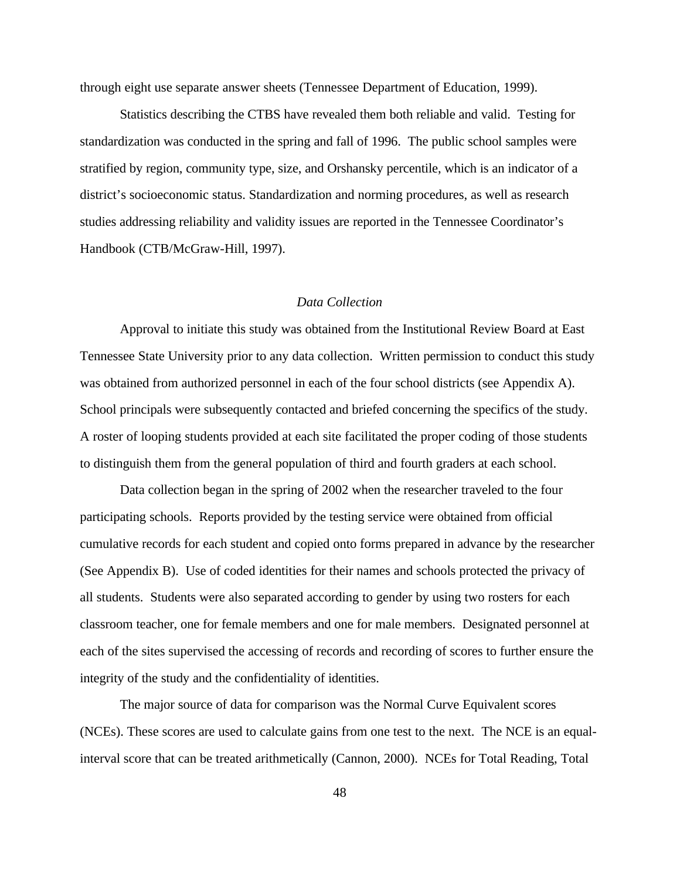through eight use separate answer sheets (Tennessee Department of Education, 1999).

Statistics describing the CTBS have revealed them both reliable and valid. Testing for standardization was conducted in the spring and fall of 1996. The public school samples were stratified by region, community type, size, and Orshansky percentile, which is an indicator of a district's socioeconomic status. Standardization and norming procedures, as well as research studies addressing reliability and validity issues are reported in the Tennessee Coordinator's Handbook (CTB/McGraw-Hill, 1997).

#### *Data Collection*

Approval to initiate this study was obtained from the Institutional Review Board at East Tennessee State University prior to any data collection. Written permission to conduct this study was obtained from authorized personnel in each of the four school districts (see Appendix A). School principals were subsequently contacted and briefed concerning the specifics of the study. A roster of looping students provided at each site facilitated the proper coding of those students to distinguish them from the general population of third and fourth graders at each school.

Data collection began in the spring of 2002 when the researcher traveled to the four participating schools. Reports provided by the testing service were obtained from official cumulative records for each student and copied onto forms prepared in advance by the researcher (See Appendix B). Use of coded identities for their names and schools protected the privacy of all students. Students were also separated according to gender by using two rosters for each classroom teacher, one for female members and one for male members. Designated personnel at each of the sites supervised the accessing of records and recording of scores to further ensure the integrity of the study and the confidentiality of identities.

The major source of data for comparison was the Normal Curve Equivalent scores (NCEs). These scores are used to calculate gains from one test to the next. The NCE is an equalinterval score that can be treated arithmetically (Cannon, 2000). NCEs for Total Reading, Total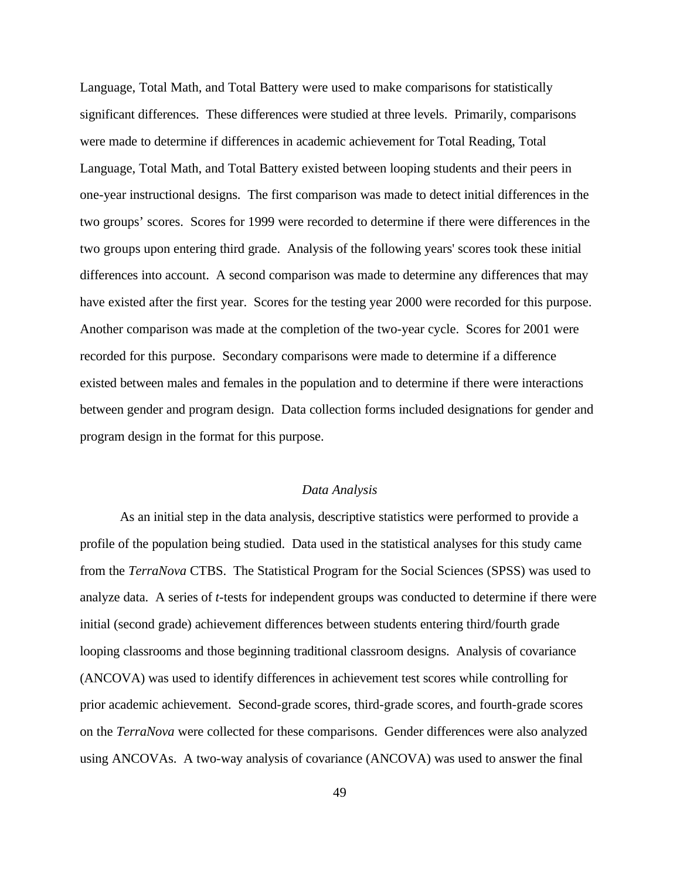Language, Total Math, and Total Battery were used to make comparisons for statistically significant differences. These differences were studied at three levels. Primarily, comparisons were made to determine if differences in academic achievement for Total Reading, Total Language, Total Math, and Total Battery existed between looping students and their peers in one-year instructional designs. The first comparison was made to detect initial differences in the two groups' scores. Scores for 1999 were recorded to determine if there were differences in the two groups upon entering third grade. Analysis of the following years' scores took these initial differences into account. A second comparison was made to determine any differences that may have existed after the first year. Scores for the testing year 2000 were recorded for this purpose. Another comparison was made at the completion of the two-year cycle. Scores for 2001 were recorded for this purpose. Secondary comparisons were made to determine if a difference existed between males and females in the population and to determine if there were interactions between gender and program design. Data collection forms included designations for gender and program design in the format for this purpose.

#### *Data Analysis*

As an initial step in the data analysis, descriptive statistics were performed to provide a profile of the population being studied. Data used in the statistical analyses for this study came from the *TerraNova* CTBS. The Statistical Program for the Social Sciences (SPSS) was used to analyze data. A series of *t*-tests for independent groups was conducted to determine if there were initial (second grade) achievement differences between students entering third/fourth grade looping classrooms and those beginning traditional classroom designs. Analysis of covariance (ANCOVA) was used to identify differences in achievement test scores while controlling for prior academic achievement. Second-grade scores, third-grade scores, and fourth-grade scores on the *TerraNova* were collected for these comparisons. Gender differences were also analyzed using ANCOVAs. A two-way analysis of covariance (ANCOVA) was used to answer the final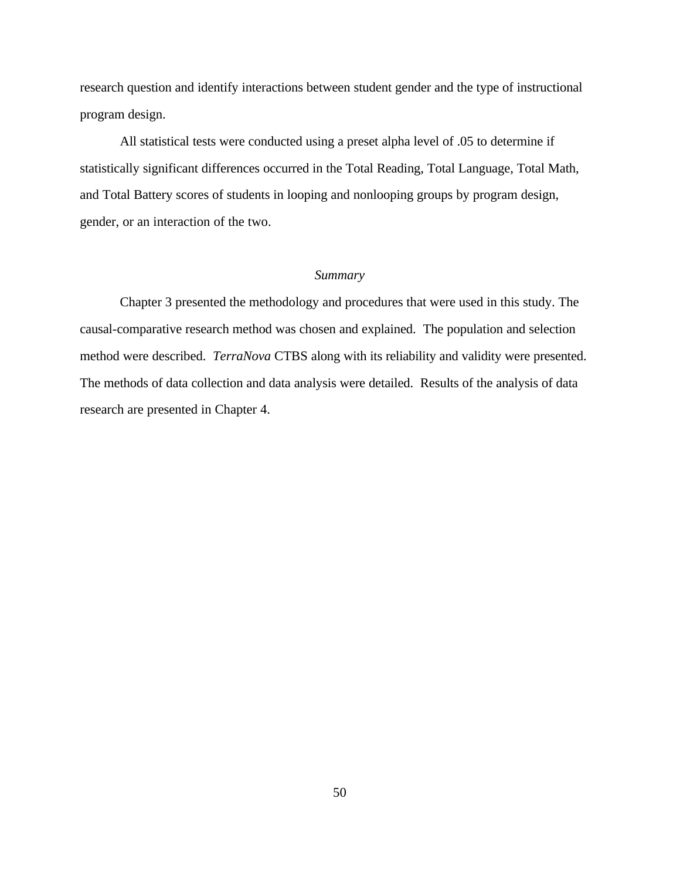research question and identify interactions between student gender and the type of instructional program design.

All statistical tests were conducted using a preset alpha level of .05 to determine if statistically significant differences occurred in the Total Reading, Total Language, Total Math, and Total Battery scores of students in looping and nonlooping groups by program design, gender, or an interaction of the two.

#### *Summary*

Chapter 3 presented the methodology and procedures that were used in this study. The causal-comparative research method was chosen and explained. The population and selection method were described. *TerraNova* CTBS along with its reliability and validity were presented. The methods of data collection and data analysis were detailed. Results of the analysis of data research are presented in Chapter 4.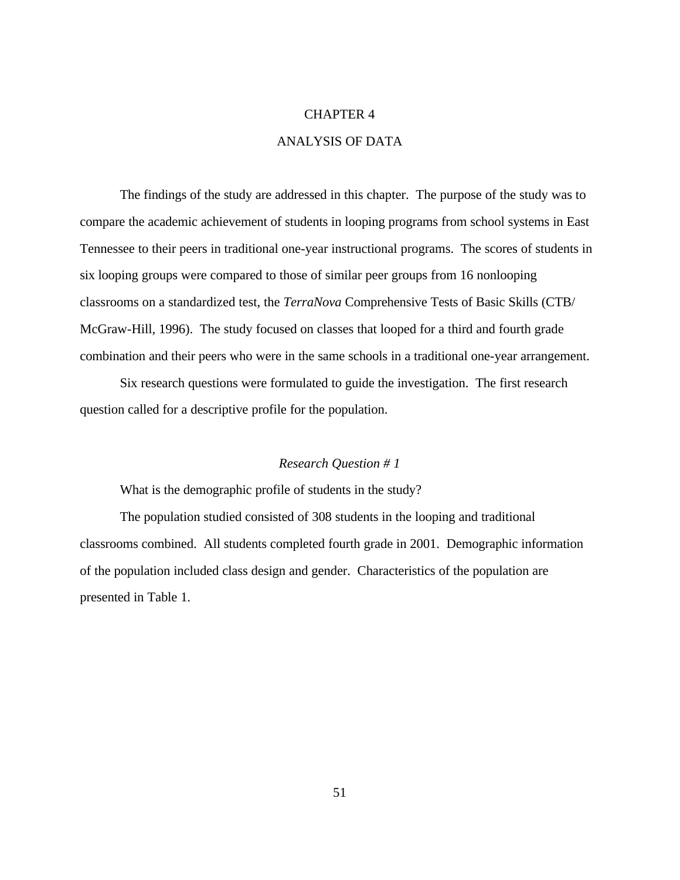#### CHAPTER 4

## ANALYSIS OF DATA

The findings of the study are addressed in this chapter. The purpose of the study was to compare the academic achievement of students in looping programs from school systems in East Tennessee to their peers in traditional one-year instructional programs. The scores of students in six looping groups were compared to those of similar peer groups from 16 nonlooping classrooms on a standardized test, the *TerraNova* Comprehensive Tests of Basic Skills (CTB/ McGraw-Hill, 1996). The study focused on classes that looped for a third and fourth grade combination and their peers who were in the same schools in a traditional one-year arrangement.

Six research questions were formulated to guide the investigation. The first research question called for a descriptive profile for the population.

#### *Research Question # 1*

What is the demographic profile of students in the study?

The population studied consisted of 308 students in the looping and traditional classrooms combined. All students completed fourth grade in 2001. Demographic information of the population included class design and gender. Characteristics of the population are presented in Table 1.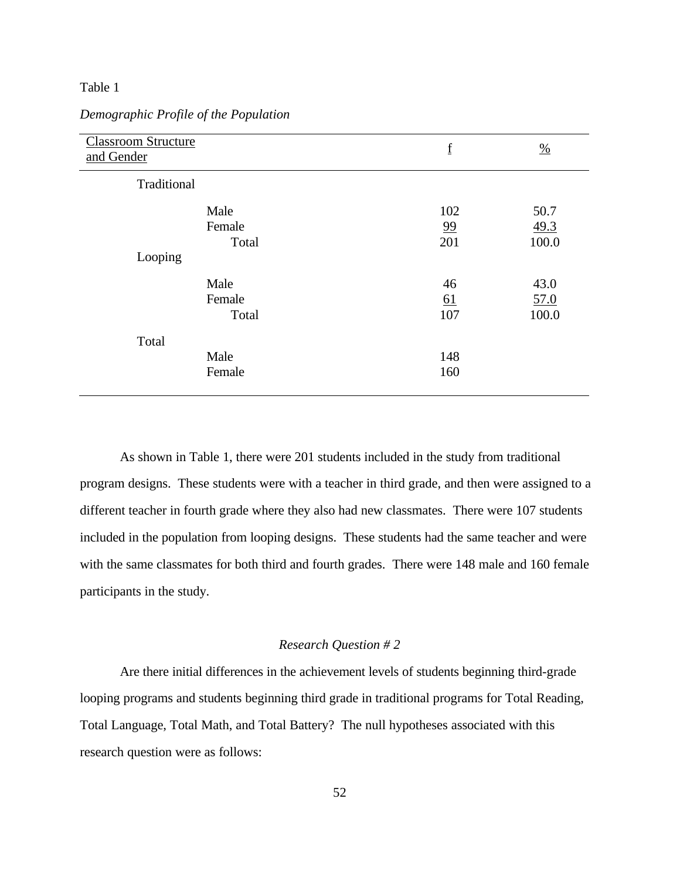## Table 1

| <b>Classroom Structure</b><br>and Gender | $\underline{\mathbf{f}}$ | $\frac{0}{0}$         |
|------------------------------------------|--------------------------|-----------------------|
| Traditional                              |                          |                       |
| Male<br>Female<br>Total                  | 102<br>99<br>201         | 50.7<br>49.3<br>100.0 |
| Looping                                  |                          |                       |
| Male<br>Female<br>Total                  | 46<br><u>61</u><br>107   | 43.0<br>57.0<br>100.0 |
| Total<br>Male<br>Female                  | 148<br>160               |                       |

## *Demographic Profile of the Population*

As shown in Table 1, there were 201 students included in the study from traditional program designs. These students were with a teacher in third grade, and then were assigned to a different teacher in fourth grade where they also had new classmates. There were 107 students included in the population from looping designs. These students had the same teacher and were with the same classmates for both third and fourth grades. There were 148 male and 160 female participants in the study.

## *Research Question # 2*

Are there initial differences in the achievement levels of students beginning third-grade looping programs and students beginning third grade in traditional programs for Total Reading, Total Language, Total Math, and Total Battery? The null hypotheses associated with this research question were as follows: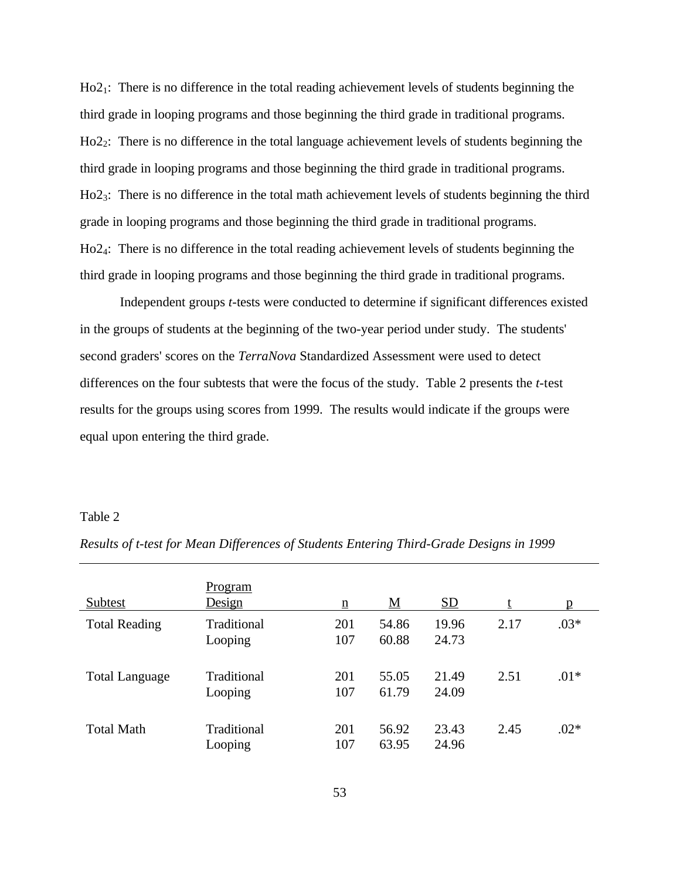Ho2<sub>1</sub>: There is no difference in the total reading achievement levels of students beginning the third grade in looping programs and those beginning the third grade in traditional programs. Ho22: There is no difference in the total language achievement levels of students beginning the third grade in looping programs and those beginning the third grade in traditional programs. Ho23: There is no difference in the total math achievement levels of students beginning the third grade in looping programs and those beginning the third grade in traditional programs. Ho24: There is no difference in the total reading achievement levels of students beginning the third grade in looping programs and those beginning the third grade in traditional programs.

Independent groups *t*-tests were conducted to determine if significant differences existed in the groups of students at the beginning of the two-year period under study. The students' second graders' scores on the *TerraNova* Standardized Assessment were used to detect differences on the four subtests that were the focus of the study. Table 2 presents the *t*-test results for the groups using scores from 1999. The results would indicate if the groups were equal upon entering the third grade.

#### Table 2

| Subtest               | Program<br>Design      | $\underline{n}$ | <u>M</u>       | SD             |      | p      |
|-----------------------|------------------------|-----------------|----------------|----------------|------|--------|
| <b>Total Reading</b>  | Traditional<br>Looping | 201<br>107      | 54.86<br>60.88 | 19.96<br>24.73 | 2.17 | $.03*$ |
| <b>Total Language</b> | Traditional<br>Looping | 201<br>107      | 55.05<br>61.79 | 21.49<br>24.09 | 2.51 | $.01*$ |
| <b>Total Math</b>     | Traditional<br>Looping | 201<br>107      | 56.92<br>63.95 | 23.43<br>24.96 | 2.45 | $.02*$ |

*Results of t-test for Mean Differences of Students Entering Third-Grade Designs in 1999*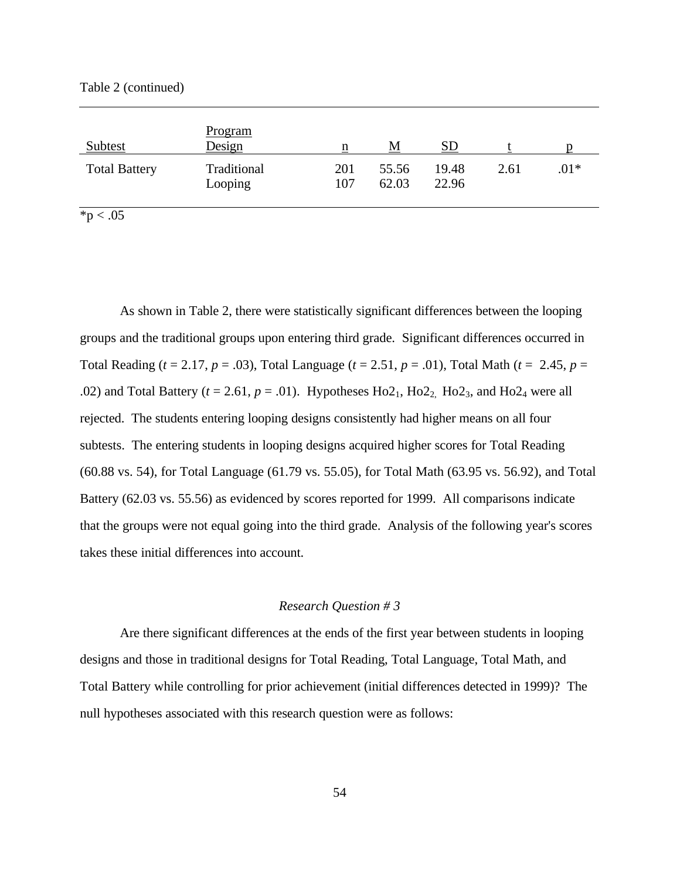Table 2 (continued)

| <b>Subtest</b>       | <b>Program</b><br>Design | n          | M              | SD             |      |        |
|----------------------|--------------------------|------------|----------------|----------------|------|--------|
| <b>Total Battery</b> | Traditional<br>Looping   | 201<br>107 | 55.56<br>62.03 | 19.48<br>22.96 | 2.61 | $.01*$ |

 $*_{p} < .05$ 

As shown in Table 2, there were statistically significant differences between the looping groups and the traditional groups upon entering third grade. Significant differences occurred in Total Reading (*t* = 2.17, *p* = .03), Total Language (*t* = 2.51, *p* = .01), Total Math (*t* = 2.45, *p* = .02) and Total Battery ( $t = 2.61$ ,  $p = .01$ ). Hypotheses Ho2<sub>1</sub>, Ho2<sub>2</sub>, Ho2<sub>3</sub>, and Ho2<sub>4</sub> were all rejected. The students entering looping designs consistently had higher means on all four subtests. The entering students in looping designs acquired higher scores for Total Reading (60.88 vs. 54), for Total Language (61.79 vs. 55.05), for Total Math (63.95 vs. 56.92), and Total Battery (62.03 vs. 55.56) as evidenced by scores reported for 1999. All comparisons indicate that the groups were not equal going into the third grade. Analysis of the following year's scores takes these initial differences into account.

#### *Research Question # 3*

Are there significant differences at the ends of the first year between students in looping designs and those in traditional designs for Total Reading, Total Language, Total Math, and Total Battery while controlling for prior achievement (initial differences detected in 1999)? The null hypotheses associated with this research question were as follows: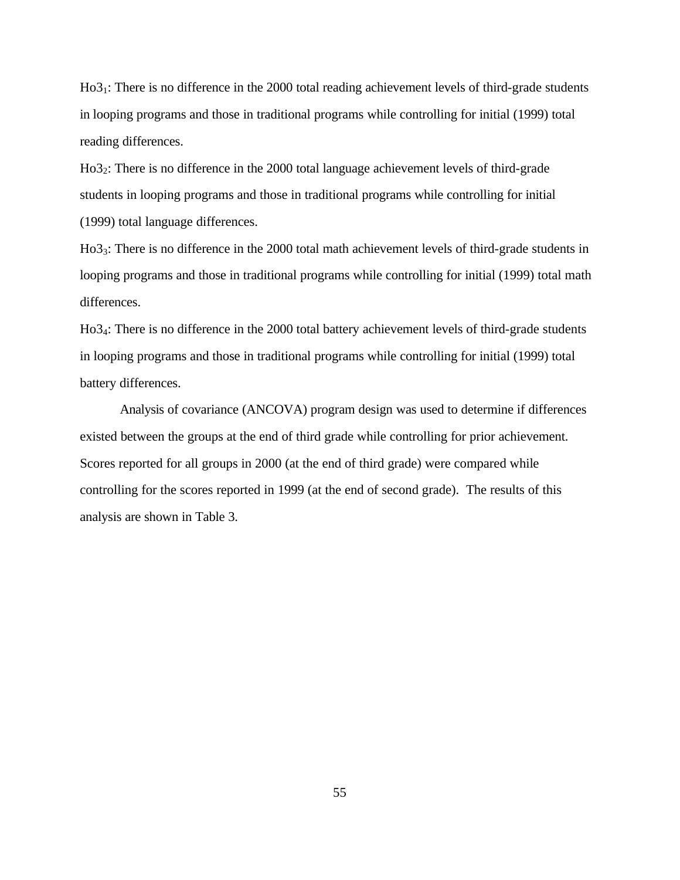Ho31: There is no difference in the 2000 total reading achievement levels of third-grade students in looping programs and those in traditional programs while controlling for initial (1999) total reading differences.

Ho32: There is no difference in the 2000 total language achievement levels of third-grade students in looping programs and those in traditional programs while controlling for initial (1999) total language differences.

Ho33: There is no difference in the 2000 total math achievement levels of third-grade students in looping programs and those in traditional programs while controlling for initial (1999) total math differences.

Ho34: There is no difference in the 2000 total battery achievement levels of third-grade students in looping programs and those in traditional programs while controlling for initial (1999) total battery differences.

Analysis of covariance (ANCOVA) program design was used to determine if differences existed between the groups at the end of third grade while controlling for prior achievement. Scores reported for all groups in 2000 (at the end of third grade) were compared while controlling for the scores reported in 1999 (at the end of second grade). The results of this analysis are shown in Table 3.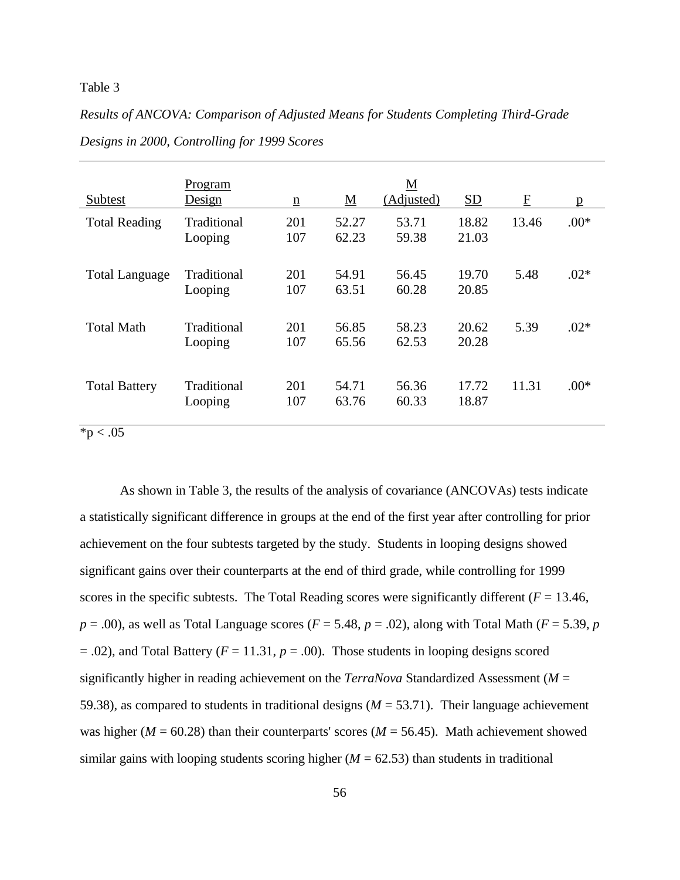#### Table 3

*Results of ANCOVA: Comparison of Adjusted Means for Students Completing Third-Grade* 

| Subtest               | Program<br>Design      | $\underline{\mathbf{n}}$ | $\underline{\mathbf{M}}$ | M<br>(Adjusted) | SD             | $\mathbf{F}$ | p      |
|-----------------------|------------------------|--------------------------|--------------------------|-----------------|----------------|--------------|--------|
| <b>Total Reading</b>  | Traditional<br>Looping | 201<br>107               | 52.27<br>62.23           | 53.71<br>59.38  | 18.82<br>21.03 | 13.46        | $.00*$ |
| <b>Total Language</b> | Traditional<br>Looping | 201<br>107               | 54.91<br>63.51           | 56.45<br>60.28  | 19.70<br>20.85 | 5.48         | $.02*$ |
| <b>Total Math</b>     | Traditional<br>Looping | 201<br>107               | 56.85<br>65.56           | 58.23<br>62.53  | 20.62<br>20.28 | 5.39         | $.02*$ |
| <b>Total Battery</b>  | Traditional<br>Looping | 201<br>107               | 54.71<br>63.76           | 56.36<br>60.33  | 17.72<br>18.87 | 11.31        | $.00*$ |

*Designs in 2000, Controlling for 1999 Scores*

 $*p < .05$ 

As shown in Table 3, the results of the analysis of covariance (ANCOVAs) tests indicate a statistically significant difference in groups at the end of the first year after controlling for prior achievement on the four subtests targeted by the study. Students in looping designs showed significant gains over their counterparts at the end of third grade, while controlling for 1999 scores in the specific subtests. The Total Reading scores were significantly different ( $F = 13.46$ ,  $p = .00$ , as well as Total Language scores ( $F = 5.48$ ,  $p = .02$ ), along with Total Math ( $F = 5.39$ ,  $p = .00$ )  $= .02$ ), and Total Battery ( $F = 11.31$ ,  $p = .00$ ). Those students in looping designs scored significantly higher in reading achievement on the *TerraNova* Standardized Assessment (*M* = 59.38), as compared to students in traditional designs (*M* = 53.71). Their language achievement was higher ( $M = 60.28$ ) than their counterparts' scores ( $M = 56.45$ ). Math achievement showed similar gains with looping students scoring higher  $(M = 62.53)$  than students in traditional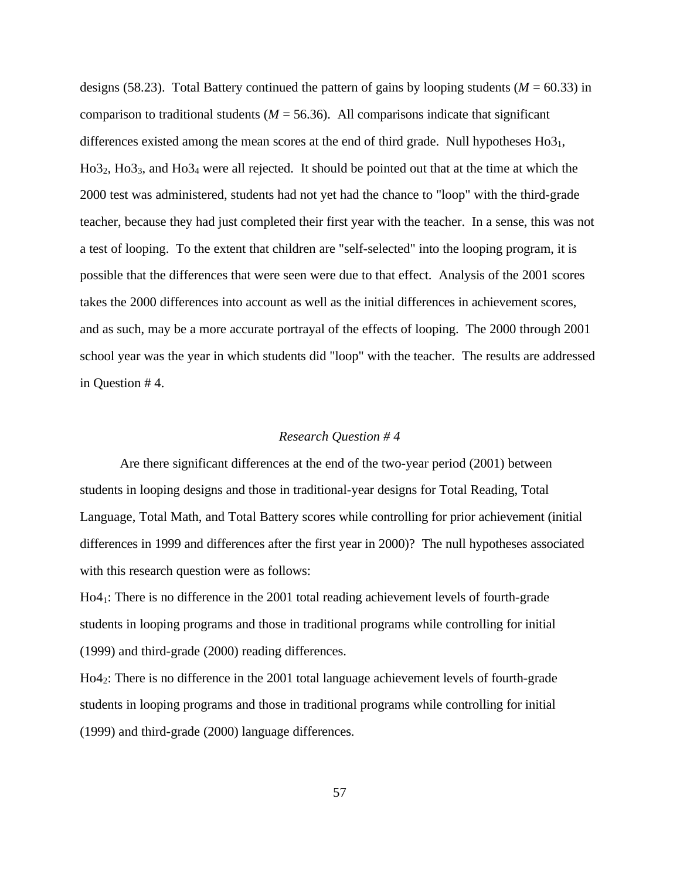designs (58.23). Total Battery continued the pattern of gains by looping students ( $M = 60.33$ ) in comparison to traditional students ( $M = 56.36$ ). All comparisons indicate that significant differences existed among the mean scores at the end of third grade. Null hypotheses  $H<sub>03<sub>1</sub></sub>$ ,  $H<sub>03<sub>2</sub></sub>$ ,  $H<sub>03<sub>3</sub></sub>$ , and  $H<sub>03<sub>4</sub></sub>$  were all rejected. It should be pointed out that at the time at which the 2000 test was administered, students had not yet had the chance to "loop" with the third-grade teacher, because they had just completed their first year with the teacher. In a sense, this was not a test of looping. To the extent that children are "self-selected" into the looping program, it is possible that the differences that were seen were due to that effect. Analysis of the 2001 scores takes the 2000 differences into account as well as the initial differences in achievement scores, and as such, may be a more accurate portrayal of the effects of looping. The 2000 through 2001 school year was the year in which students did "loop" with the teacher. The results are addressed in Question # 4.

#### *Research Question # 4*

Are there significant differences at the end of the two-year period (2001) between students in looping designs and those in traditional-year designs for Total Reading, Total Language, Total Math, and Total Battery scores while controlling for prior achievement (initial differences in 1999 and differences after the first year in 2000)? The null hypotheses associated with this research question were as follows:

Ho41: There is no difference in the 2001 total reading achievement levels of fourth-grade students in looping programs and those in traditional programs while controlling for initial (1999) and third-grade (2000) reading differences.

Ho42: There is no difference in the 2001 total language achievement levels of fourth-grade students in looping programs and those in traditional programs while controlling for initial (1999) and third-grade (2000) language differences.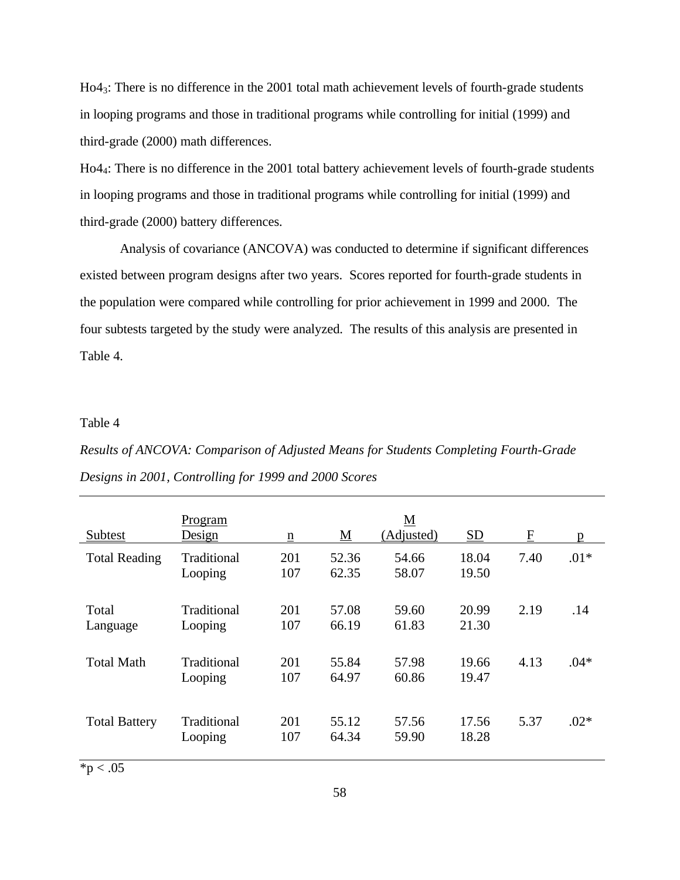Ho43: There is no difference in the 2001 total math achievement levels of fourth-grade students in looping programs and those in traditional programs while controlling for initial (1999) and third-grade (2000) math differences.

Ho44: There is no difference in the 2001 total battery achievement levels of fourth-grade students in looping programs and those in traditional programs while controlling for initial (1999) and third-grade (2000) battery differences.

Analysis of covariance (ANCOVA) was conducted to determine if significant differences existed between program designs after two years. Scores reported for fourth-grade students in the population were compared while controlling for prior achievement in 1999 and 2000. The four subtests targeted by the study were analyzed. The results of this analysis are presented in Table 4.

### Table 4

# *Results of ANCOVA: Comparison of Adjusted Means for Students Completing Fourth-Grade Designs in 2001, Controlling for 1999 and 2000 Scores*

| Subtest              | Program<br>Design      | $\underline{n}$ | $\underline{\mathbf{M}}$ | $\underline{\mathbf{M}}$<br>(Adjusted) | $\underline{\mathrm{SD}}$ | $\overline{E}$ | p      |
|----------------------|------------------------|-----------------|--------------------------|----------------------------------------|---------------------------|----------------|--------|
| <b>Total Reading</b> | Traditional<br>Looping | 201<br>107      | 52.36<br>62.35           | 54.66<br>58.07                         | 18.04<br>19.50            | 7.40           | $.01*$ |
| Total<br>Language    | Traditional<br>Looping | 201<br>107      | 57.08<br>66.19           | 59.60<br>61.83                         | 20.99<br>21.30            | 2.19           | .14    |
| <b>Total Math</b>    | Traditional<br>Looping | 201<br>107      | 55.84<br>64.97           | 57.98<br>60.86                         | 19.66<br>19.47            | 4.13           | $.04*$ |
| <b>Total Battery</b> | Traditional<br>Looping | 201<br>107      | 55.12<br>64.34           | 57.56<br>59.90                         | 17.56<br>18.28            | 5.37           | $.02*$ |

 $*p < .05$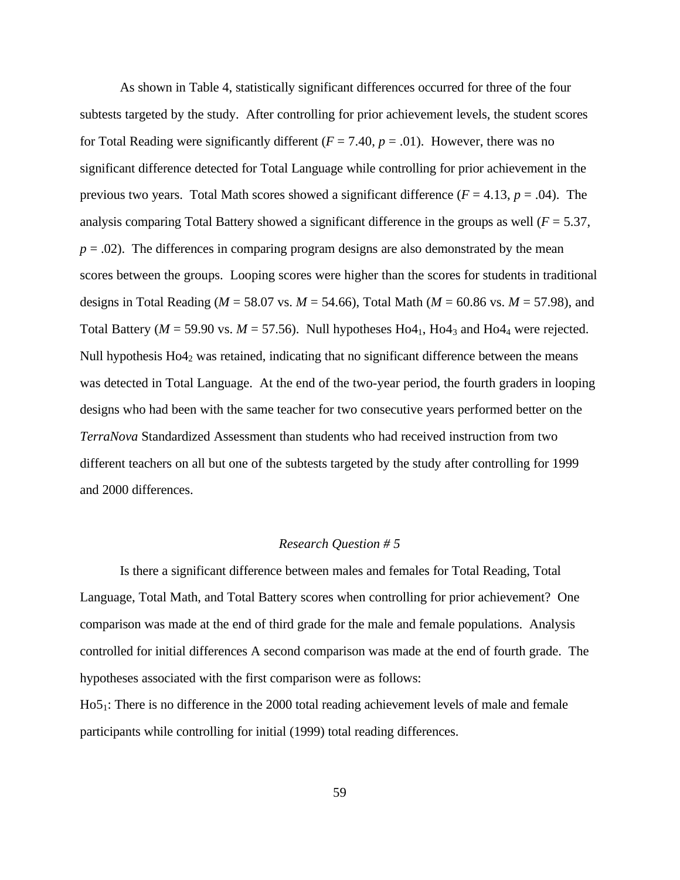As shown in Table 4, statistically significant differences occurred for three of the four subtests targeted by the study. After controlling for prior achievement levels, the student scores for Total Reading were significantly different  $(F = 7.40, p = .01)$ . However, there was no significant difference detected for Total Language while controlling for prior achievement in the previous two years. Total Math scores showed a significant difference  $(F = 4.13, p = .04)$ . The analysis comparing Total Battery showed a significant difference in the groups as well  $(F = 5.37,$  $p = .02$ ). The differences in comparing program designs are also demonstrated by the mean scores between the groups. Looping scores were higher than the scores for students in traditional designs in Total Reading (*M* = 58.07 vs. *M* = 54.66), Total Math (*M* = 60.86 vs. *M* = 57.98), and Total Battery ( $M = 59.90$  vs.  $M = 57.56$ ). Null hypotheses Ho4<sub>1</sub>, Ho4<sub>3</sub> and Ho4<sub>4</sub> were rejected. Null hypothesis  $H_0A_2$  was retained, indicating that no significant difference between the means was detected in Total Language. At the end of the two-year period, the fourth graders in looping designs who had been with the same teacher for two consecutive years performed better on the *TerraNova* Standardized Assessment than students who had received instruction from two different teachers on all but one of the subtests targeted by the study after controlling for 1999 and 2000 differences.

## *Research Question # 5*

Is there a significant difference between males and females for Total Reading, Total Language, Total Math, and Total Battery scores when controlling for prior achievement? One comparison was made at the end of third grade for the male and female populations. Analysis controlled for initial differences A second comparison was made at the end of fourth grade. The hypotheses associated with the first comparison were as follows:

Ho5<sub>1</sub>: There is no difference in the 2000 total reading achievement levels of male and female participants while controlling for initial (1999) total reading differences.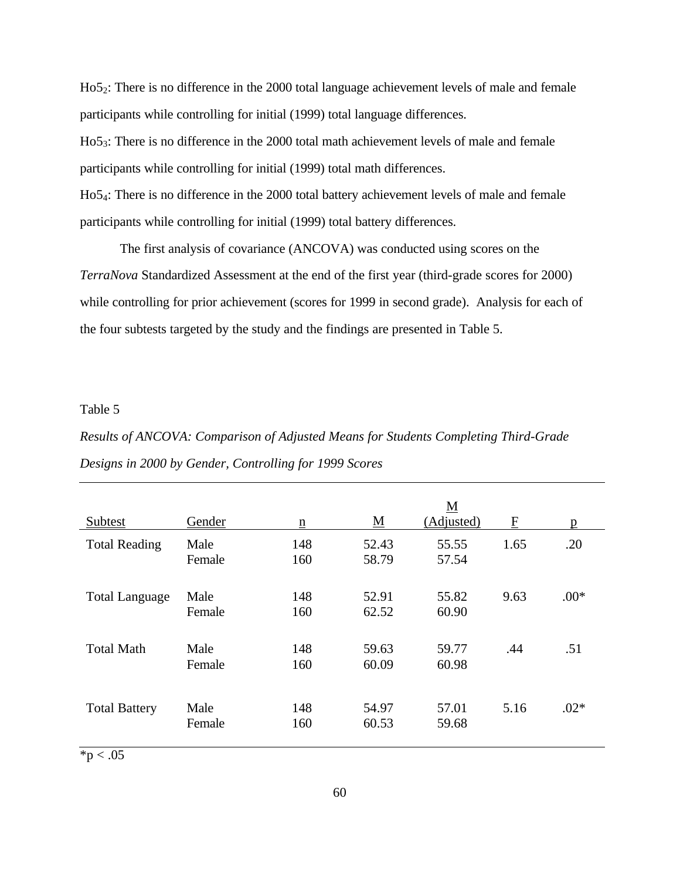Ho52: There is no difference in the 2000 total language achievement levels of male and female participants while controlling for initial (1999) total language differences. Ho53: There is no difference in the 2000 total math achievement levels of male and female participants while controlling for initial (1999) total math differences. Ho54: There is no difference in the 2000 total battery achievement levels of male and female participants while controlling for initial (1999) total battery differences.

The first analysis of covariance (ANCOVA) was conducted using scores on the *TerraNova* Standardized Assessment at the end of the first year (third-grade scores for 2000) while controlling for prior achievement (scores for 1999 in second grade). Analysis for each of the four subtests targeted by the study and the findings are presented in Table 5.

## Table 5

*Results of ANCOVA: Comparison of Adjusted Means for Students Completing Third-Grade Designs in 2000 by Gender, Controlling for 1999 Scores*

| Subtest               | Gender         | $\underline{n}$ | $\underline{\mathbf{M}}$ | $\underline{\mathbf{M}}$<br>(Adjusted) | $\overline{\mathrm{E}}$ | $\mathbf{p}$ |
|-----------------------|----------------|-----------------|--------------------------|----------------------------------------|-------------------------|--------------|
| <b>Total Reading</b>  | Male<br>Female | 148<br>160      | 52.43<br>58.79           | 55.55<br>57.54                         | 1.65                    | .20          |
| <b>Total Language</b> | Male<br>Female | 148<br>160      | 52.91<br>62.52           | 55.82<br>60.90                         | 9.63                    | $.00*$       |
| <b>Total Math</b>     | Male<br>Female | 148<br>160      | 59.63<br>60.09           | 59.77<br>60.98                         | .44                     | .51          |
| <b>Total Battery</b>  | Male<br>Female | 148<br>160      | 54.97<br>60.53           | 57.01<br>59.68                         | 5.16                    | $.02*$       |

 $*p < .05$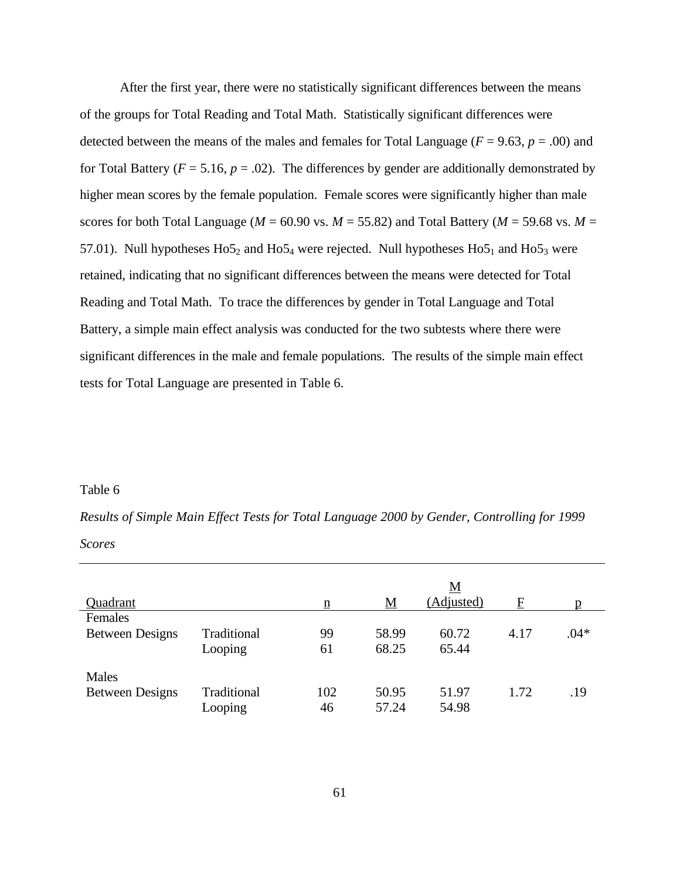After the first year, there were no statistically significant differences between the means of the groups for Total Reading and Total Math. Statistically significant differences were detected between the means of the males and females for Total Language ( $F = 9.63$ ,  $p = .00$ ) and for Total Battery ( $F = 5.16$ ,  $p = .02$ ). The differences by gender are additionally demonstrated by higher mean scores by the female population. Female scores were significantly higher than male scores for both Total Language ( $M = 60.90$  vs.  $M = 55.82$ ) and Total Battery ( $M = 59.68$  vs.  $M =$ 57.01). Null hypotheses  $H<sub>05<sub>2</sub></sub>$  and  $H<sub>05<sub>4</sub></sub>$  were rejected. Null hypotheses  $H<sub>05<sub>1</sub></sub>$  and  $H<sub>05<sub>3</sub></sub>$  were retained, indicating that no significant differences between the means were detected for Total Reading and Total Math. To trace the differences by gender in Total Language and Total Battery, a simple main effect analysis was conducted for the two subtests where there were significant differences in the male and female populations. The results of the simple main effect tests for Total Language are presented in Table 6.

#### Table 6

*Results of Simple Main Effect Tests for Total Language 2000 by Gender, Controlling for 1999 Scores*

|                        |             |                          |          | M          |      |        |
|------------------------|-------------|--------------------------|----------|------------|------|--------|
| Quadrant               |             | $\underline{\mathbf{n}}$ | <u>M</u> | (Adjusted) | F    |        |
| Females                |             |                          |          |            |      |        |
| <b>Between Designs</b> | Traditional | 99                       | 58.99    | 60.72      | 4.17 | $.04*$ |
|                        | Looping     | 61                       | 68.25    | 65.44      |      |        |
| Males                  |             |                          |          |            |      |        |
| <b>Between Designs</b> | Traditional | 102                      | 50.95    | 51.97      | 1.72 | .19    |
|                        | Looping     | 46                       | 57.24    | 54.98      |      |        |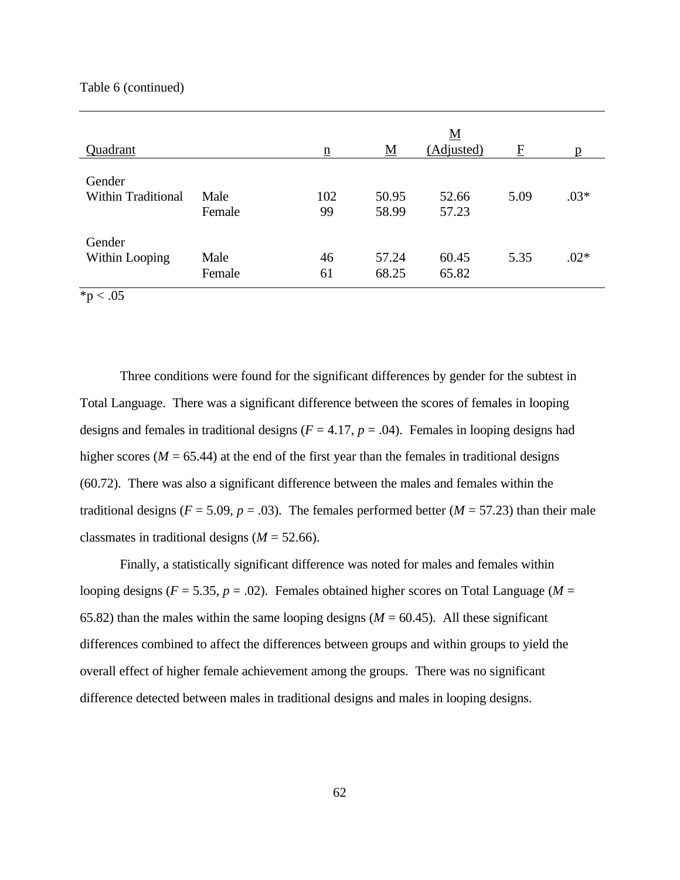#### Table 6 (continued)

| Quadrant                     |                | $\underline{n}$ | $\underline{\mathbf{M}}$ | <u>M</u><br>(Adjusted) | $\boldsymbol{F}$ | p      |
|------------------------------|----------------|-----------------|--------------------------|------------------------|------------------|--------|
| Gender<br>Within Traditional | Male<br>Female | 102<br>99       | 50.95<br>58.99           | 52.66<br>57.23         | 5.09             | $.03*$ |
| Gender<br>Within Looping     | Male<br>Female | 46<br>61        | 57.24<br>68.25           | 60.45<br>65.82         | 5.35             | $.02*$ |

 $*p < .05$ 

Three conditions were found for the significant differences by gender for the subtest in Total Language. There was a significant difference between the scores of females in looping designs and females in traditional designs  $(F = 4.17, p = .04)$ . Females in looping designs had higher scores ( $M = 65.44$ ) at the end of the first year than the females in traditional designs (60.72). There was also a significant difference between the males and females within the traditional designs ( $F = 5.09$ ,  $p = .03$ ). The females performed better ( $M = 57.23$ ) than their male classmates in traditional designs  $(M = 52.66)$ .

Finally, a statistically significant difference was noted for males and females within looping designs ( $F = 5.35$ ,  $p = .02$ ). Females obtained higher scores on Total Language ( $M =$ 65.82) than the males within the same looping designs  $(M = 60.45)$ . All these significant differences combined to affect the differences between groups and within groups to yield the overall effect of higher female achievement among the groups. There was no significant difference detected between males in traditional designs and males in looping designs.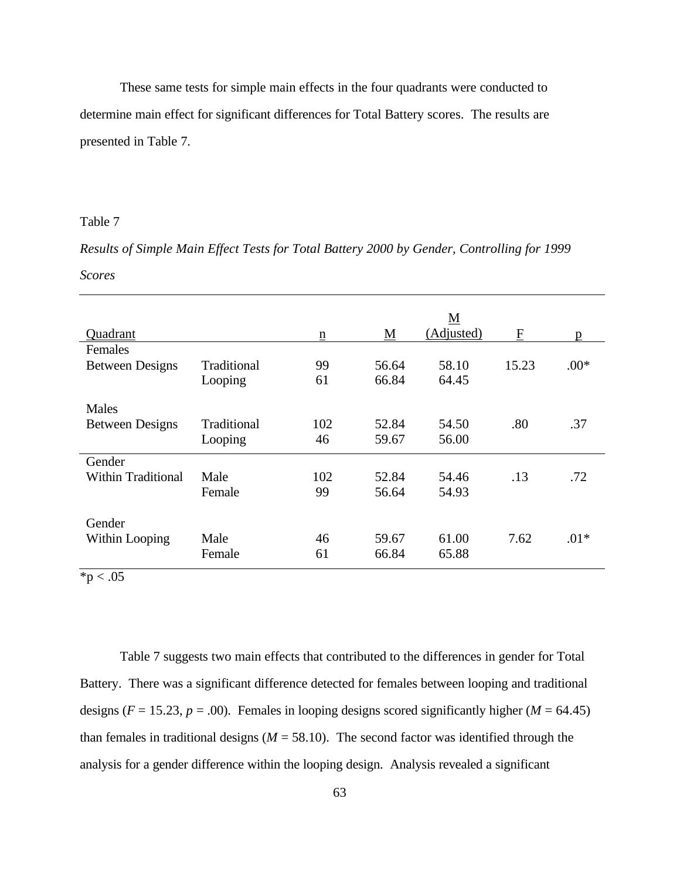These same tests for simple main effects in the four quadrants were conducted to determine main effect for significant differences for Total Battery scores. The results are presented in Table 7.

## Table 7

*Results of Simple Main Effect Tests for Total Battery 2000 by Gender, Controlling for 1999 Scores*

|                           |             |                          |          | $\underline{\mathbf{M}}$ |       |        |
|---------------------------|-------------|--------------------------|----------|--------------------------|-------|--------|
| Quadrant                  |             | $\underline{\mathbf{n}}$ | <u>M</u> | (Adjusted)               | E     | p      |
| Females                   |             |                          |          |                          |       |        |
| <b>Between Designs</b>    | Traditional | 99                       | 56.64    | 58.10                    | 15.23 | $.00*$ |
|                           | Looping     | 61                       | 66.84    | 64.45                    |       |        |
| <b>Males</b>              |             |                          |          |                          |       |        |
| <b>Between Designs</b>    | Traditional | 102                      | 52.84    | 54.50                    | .80   | .37    |
|                           | Looping     | 46                       | 59.67    | 56.00                    |       |        |
| Gender                    |             |                          |          |                          |       |        |
| <b>Within Traditional</b> | Male        | 102                      | 52.84    | 54.46                    | .13   | .72    |
|                           | Female      | 99                       | 56.64    | 54.93                    |       |        |
| Gender                    |             |                          |          |                          |       |        |
| Within Looping            | Male        | 46                       | 59.67    | 61.00                    | 7.62  | $.01*$ |
|                           | Female      | 61                       | 66.84    | 65.88                    |       |        |

 $*p < .05$ 

Table 7 suggests two main effects that contributed to the differences in gender for Total Battery. There was a significant difference detected for females between looping and traditional designs ( $F = 15.23$ ,  $p = .00$ ). Females in looping designs scored significantly higher ( $M = 64.45$ ) than females in traditional designs ( $M = 58.10$ ). The second factor was identified through the analysis for a gender difference within the looping design. Analysis revealed a significant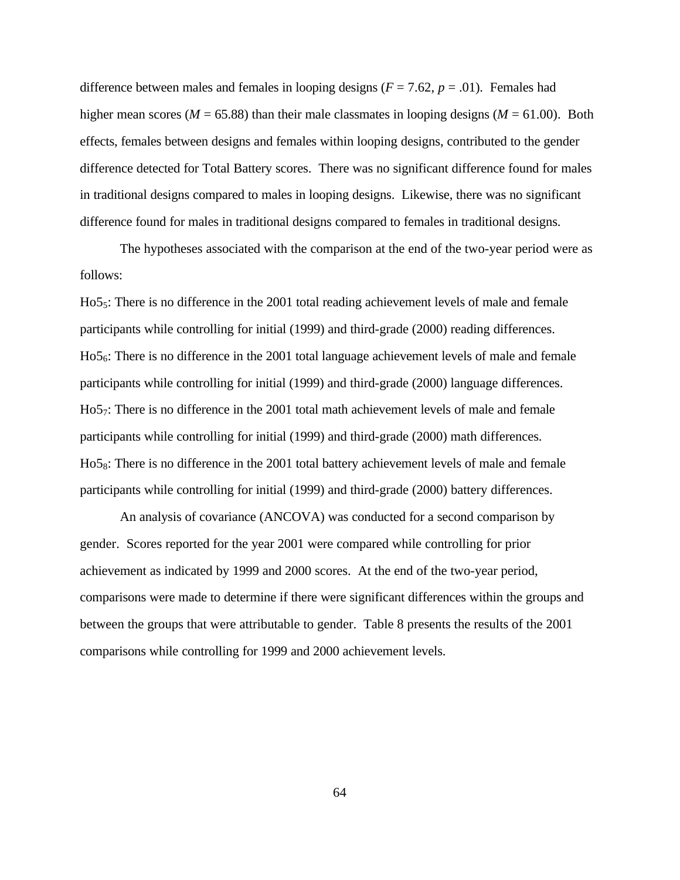difference between males and females in looping designs  $(F = 7.62, p = .01)$ . Females had higher mean scores ( $M = 65.88$ ) than their male classmates in looping designs ( $M = 61.00$ ). Both effects, females between designs and females within looping designs, contributed to the gender difference detected for Total Battery scores. There was no significant difference found for males in traditional designs compared to males in looping designs. Likewise, there was no significant difference found for males in traditional designs compared to females in traditional designs.

The hypotheses associated with the comparison at the end of the two-year period were as follows:

Ho55: There is no difference in the 2001 total reading achievement levels of male and female participants while controlling for initial (1999) and third-grade (2000) reading differences. Ho56: There is no difference in the 2001 total language achievement levels of male and female participants while controlling for initial (1999) and third-grade (2000) language differences. Ho5<sub>7</sub>: There is no difference in the 2001 total math achievement levels of male and female participants while controlling for initial (1999) and third-grade (2000) math differences. Ho58: There is no difference in the 2001 total battery achievement levels of male and female participants while controlling for initial (1999) and third-grade (2000) battery differences.

An analysis of covariance (ANCOVA) was conducted for a second comparison by gender. Scores reported for the year 2001 were compared while controlling for prior achievement as indicated by 1999 and 2000 scores. At the end of the two-year period, comparisons were made to determine if there were significant differences within the groups and between the groups that were attributable to gender. Table 8 presents the results of the 2001 comparisons while controlling for 1999 and 2000 achievement levels.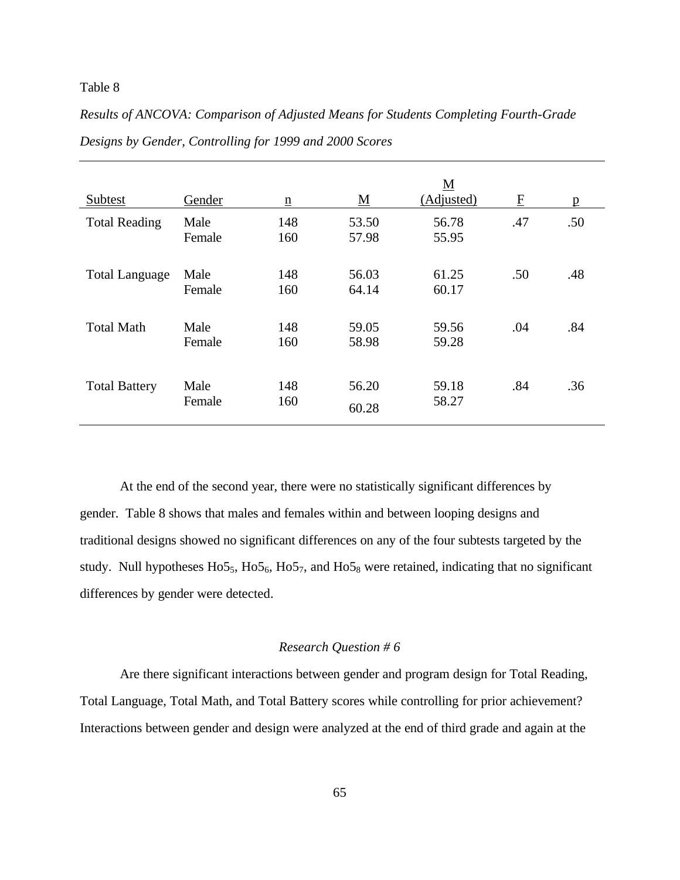## Table 8

| Results of ANCOVA: Comparison of Adjusted Means for Students Completing Fourth-Grade |  |
|--------------------------------------------------------------------------------------|--|
| Designs by Gender, Controlling for 1999 and 2000 Scores                              |  |

| Subtest               | Gender         | $\underline{n}$ | <u>M</u>       | <u>M</u><br>(Adjusted) | $\overline{\mathrm{E}}$ | $\mathbf{p}$ |
|-----------------------|----------------|-----------------|----------------|------------------------|-------------------------|--------------|
| <b>Total Reading</b>  | Male<br>Female | 148<br>160      | 53.50<br>57.98 | 56.78<br>55.95         | .47                     | .50          |
| <b>Total Language</b> | Male<br>Female | 148<br>160      | 56.03<br>64.14 | 61.25<br>60.17         | .50                     | .48          |
| <b>Total Math</b>     | Male<br>Female | 148<br>160      | 59.05<br>58.98 | 59.56<br>59.28         | .04                     | .84          |
| <b>Total Battery</b>  | Male<br>Female | 148<br>160      | 56.20<br>60.28 | 59.18<br>58.27         | .84                     | .36          |

At the end of the second year, there were no statistically significant differences by gender. Table 8 shows that males and females within and between looping designs and traditional designs showed no significant differences on any of the four subtests targeted by the study. Null hypotheses  $H<sub>055</sub>$ ,  $H<sub>056</sub>$ ,  $H<sub>057</sub>$ , and  $H<sub>058</sub>$  were retained, indicating that no significant differences by gender were detected.

#### *Research Question # 6*

Are there significant interactions between gender and program design for Total Reading, Total Language, Total Math, and Total Battery scores while controlling for prior achievement? Interactions between gender and design were analyzed at the end of third grade and again at the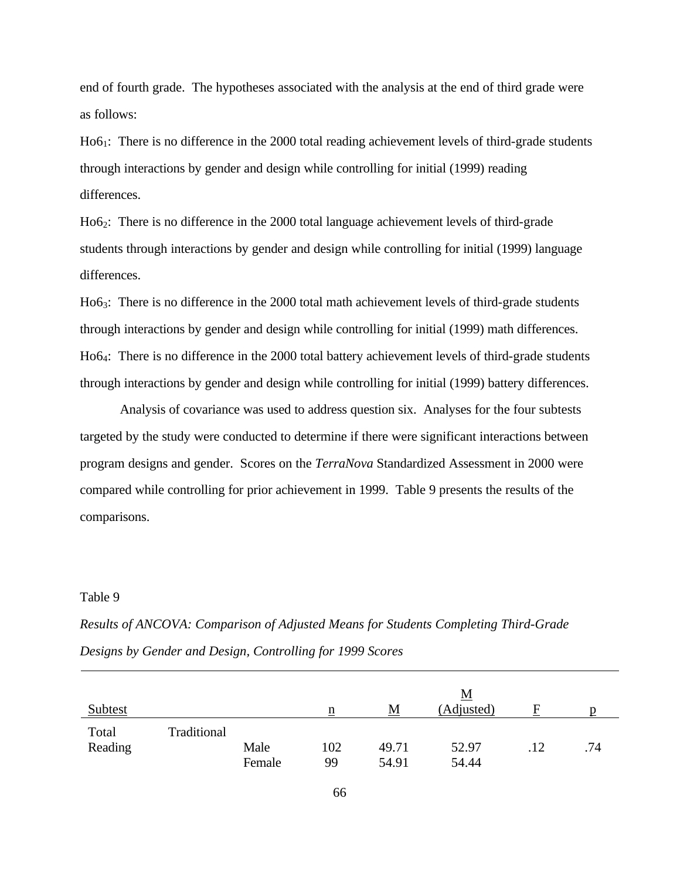end of fourth grade. The hypotheses associated with the analysis at the end of third grade were as follows:

Ho61: There is no difference in the 2000 total reading achievement levels of third-grade students through interactions by gender and design while controlling for initial (1999) reading differences.

Ho62: There is no difference in the 2000 total language achievement levels of third-grade students through interactions by gender and design while controlling for initial (1999) language differences.

Ho6<sub>3</sub>: There is no difference in the 2000 total math achievement levels of third-grade students through interactions by gender and design while controlling for initial (1999) math differences. Ho64: There is no difference in the 2000 total battery achievement levels of third-grade students through interactions by gender and design while controlling for initial (1999) battery differences.

Analysis of covariance was used to address question six. Analyses for the four subtests targeted by the study were conducted to determine if there were significant interactions between program designs and gender. Scores on the *TerraNova* Standardized Assessment in 2000 were compared while controlling for prior achievement in 1999. Table 9 presents the results of the comparisons.

#### Table 9

|                |             |        |     |          | $\underline{\mathbf{M}}$ |     |     |
|----------------|-------------|--------|-----|----------|--------------------------|-----|-----|
| <b>Subtest</b> |             |        | n   | <u>M</u> | (Adjusted)               | F   |     |
| Total          | Traditional |        |     |          |                          |     |     |
| Reading        |             | Male   | 102 | 49.71    | 52.97                    | .12 | .74 |
|                |             | Female | 99  | 54.91    | 54.44                    |     |     |

*Results of ANCOVA: Comparison of Adjusted Means for Students Completing Third-Grade Designs by Gender and Design, Controlling for 1999 Scores*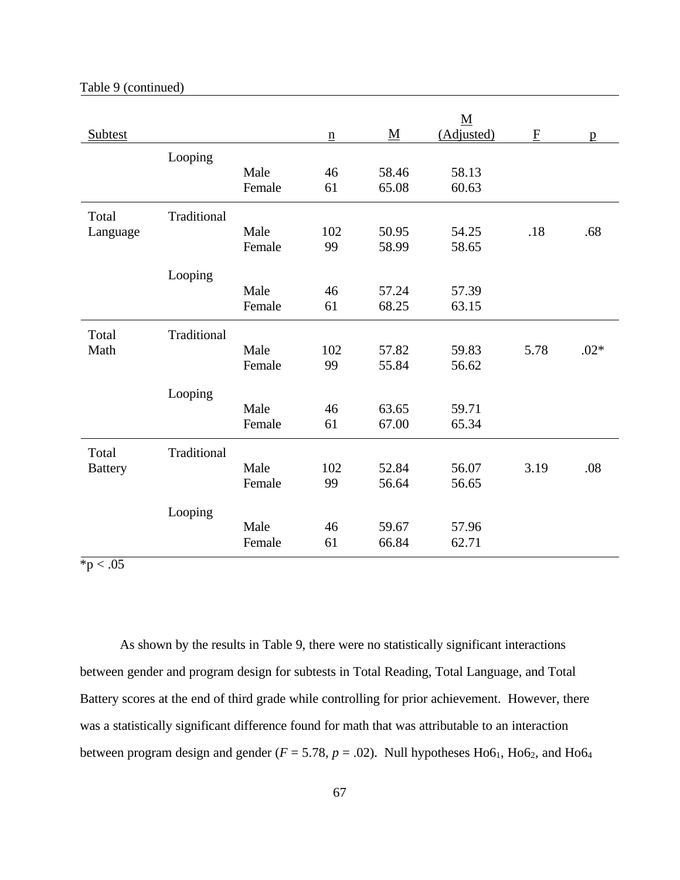| <b>Subtest</b> |             |        | $\underline{\mathbf{n}}$ | $\underline{\mathbf{M}}$ | $\underline{\mathbf{M}}$<br>(Adjusted) | ${\bf F}$ | $\mathbf{p}$ |
|----------------|-------------|--------|--------------------------|--------------------------|----------------------------------------|-----------|--------------|
|                | Looping     |        |                          |                          |                                        |           |              |
|                |             | Male   | 46                       | 58.46                    | 58.13                                  |           |              |
|                |             | Female | 61                       | 65.08                    | 60.63                                  |           |              |
| Total          | Traditional |        |                          |                          |                                        |           |              |
| Language       |             | Male   | 102                      | 50.95                    | 54.25                                  | .18       | .68          |
|                |             | Female | 99                       | 58.99                    | 58.65                                  |           |              |
|                | Looping     |        |                          |                          |                                        |           |              |
|                |             | Male   | 46                       | 57.24                    | 57.39                                  |           |              |
|                |             | Female | 61                       | 68.25                    | 63.15                                  |           |              |
| Total          | Traditional |        |                          |                          |                                        |           |              |
| Math           |             | Male   | 102                      | 57.82                    | 59.83                                  | 5.78      | $.02*$       |
|                |             | Female | 99                       | 55.84                    | 56.62                                  |           |              |
|                | Looping     |        |                          |                          |                                        |           |              |
|                |             | Male   | 46                       | 63.65                    | 59.71                                  |           |              |
|                |             | Female | 61                       | 67.00                    | 65.34                                  |           |              |
| Total          | Traditional |        |                          |                          |                                        |           |              |
| <b>Battery</b> |             | Male   | 102                      | 52.84                    | 56.07                                  | 3.19      | .08          |
|                |             | Female | 99                       | 56.64                    | 56.65                                  |           |              |
|                | Looping     |        |                          |                          |                                        |           |              |
|                |             | Male   | 46                       | 59.67                    | 57.96                                  |           |              |
|                |             | Female | 61                       | 66.84                    | 62.71                                  |           |              |

#### Table 9 (continued)

 $p < .05$ 

As shown by the results in Table 9, there were no statistically significant interactions between gender and program design for subtests in Total Reading, Total Language, and Total Battery scores at the end of third grade while controlling for prior achievement. However, there was a statistically significant difference found for math that was attributable to an interaction between program design and gender ( $F = 5.78$ ,  $p = .02$ ). Null hypotheses Ho6<sub>1</sub>, Ho6<sub>2</sub>, and Ho6<sub>4</sub>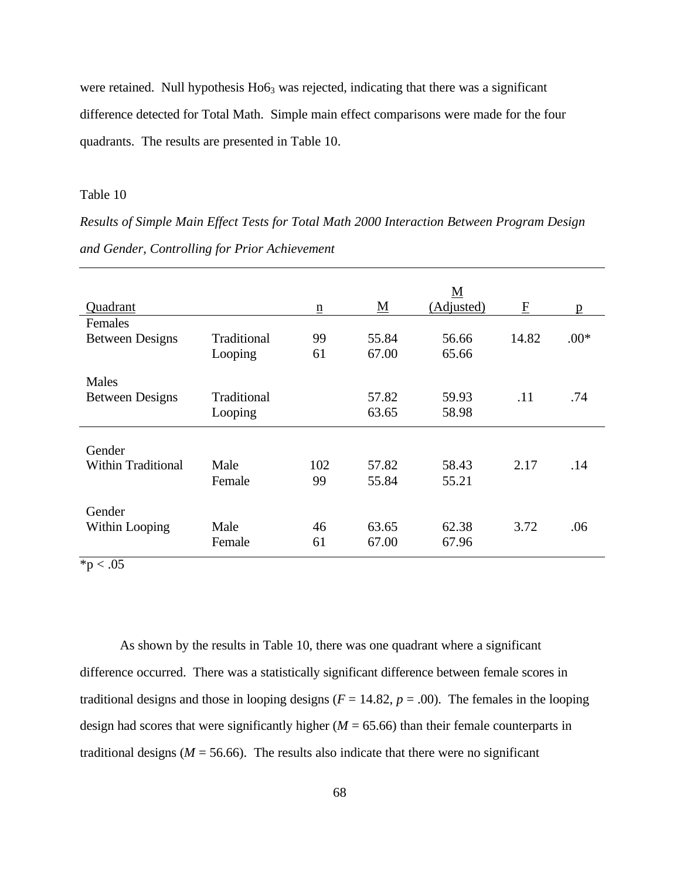were retained. Null hypothesis  $H<sub>063</sub>$  was rejected, indicating that there was a significant difference detected for Total Math. Simple main effect comparisons were made for the four quadrants. The results are presented in Table 10.

#### Table 10

*Results of Simple Main Effect Tests for Total Math 2000 Interaction Between Program Design and Gender, Controlling for Prior Achievement*

|                           |             |                 |                          | <u>M</u>   |             |        |
|---------------------------|-------------|-----------------|--------------------------|------------|-------------|--------|
| Quadrant                  |             | $\underline{n}$ | $\underline{\mathbf{M}}$ | (Adjusted) | $\mathbf F$ | p      |
| Females                   |             |                 |                          |            |             |        |
| <b>Between Designs</b>    | Traditional | 99              | 55.84                    | 56.66      | 14.82       | $.00*$ |
|                           | Looping     | 61              | 67.00                    | 65.66      |             |        |
| Males                     |             |                 |                          |            |             |        |
| <b>Between Designs</b>    | Traditional |                 | 57.82                    | 59.93      | .11         | .74    |
|                           | Looping     |                 | 63.65                    | 58.98      |             |        |
|                           |             |                 |                          |            |             |        |
| Gender                    |             |                 |                          |            |             |        |
| <b>Within Traditional</b> | Male        | 102             | 57.82                    | 58.43      | 2.17        | .14    |
|                           | Female      | 99              | 55.84                    | 55.21      |             |        |
|                           |             |                 |                          |            |             |        |
| Gender                    |             |                 |                          |            |             |        |
| Within Looping            | Male        | 46              | 63.65                    | 62.38      | 3.72        | .06    |
|                           | Female      | 61              | 67.00                    | 67.96      |             |        |

 $*p < .05$ 

As shown by the results in Table 10, there was one quadrant where a significant difference occurred. There was a statistically significant difference between female scores in traditional designs and those in looping designs ( $F = 14.82$ ,  $p = .00$ ). The females in the looping design had scores that were significantly higher (*M* = 65.66) than their female counterparts in traditional designs ( $M = 56.66$ ). The results also indicate that there were no significant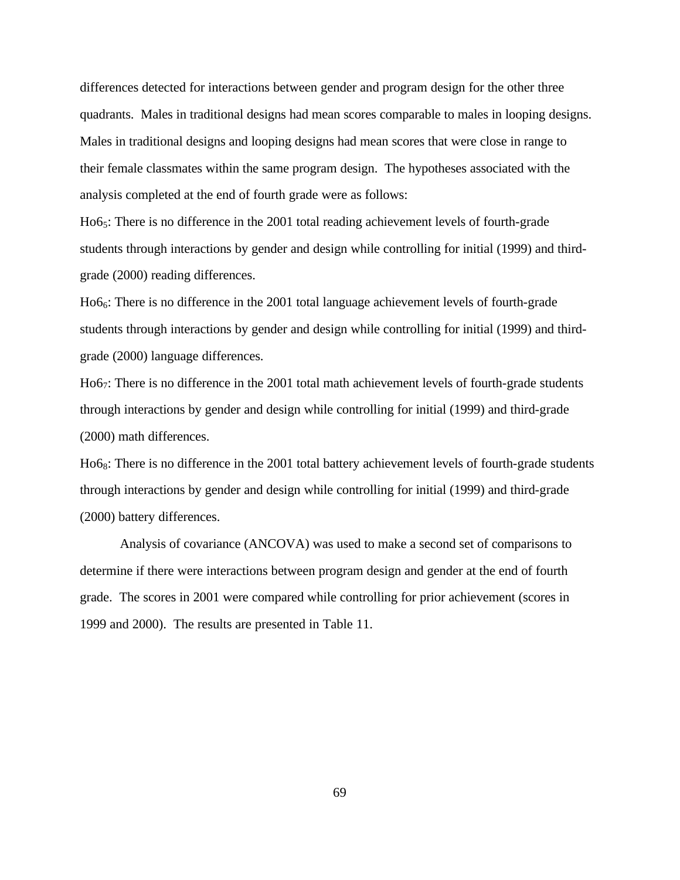differences detected for interactions between gender and program design for the other three quadrants. Males in traditional designs had mean scores comparable to males in looping designs. Males in traditional designs and looping designs had mean scores that were close in range to their female classmates within the same program design. The hypotheses associated with the analysis completed at the end of fourth grade were as follows:

Ho6<sub>5</sub>: There is no difference in the 2001 total reading achievement levels of fourth-grade students through interactions by gender and design while controlling for initial (1999) and thirdgrade (2000) reading differences.

 $Ho6<sub>6</sub>$ : There is no difference in the 2001 total language achievement levels of fourth-grade students through interactions by gender and design while controlling for initial (1999) and thirdgrade (2000) language differences.

Ho67: There is no difference in the 2001 total math achievement levels of fourth-grade students through interactions by gender and design while controlling for initial (1999) and third-grade (2000) math differences.

Ho68: There is no difference in the 2001 total battery achievement levels of fourth-grade students through interactions by gender and design while controlling for initial (1999) and third-grade (2000) battery differences.

Analysis of covariance (ANCOVA) was used to make a second set of comparisons to determine if there were interactions between program design and gender at the end of fourth grade. The scores in 2001 were compared while controlling for prior achievement (scores in 1999 and 2000). The results are presented in Table 11.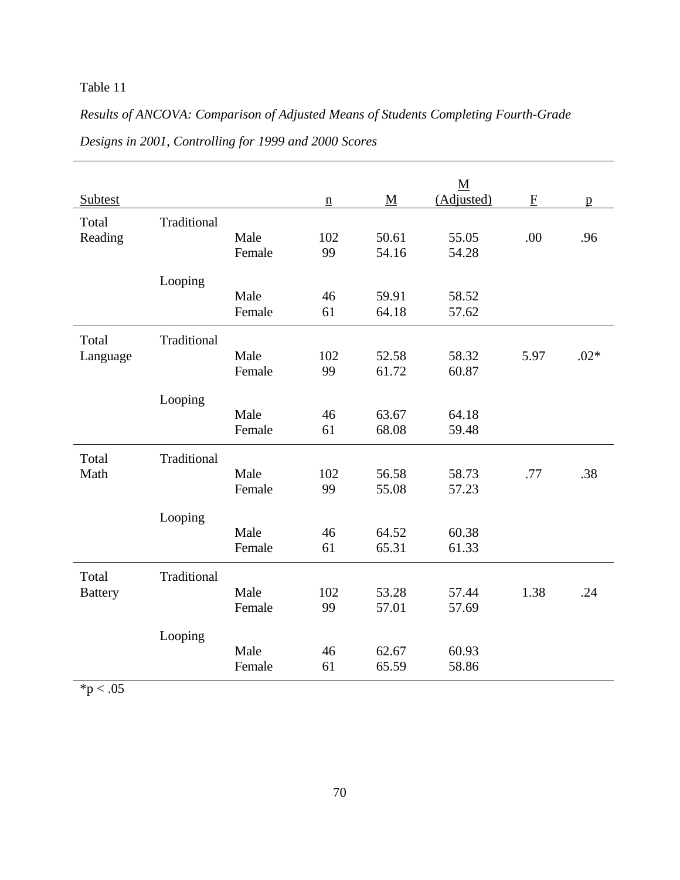## Table 11

# *Results of ANCOVA: Comparison of Adjusted Means of Students Completing Fourth-Grade Designs in 2001, Controlling for 1999 and 2000 Scores*

|                         |             |                |                 |                          | $\underline{\mathbf{M}}$ |              |              |
|-------------------------|-------------|----------------|-----------------|--------------------------|--------------------------|--------------|--------------|
| Subtest                 |             |                | $\underline{n}$ | $\underline{\mathbf{M}}$ | (Adjusted)               | $\mathbf{F}$ | $\mathbf{p}$ |
| Total<br>Reading        | Traditional | Male<br>Female | 102<br>99       | 50.61<br>54.16           | 55.05<br>54.28           | .00          | .96          |
|                         | Looping     | Male<br>Female | 46<br>61        | 59.91<br>64.18           | 58.52<br>57.62           |              |              |
|                         |             |                |                 |                          |                          |              |              |
| Total<br>Language       | Traditional | Male<br>Female | 102<br>99       | 52.58<br>61.72           | 58.32<br>60.87           | 5.97         | $.02*$       |
|                         | Looping     | Male<br>Female | 46<br>61        | 63.67<br>68.08           | 64.18<br>59.48           |              |              |
| Total<br>Math           | Traditional | Male<br>Female | 102<br>99       | 56.58<br>55.08           | 58.73<br>57.23           | .77          | .38          |
|                         | Looping     | Male<br>Female | 46<br>61        | 64.52<br>65.31           | 60.38<br>61.33           |              |              |
| Total<br><b>Battery</b> | Traditional | Male<br>Female | 102<br>99       | 53.28<br>57.01           | 57.44<br>57.69           | 1.38         | .24          |
|                         | Looping     | Male<br>Female | 46<br>61        | 62.67<br>65.59           | 60.93<br>58.86           |              |              |

 $*p < .05$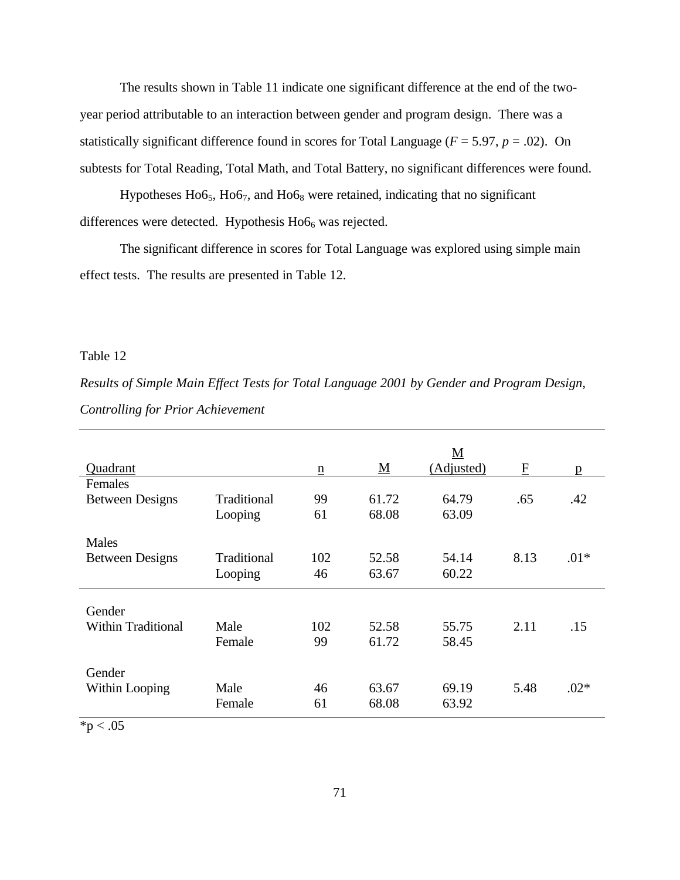The results shown in Table 11 indicate one significant difference at the end of the twoyear period attributable to an interaction between gender and program design. There was a statistically significant difference found in scores for Total Language ( $F = 5.97$ ,  $p = .02$ ). On subtests for Total Reading, Total Math, and Total Battery, no significant differences were found.

Hypotheses  $H$ 06<sub>5</sub>,  $H$ 06<sub>7</sub>, and  $H$ 06<sub>8</sub> were retained, indicating that no significant differences were detected. Hypothesis  $H$ o $6$ <sub>6</sub> was rejected.

The significant difference in scores for Total Language was explored using simple main effect tests. The results are presented in Table 12.

## Table 12

*Results of Simple Main Effect Tests for Total Language 2001 by Gender and Program Design, Controlling for Prior Achievement*

| p      |
|--------|
|        |
| .42    |
|        |
|        |
|        |
| $.01*$ |
|        |
|        |
|        |
| .15    |
|        |
|        |
|        |
| $.02*$ |
|        |
|        |

 $*p < .05$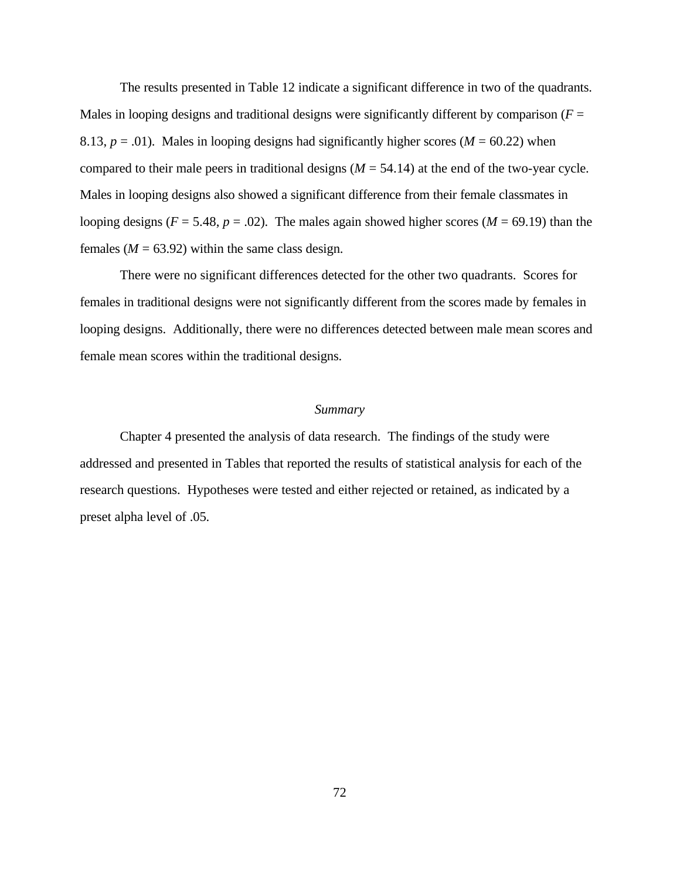The results presented in Table 12 indicate a significant difference in two of the quadrants. Males in looping designs and traditional designs were significantly different by comparison  $(F =$ 8.13,  $p = .01$ ). Males in looping designs had significantly higher scores ( $M = 60.22$ ) when compared to their male peers in traditional designs  $(M = 54.14)$  at the end of the two-year cycle. Males in looping designs also showed a significant difference from their female classmates in looping designs ( $F = 5.48$ ,  $p = .02$ ). The males again showed higher scores ( $M = 69.19$ ) than the females ( $M = 63.92$ ) within the same class design.

There were no significant differences detected for the other two quadrants. Scores for females in traditional designs were not significantly different from the scores made by females in looping designs. Additionally, there were no differences detected between male mean scores and female mean scores within the traditional designs.

## *Summary*

Chapter 4 presented the analysis of data research. The findings of the study were addressed and presented in Tables that reported the results of statistical analysis for each of the research questions. Hypotheses were tested and either rejected or retained, as indicated by a preset alpha level of .05.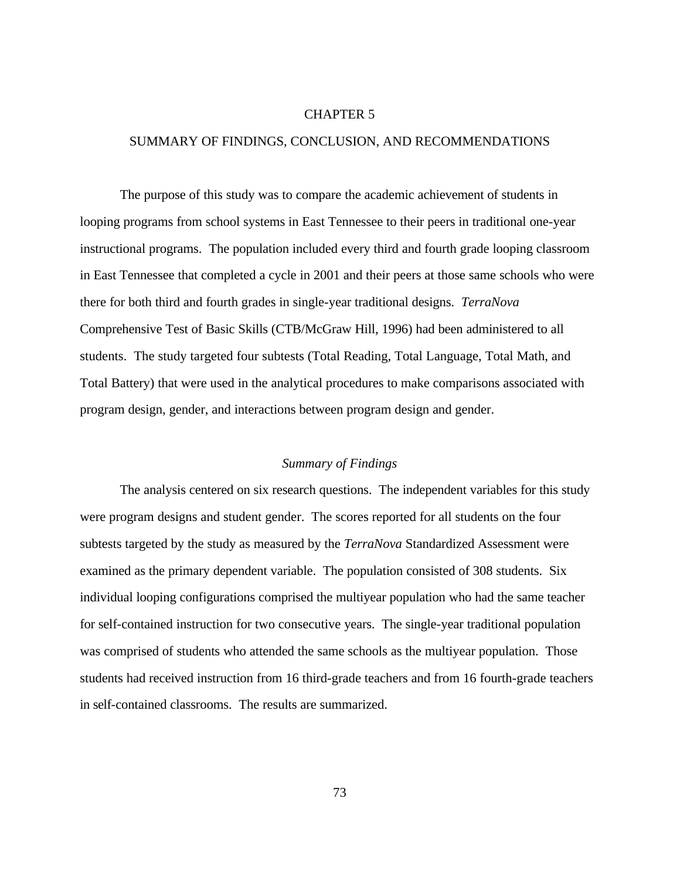#### CHAPTER 5

#### SUMMARY OF FINDINGS, CONCLUSION, AND RECOMMENDATIONS

The purpose of this study was to compare the academic achievement of students in looping programs from school systems in East Tennessee to their peers in traditional one-year instructional programs. The population included every third and fourth grade looping classroom in East Tennessee that completed a cycle in 2001 and their peers at those same schools who were there for both third and fourth grades in single-year traditional designs. *TerraNova* Comprehensive Test of Basic Skills (CTB/McGraw Hill, 1996) had been administered to all students. The study targeted four subtests (Total Reading, Total Language, Total Math, and Total Battery) that were used in the analytical procedures to make comparisons associated with program design, gender, and interactions between program design and gender.

# *Summary of Findings*

The analysis centered on six research questions. The independent variables for this study were program designs and student gender. The scores reported for all students on the four subtests targeted by the study as measured by the *TerraNova* Standardized Assessment were examined as the primary dependent variable. The population consisted of 308 students. Six individual looping configurations comprised the multiyear population who had the same teacher for self-contained instruction for two consecutive years. The single-year traditional population was comprised of students who attended the same schools as the multiyear population. Those students had received instruction from 16 third-grade teachers and from 16 fourth-grade teachers in self-contained classrooms. The results are summarized.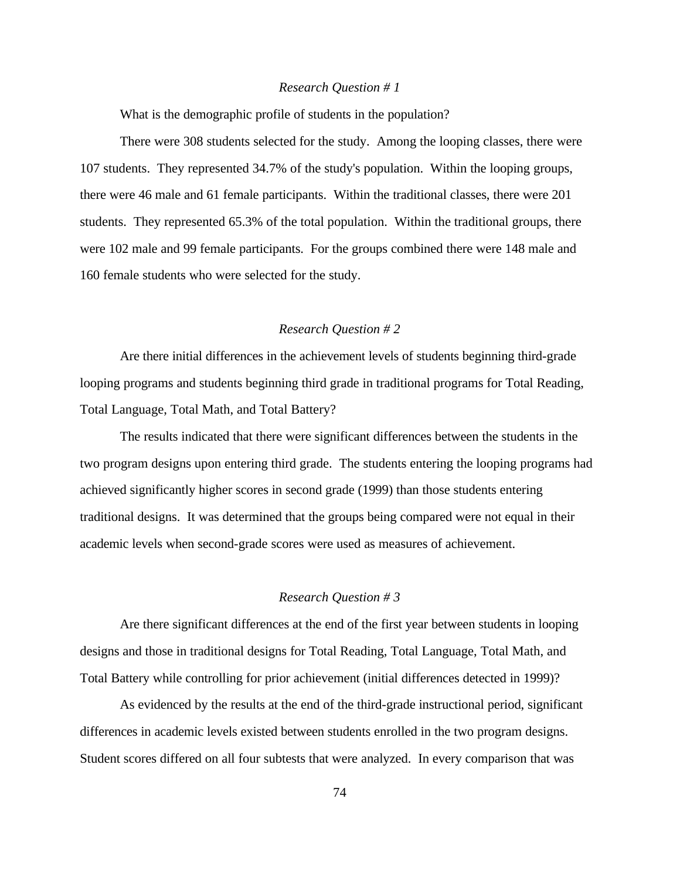#### *Research Question # 1*

What is the demographic profile of students in the population?

There were 308 students selected for the study. Among the looping classes, there were 107 students. They represented 34.7% of the study's population. Within the looping groups, there were 46 male and 61 female participants. Within the traditional classes, there were 201 students. They represented 65.3% of the total population. Within the traditional groups, there were 102 male and 99 female participants. For the groups combined there were 148 male and 160 female students who were selected for the study.

# *Research Question # 2*

Are there initial differences in the achievement levels of students beginning third-grade looping programs and students beginning third grade in traditional programs for Total Reading, Total Language, Total Math, and Total Battery?

The results indicated that there were significant differences between the students in the two program designs upon entering third grade. The students entering the looping programs had achieved significantly higher scores in second grade (1999) than those students entering traditional designs. It was determined that the groups being compared were not equal in their academic levels when second-grade scores were used as measures of achievement.

### *Research Question # 3*

Are there significant differences at the end of the first year between students in looping designs and those in traditional designs for Total Reading, Total Language, Total Math, and Total Battery while controlling for prior achievement (initial differences detected in 1999)?

As evidenced by the results at the end of the third-grade instructional period, significant differences in academic levels existed between students enrolled in the two program designs. Student scores differed on all four subtests that were analyzed. In every comparison that was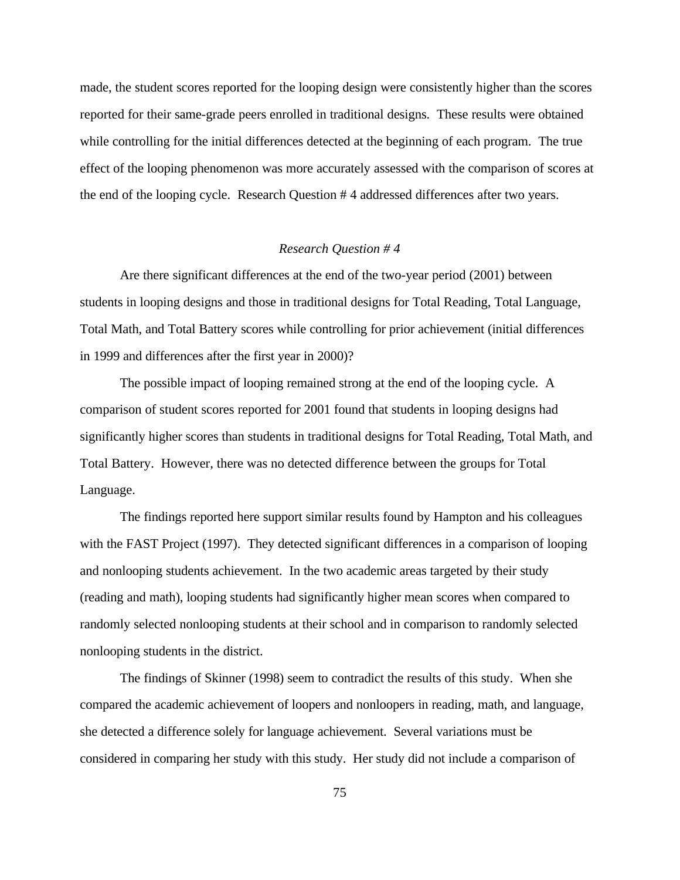made, the student scores reported for the looping design were consistently higher than the scores reported for their same-grade peers enrolled in traditional designs. These results were obtained while controlling for the initial differences detected at the beginning of each program. The true effect of the looping phenomenon was more accurately assessed with the comparison of scores at the end of the looping cycle. Research Question # 4 addressed differences after two years.

# *Research Question # 4*

Are there significant differences at the end of the two-year period (2001) between students in looping designs and those in traditional designs for Total Reading, Total Language, Total Math, and Total Battery scores while controlling for prior achievement (initial differences in 1999 and differences after the first year in 2000)?

The possible impact of looping remained strong at the end of the looping cycle. A comparison of student scores reported for 2001 found that students in looping designs had significantly higher scores than students in traditional designs for Total Reading, Total Math, and Total Battery. However, there was no detected difference between the groups for Total Language.

The findings reported here support similar results found by Hampton and his colleagues with the FAST Project (1997). They detected significant differences in a comparison of looping and nonlooping students achievement. In the two academic areas targeted by their study (reading and math), looping students had significantly higher mean scores when compared to randomly selected nonlooping students at their school and in comparison to randomly selected nonlooping students in the district.

The findings of Skinner (1998) seem to contradict the results of this study. When she compared the academic achievement of loopers and nonloopers in reading, math, and language, she detected a difference solely for language achievement. Several variations must be considered in comparing her study with this study. Her study did not include a comparison of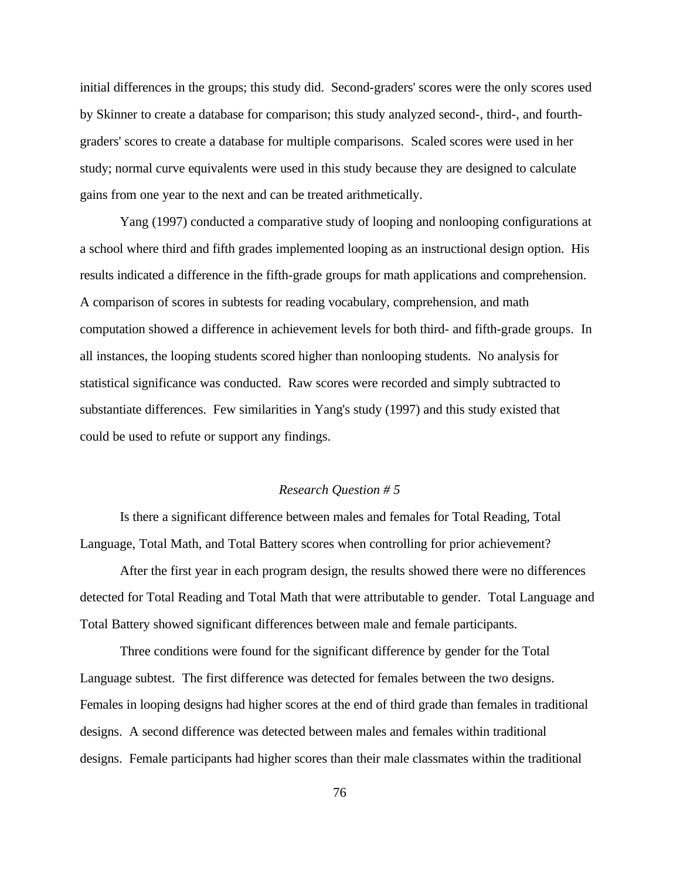initial differences in the groups; this study did. Second-graders' scores were the only scores used by Skinner to create a database for comparison; this study analyzed second-, third-, and fourthgraders' scores to create a database for multiple comparisons. Scaled scores were used in her study; normal curve equivalents were used in this study because they are designed to calculate gains from one year to the next and can be treated arithmetically.

Yang (1997) conducted a comparative study of looping and nonlooping configurations at a school where third and fifth grades implemented looping as an instructional design option. His results indicated a difference in the fifth-grade groups for math applications and comprehension. A comparison of scores in subtests for reading vocabulary, comprehension, and math computation showed a difference in achievement levels for both third- and fifth-grade groups. In all instances, the looping students scored higher than nonlooping students. No analysis for statistical significance was conducted. Raw scores were recorded and simply subtracted to substantiate differences. Few similarities in Yang's study (1997) and this study existed that could be used to refute or support any findings.

## *Research Question # 5*

Is there a significant difference between males and females for Total Reading, Total Language, Total Math, and Total Battery scores when controlling for prior achievement?

After the first year in each program design, the results showed there were no differences detected for Total Reading and Total Math that were attributable to gender. Total Language and Total Battery showed significant differences between male and female participants.

Three conditions were found for the significant difference by gender for the Total Language subtest. The first difference was detected for females between the two designs. Females in looping designs had higher scores at the end of third grade than females in traditional designs. A second difference was detected between males and females within traditional designs. Female participants had higher scores than their male classmates within the traditional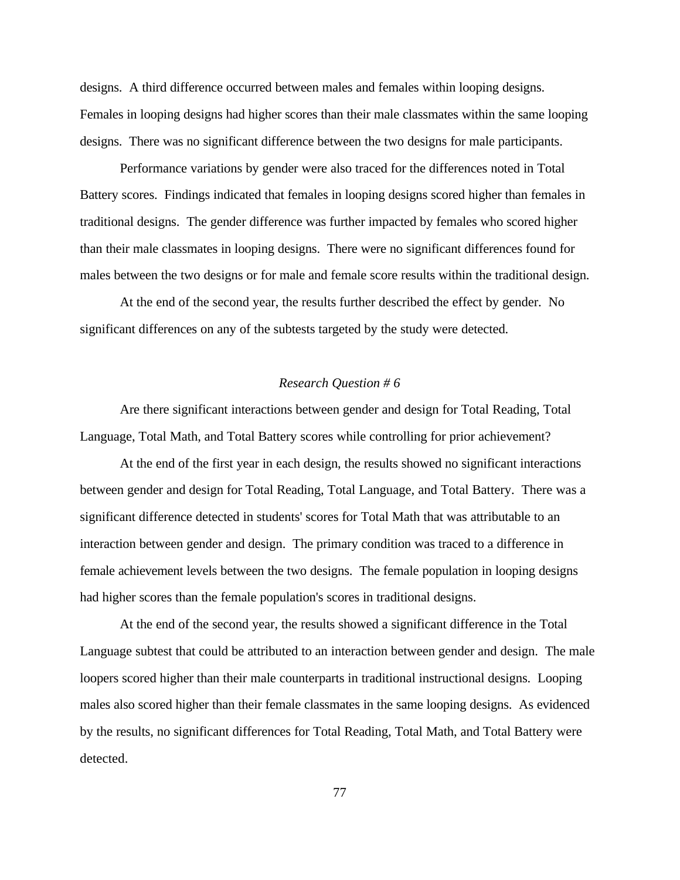designs. A third difference occurred between males and females within looping designs. Females in looping designs had higher scores than their male classmates within the same looping designs. There was no significant difference between the two designs for male participants.

Performance variations by gender were also traced for the differences noted in Total Battery scores. Findings indicated that females in looping designs scored higher than females in traditional designs. The gender difference was further impacted by females who scored higher than their male classmates in looping designs. There were no significant differences found for males between the two designs or for male and female score results within the traditional design.

At the end of the second year, the results further described the effect by gender. No significant differences on any of the subtests targeted by the study were detected.

### *Research Question # 6*

Are there significant interactions between gender and design for Total Reading, Total Language, Total Math, and Total Battery scores while controlling for prior achievement?

At the end of the first year in each design, the results showed no significant interactions between gender and design for Total Reading, Total Language, and Total Battery. There was a significant difference detected in students' scores for Total Math that was attributable to an interaction between gender and design. The primary condition was traced to a difference in female achievement levels between the two designs. The female population in looping designs had higher scores than the female population's scores in traditional designs.

At the end of the second year, the results showed a significant difference in the Total Language subtest that could be attributed to an interaction between gender and design. The male loopers scored higher than their male counterparts in traditional instructional designs. Looping males also scored higher than their female classmates in the same looping designs. As evidenced by the results, no significant differences for Total Reading, Total Math, and Total Battery were detected.

77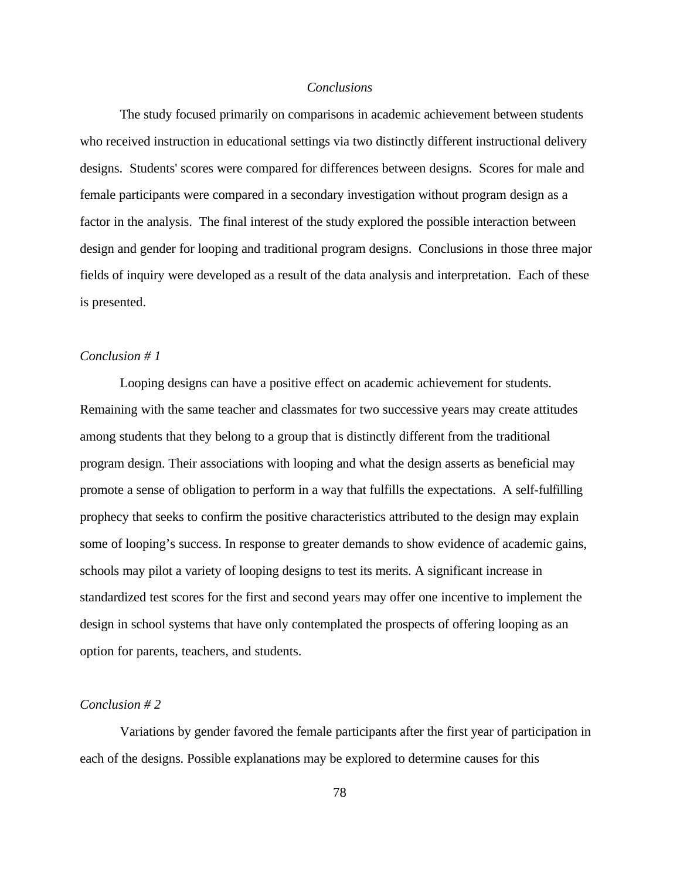### *Conclusions*

The study focused primarily on comparisons in academic achievement between students who received instruction in educational settings via two distinctly different instructional delivery designs. Students' scores were compared for differences between designs. Scores for male and female participants were compared in a secondary investigation without program design as a factor in the analysis. The final interest of the study explored the possible interaction between design and gender for looping and traditional program designs. Conclusions in those three major fields of inquiry were developed as a result of the data analysis and interpretation. Each of these is presented.

## *Conclusion # 1*

Looping designs can have a positive effect on academic achievement for students. Remaining with the same teacher and classmates for two successive years may create attitudes among students that they belong to a group that is distinctly different from the traditional program design. Their associations with looping and what the design asserts as beneficial may promote a sense of obligation to perform in a way that fulfills the expectations. A self-fulfilling prophecy that seeks to confirm the positive characteristics attributed to the design may explain some of looping's success. In response to greater demands to show evidence of academic gains, schools may pilot a variety of looping designs to test its merits. A significant increase in standardized test scores for the first and second years may offer one incentive to implement the design in school systems that have only contemplated the prospects of offering looping as an option for parents, teachers, and students.

# *Conclusion # 2*

Variations by gender favored the female participants after the first year of participation in each of the designs. Possible explanations may be explored to determine causes for this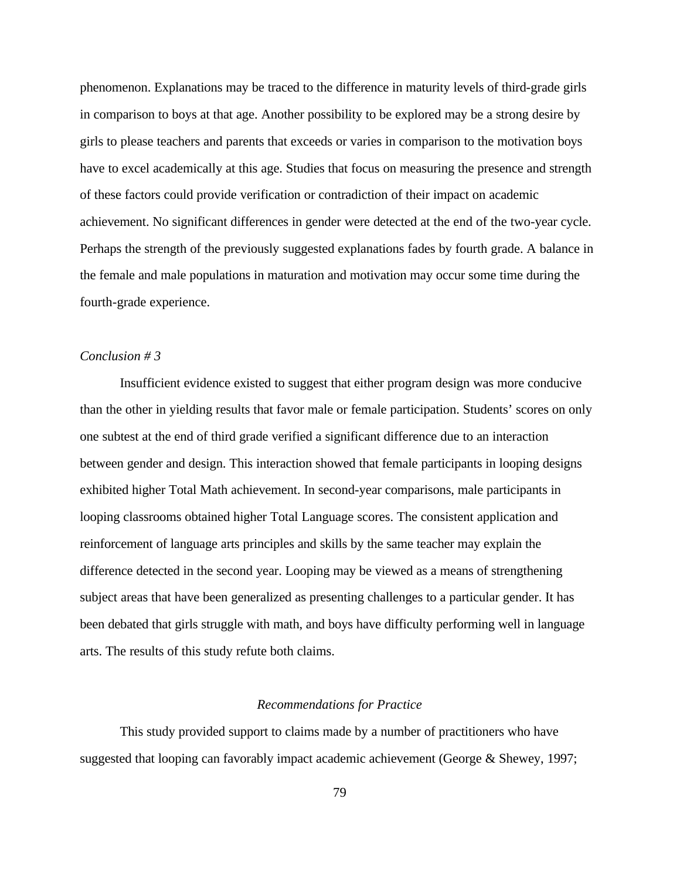phenomenon. Explanations may be traced to the difference in maturity levels of third-grade girls in comparison to boys at that age. Another possibility to be explored may be a strong desire by girls to please teachers and parents that exceeds or varies in comparison to the motivation boys have to excel academically at this age. Studies that focus on measuring the presence and strength of these factors could provide verification or contradiction of their impact on academic achievement. No significant differences in gender were detected at the end of the two-year cycle. Perhaps the strength of the previously suggested explanations fades by fourth grade. A balance in the female and male populations in maturation and motivation may occur some time during the fourth-grade experience.

# *Conclusion # 3*

Insufficient evidence existed to suggest that either program design was more conducive than the other in yielding results that favor male or female participation. Students' scores on only one subtest at the end of third grade verified a significant difference due to an interaction between gender and design. This interaction showed that female participants in looping designs exhibited higher Total Math achievement. In second-year comparisons, male participants in looping classrooms obtained higher Total Language scores. The consistent application and reinforcement of language arts principles and skills by the same teacher may explain the difference detected in the second year. Looping may be viewed as a means of strengthening subject areas that have been generalized as presenting challenges to a particular gender. It has been debated that girls struggle with math, and boys have difficulty performing well in language arts. The results of this study refute both claims.

# *Recommendations for Practice*

This study provided support to claims made by a number of practitioners who have suggested that looping can favorably impact academic achievement (George & Shewey, 1997;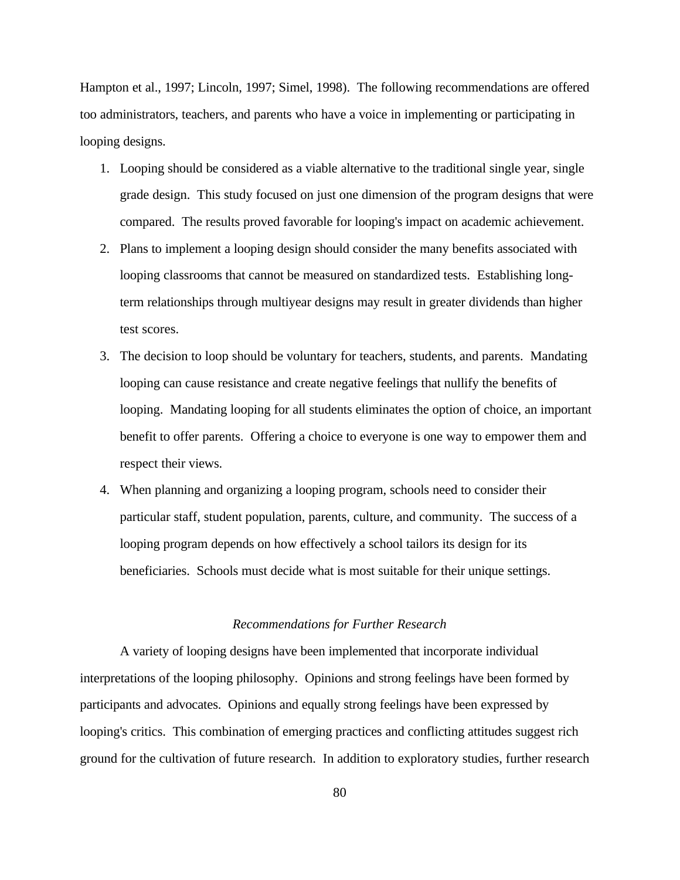Hampton et al., 1997; Lincoln, 1997; Simel, 1998). The following recommendations are offered too administrators, teachers, and parents who have a voice in implementing or participating in looping designs.

- 1. Looping should be considered as a viable alternative to the traditional single year, single grade design. This study focused on just one dimension of the program designs that were compared. The results proved favorable for looping's impact on academic achievement.
- 2. Plans to implement a looping design should consider the many benefits associated with looping classrooms that cannot be measured on standardized tests. Establishing longterm relationships through multiyear designs may result in greater dividends than higher test scores.
- 3. The decision to loop should be voluntary for teachers, students, and parents. Mandating looping can cause resistance and create negative feelings that nullify the benefits of looping. Mandating looping for all students eliminates the option of choice, an important benefit to offer parents. Offering a choice to everyone is one way to empower them and respect their views.
- 4. When planning and organizing a looping program, schools need to consider their particular staff, student population, parents, culture, and community. The success of a looping program depends on how effectively a school tailors its design for its beneficiaries. Schools must decide what is most suitable for their unique settings.

# *Recommendations for Further Research*

A variety of looping designs have been implemented that incorporate individual interpretations of the looping philosophy. Opinions and strong feelings have been formed by participants and advocates. Opinions and equally strong feelings have been expressed by looping's critics. This combination of emerging practices and conflicting attitudes suggest rich ground for the cultivation of future research. In addition to exploratory studies, further research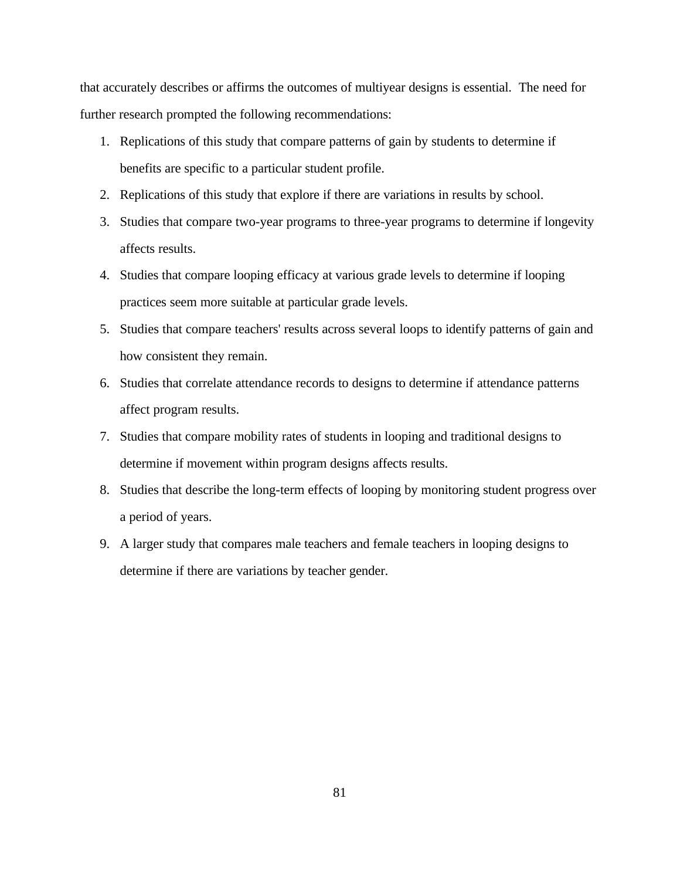that accurately describes or affirms the outcomes of multiyear designs is essential. The need for further research prompted the following recommendations:

- 1. Replications of this study that compare patterns of gain by students to determine if benefits are specific to a particular student profile.
- 2. Replications of this study that explore if there are variations in results by school.
- 3. Studies that compare two-year programs to three-year programs to determine if longevity affects results.
- 4. Studies that compare looping efficacy at various grade levels to determine if looping practices seem more suitable at particular grade levels.
- 5. Studies that compare teachers' results across several loops to identify patterns of gain and how consistent they remain.
- 6. Studies that correlate attendance records to designs to determine if attendance patterns affect program results.
- 7. Studies that compare mobility rates of students in looping and traditional designs to determine if movement within program designs affects results.
- 8. Studies that describe the long-term effects of looping by monitoring student progress over a period of years.
- 9. A larger study that compares male teachers and female teachers in looping designs to determine if there are variations by teacher gender.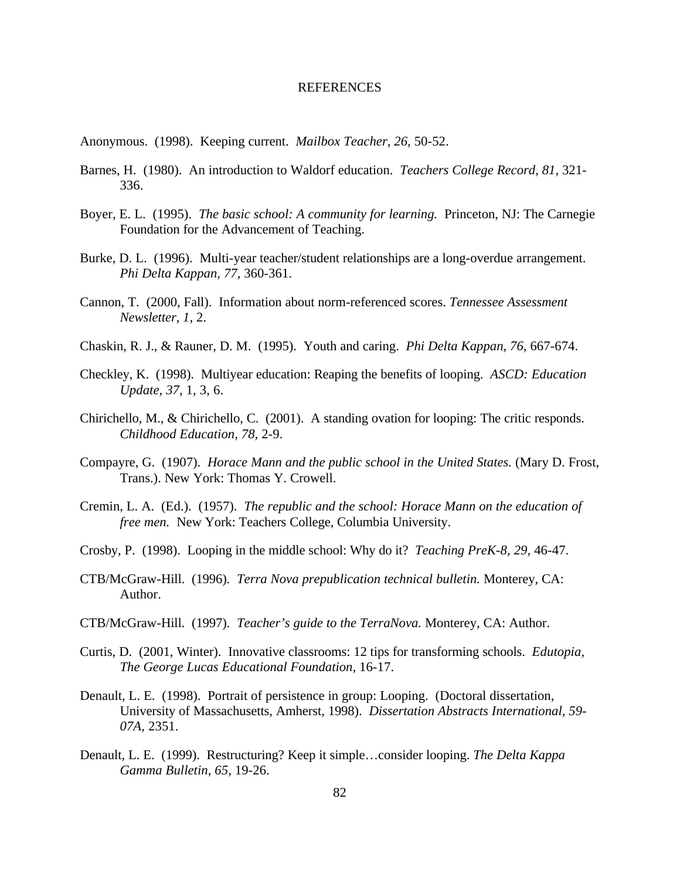#### REFERENCES

- Anonymous. (1998). Keeping current. *Mailbox Teacher, 26,* 50-52.
- Barnes, H. (1980). An introduction to Waldorf education. *Teachers College Record, 81,* 321- 336.
- Boyer, E. L. (1995). *The basic school: A community for learning.* Princeton, NJ: The Carnegie Foundation for the Advancement of Teaching.
- Burke, D. L. (1996). Multi-year teacher/student relationships are a long-overdue arrangement. *Phi Delta Kappan, 77,* 360-361.
- Cannon, T. (2000, Fall). Information about norm-referenced scores. *Tennessee Assessment Newsletter, 1,* 2.
- Chaskin, R. J., & Rauner, D. M. (1995). Youth and caring. *Phi Delta Kappan, 76,* 667-674.
- Checkley, K. (1998). Multiyear education: Reaping the benefits of looping. *ASCD: Education Update, 37,* 1, 3, 6.
- Chirichello, M., & Chirichello, C. (2001). A standing ovation for looping: The critic responds. *Childhood Education, 78,* 2-9.
- Compayre, G. (1907). *Horace Mann and the public school in the United States.* (Mary D. Frost, Trans.). New York: Thomas Y. Crowell.
- Cremin, L. A. (Ed.). (1957). *The republic and the school: Horace Mann on the education of free men.* New York: Teachers College, Columbia University.
- Crosby, P. (1998). Looping in the middle school: Why do it? *Teaching PreK-8, 29,* 46-47.
- CTB/McGraw-Hill. (1996). *Terra Nova prepublication technical bulletin.* Monterey, CA: Author.
- CTB/McGraw-Hill. (1997). *Teacher's guide to the TerraNova.* Monterey, CA: Author.
- Curtis, D. (2001, Winter). Innovative classrooms: 12 tips for transforming schools. *Edutopia, The George Lucas Educational Foundation,* 16-17.
- Denault, L. E. (1998). Portrait of persistence in group: Looping. (Doctoral dissertation, University of Massachusetts, Amherst, 1998). *Dissertation Abstracts International, 59- 07A,* 2351.
- Denault, L. E. (1999). Restructuring? Keep it simple…consider looping. *The Delta Kappa Gamma Bulletin, 65,* 19-26.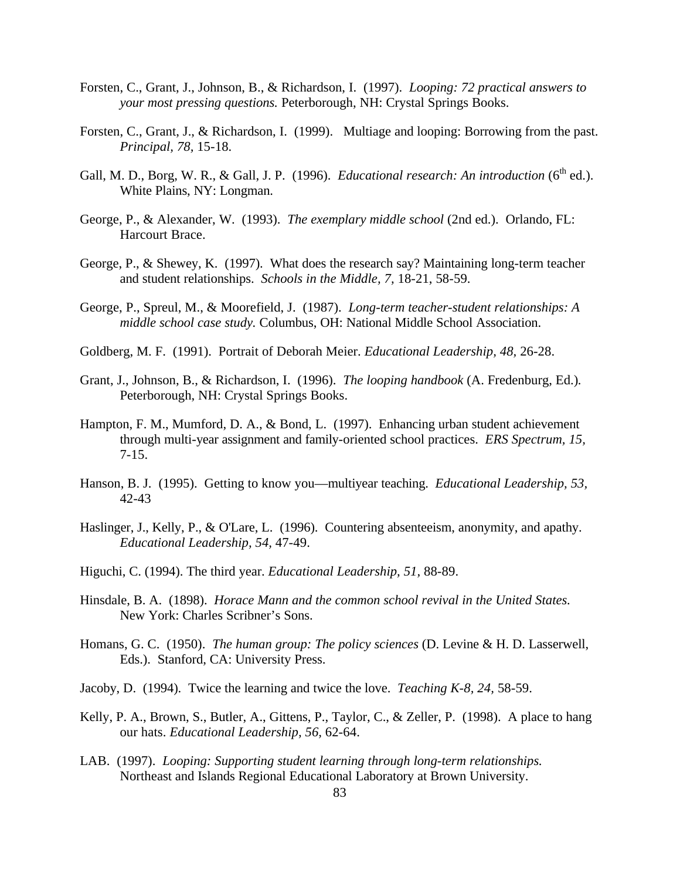- Forsten, C., Grant, J., Johnson, B., & Richardson, I. (1997). *Looping: 72 practical answers to your most pressing questions.* Peterborough, NH: Crystal Springs Books.
- Forsten, C., Grant, J., & Richardson, I. (1999). Multiage and looping: Borrowing from the past. *Principal, 78,* 15-18.
- Gall, M. D., Borg, W. R., & Gall, J. P. (1996). *Educational research: An introduction*  $(6^{th}$  ed.). White Plains, NY: Longman.
- George, P., & Alexander, W. (1993). *The exemplary middle school* (2nd ed.). Orlando, FL: Harcourt Brace.
- George, P., & Shewey, K. (1997). What does the research say? Maintaining long-term teacher and student relationships. *Schools in the Middle, 7,* 18-21, 58-59.
- George, P., Spreul, M., & Moorefield, J. (1987). *Long-term teacher-student relationships: A middle school case study.* Columbus, OH: National Middle School Association.
- Goldberg, M. F. (1991). Portrait of Deborah Meier. *Educational Leadership, 48,* 26-28.
- Grant, J., Johnson, B., & Richardson, I. (1996). *The looping handbook* (A. Fredenburg, Ed.)*.* Peterborough, NH: Crystal Springs Books.
- Hampton, F. M., Mumford, D. A., & Bond, L. (1997). Enhancing urban student achievement through multi-year assignment and family-oriented school practices. *ERS Spectrum, 15,* 7-15.
- Hanson, B. J. (1995). Getting to know you—multiyear teaching. *Educational Leadership, 53,* 42-43
- Haslinger, J., Kelly, P., & O'Lare, L. (1996). Countering absenteeism, anonymity, and apathy. *Educational Leadership, 54,* 47-49.
- Higuchi, C. (1994). The third year. *Educational Leadership, 51,* 88-89.
- Hinsdale, B. A. (1898). *Horace Mann and the common school revival in the United States.* New York: Charles Scribner's Sons.
- Homans, G. C. (1950). *The human group: The policy sciences* (D. Levine & H. D. Lasserwell, Eds.). Stanford, CA: University Press.
- Jacoby, D. (1994). Twice the learning and twice the love. *Teaching K-8, 24,* 58-59.
- Kelly, P. A., Brown, S., Butler, A., Gittens, P., Taylor, C., & Zeller, P. (1998). A place to hang our hats. *Educational Leadership, 56,* 62-64.
- LAB. (1997). *Looping: Supporting student learning through long-term relationships.* Northeast and Islands Regional Educational Laboratory at Brown University.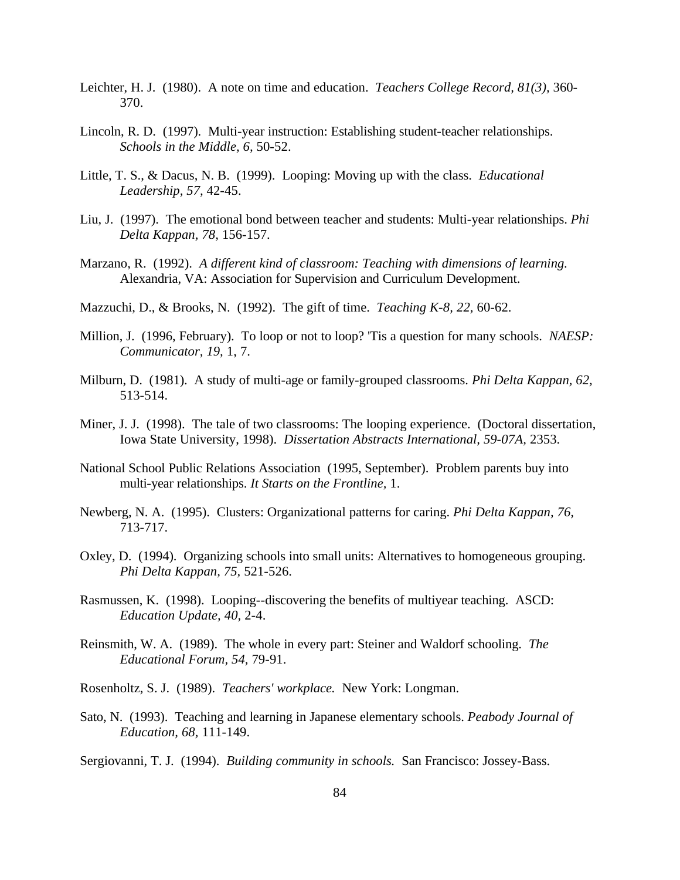- Leichter, H. J. (1980). A note on time and education. *Teachers College Record, 81(3),* 360- 370.
- Lincoln, R. D. (1997). Multi-year instruction: Establishing student-teacher relationships. *Schools in the Middle, 6,* 50-52.
- Little, T. S., & Dacus, N. B. (1999). Looping: Moving up with the class. *Educational Leadership, 57,* 42-45.
- Liu, J. (1997). The emotional bond between teacher and students: Multi-year relationships. *Phi Delta Kappan, 78,* 156-157.
- Marzano, R. (1992). *A different kind of classroom: Teaching with dimensions of learning.* Alexandria, VA: Association for Supervision and Curriculum Development.
- Mazzuchi, D., & Brooks, N. (1992). The gift of time. *Teaching K-8, 22,* 60-62.
- Million, J. (1996, February). To loop or not to loop? 'Tis a question for many schools. *NAESP: Communicator, 19,* 1, 7.
- Milburn, D. (1981). A study of multi-age or family-grouped classrooms. *Phi Delta Kappan, 62,* 513-514.
- Miner, J. J. (1998). The tale of two classrooms: The looping experience. (Doctoral dissertation, Iowa State University, 1998). *Dissertation Abstracts International, 59-07A,* 2353.
- National School Public Relations Association (1995, September). Problem parents buy into multi-year relationships. *It Starts on the Frontline,* 1.
- Newberg, N. A. (1995). Clusters: Organizational patterns for caring. *Phi Delta Kappan, 76,* 713-717.
- Oxley, D. (1994). Organizing schools into small units: Alternatives to homogeneous grouping. *Phi Delta Kappan, 75,* 521-526.
- Rasmussen, K. (1998). Looping--discovering the benefits of multiyear teaching. ASCD: *Education Update, 40,* 2-4.
- Reinsmith, W. A. (1989). The whole in every part: Steiner and Waldorf schooling. *The Educational Forum, 54,* 79-91.
- Rosenholtz, S. J. (1989). *Teachers' workplace.* New York: Longman.
- Sato, N. (1993). Teaching and learning in Japanese elementary schools. *Peabody Journal of Education, 68,* 111-149.

Sergiovanni, T. J. (1994). *Building community in schools.* San Francisco: Jossey-Bass.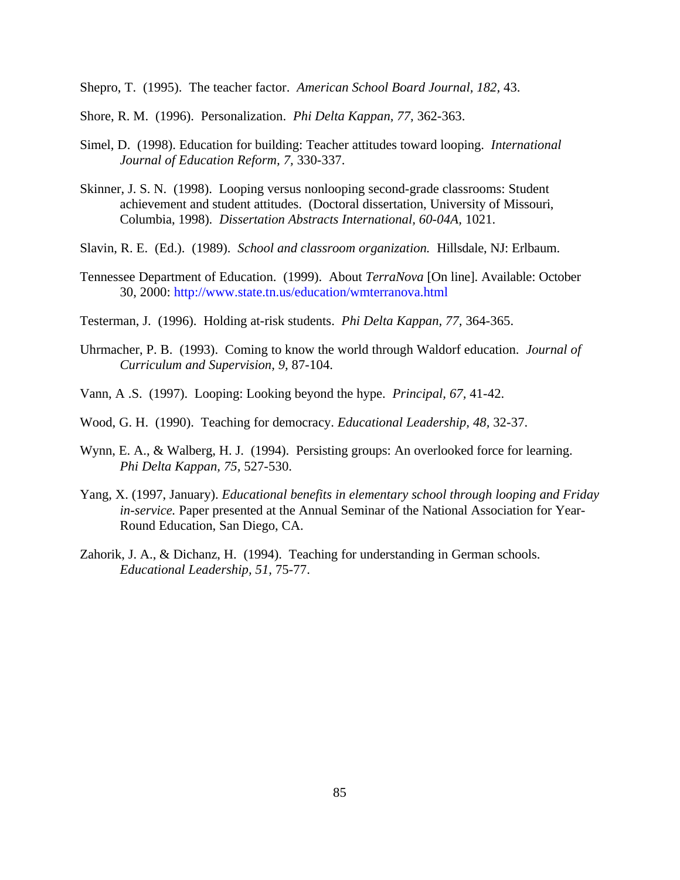Shepro, T. (1995). The teacher factor. *American School Board Journal, 182,* 43.

- Shore, R. M. (1996). Personalization. *Phi Delta Kappan, 77,* 362-363.
- Simel, D. (1998). Education for building: Teacher attitudes toward looping. *International Journal of Education Reform, 7,* 330-337.
- Skinner, J. S. N. (1998). Looping versus nonlooping second-grade classrooms: Student achievement and student attitudes. (Doctoral dissertation, University of Missouri, Columbia, 1998). *Dissertation Abstracts International, 60-04A,* 1021.
- Slavin, R. E. (Ed.). (1989). *School and classroom organization.* Hillsdale, NJ: Erlbaum.
- Tennessee Department of Education. (1999). About *TerraNova* [On line]. Available: October 30, 2000: http://www.state.tn.us/education/wmterranova.html
- Testerman, J. (1996). Holding at-risk students. *Phi Delta Kappan, 77,* 364-365.
- Uhrmacher, P. B. (1993). Coming to know the world through Waldorf education. *Journal of Curriculum and Supervision, 9,* 87-104.
- Vann, A .S. (1997). Looping: Looking beyond the hype. *Principal, 67,* 41-42.
- Wood, G. H. (1990). Teaching for democracy. *Educational Leadership, 48,* 32-37.
- Wynn, E. A., & Walberg, H. J. (1994). Persisting groups: An overlooked force for learning. *Phi Delta Kappan, 75,* 527-530.
- Yang, X. (1997, January). *Educational benefits in elementary school through looping and Friday in-service.* Paper presented at the Annual Seminar of the National Association for Year-Round Education, San Diego, CA.
- Zahorik, J. A., & Dichanz, H. (1994). Teaching for understanding in German schools. *Educational Leadership, 51,* 75-77.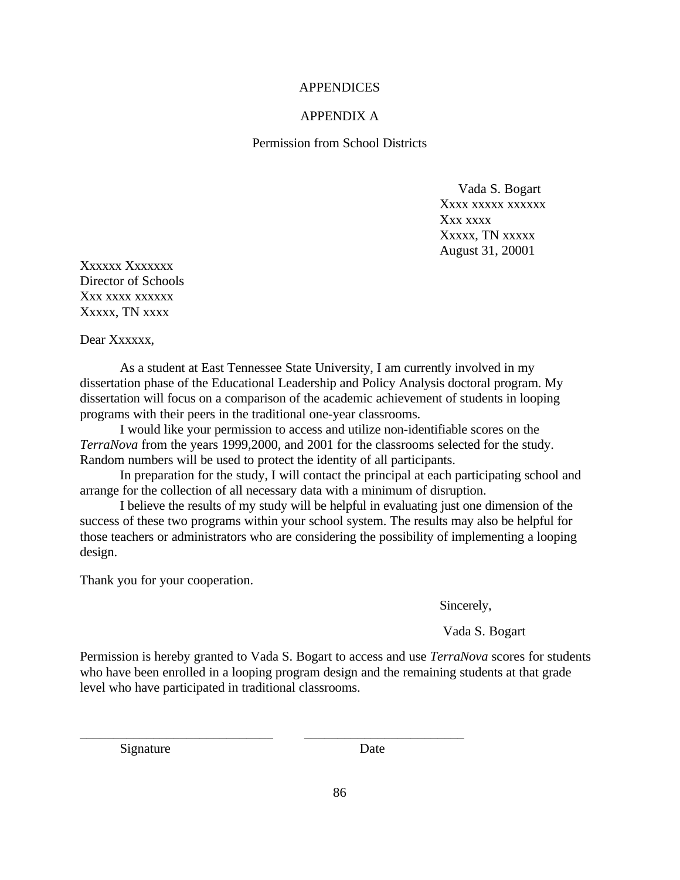# **APPENDICES**

# APPENDIX A

Permission from School Districts

 Vada S. Bogart Xxxx xxxxx xxxxxx Xxx xxxx Xxxxx, TN xxxxx August 31, 20001

Xxxxxx Xxxxxxx Director of Schools Xxx xxxx xxxxxx Xxxxx, TN xxxx

Dear Xxxxxx.

As a student at East Tennessee State University, I am currently involved in my dissertation phase of the Educational Leadership and Policy Analysis doctoral program. My dissertation will focus on a comparison of the academic achievement of students in looping programs with their peers in the traditional one-year classrooms.

I would like your permission to access and utilize non-identifiable scores on the *TerraNova* from the years 1999,2000, and 2001 for the classrooms selected for the study. Random numbers will be used to protect the identity of all participants.

In preparation for the study, I will contact the principal at each participating school and arrange for the collection of all necessary data with a minimum of disruption.

I believe the results of my study will be helpful in evaluating just one dimension of the success of these two programs within your school system. The results may also be helpful for those teachers or administrators who are considering the possibility of implementing a looping design.

Thank you for your cooperation.

Sincerely,

Vada S. Bogart

Permission is hereby granted to Vada S. Bogart to access and use *TerraNova* scores for students who have been enrolled in a looping program design and the remaining students at that grade level who have participated in traditional classrooms.

\_\_\_\_\_\_\_\_\_\_\_\_\_\_\_\_\_\_\_\_\_\_\_\_\_\_\_\_\_ \_\_\_\_\_\_\_\_\_\_\_\_\_\_\_\_\_\_\_\_\_\_\_\_

Signature Date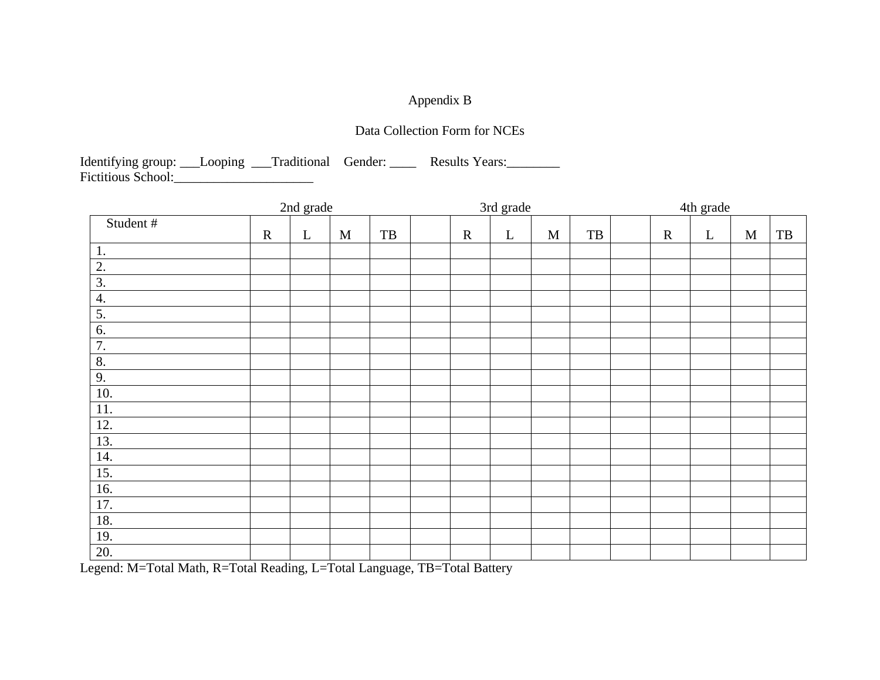# Appendix B

# Data Collection Form for NCEs

Identifying group: \_\_\_Looping \_\_\_Traditional Gender: \_\_\_\_\_ Results Years: \_\_\_\_\_\_ Fictitious School:\_\_\_\_\_\_\_\_\_\_\_\_\_\_\_\_\_\_\_\_\_

|          | 2nd grade |         |             |                                                  | 3rd grade |             |             |              |           | 4th grade |             |             |             |                                                  |
|----------|-----------|---------|-------------|--------------------------------------------------|-----------|-------------|-------------|--------------|-----------|-----------|-------------|-------------|-------------|--------------------------------------------------|
| Student# | ${\bf R}$ | $\bf L$ | $\mathbf M$ | $\ensuremath{\mathsf{T}}\ensuremath{\mathsf{B}}$ |           | $\mathbf R$ | $\mathbf L$ | $\mathbf{M}$ | $\rm{TB}$ |           | $\mathbf R$ | $\mathbf L$ | $\mathbf M$ | $\ensuremath{\mathsf{T}}\ensuremath{\mathsf{B}}$ |
| 1.       |           |         |             |                                                  |           |             |             |              |           |           |             |             |             |                                                  |
| 2.       |           |         |             |                                                  |           |             |             |              |           |           |             |             |             |                                                  |
| 3.       |           |         |             |                                                  |           |             |             |              |           |           |             |             |             |                                                  |
| 4.       |           |         |             |                                                  |           |             |             |              |           |           |             |             |             |                                                  |
| 5.       |           |         |             |                                                  |           |             |             |              |           |           |             |             |             |                                                  |
| 6.       |           |         |             |                                                  |           |             |             |              |           |           |             |             |             |                                                  |
| 7.       |           |         |             |                                                  |           |             |             |              |           |           |             |             |             |                                                  |
| 8.       |           |         |             |                                                  |           |             |             |              |           |           |             |             |             |                                                  |
| 9.       |           |         |             |                                                  |           |             |             |              |           |           |             |             |             |                                                  |
| 10.      |           |         |             |                                                  |           |             |             |              |           |           |             |             |             |                                                  |
| 11.      |           |         |             |                                                  |           |             |             |              |           |           |             |             |             |                                                  |
| 12.      |           |         |             |                                                  |           |             |             |              |           |           |             |             |             |                                                  |
| 13.      |           |         |             |                                                  |           |             |             |              |           |           |             |             |             |                                                  |
| 14.      |           |         |             |                                                  |           |             |             |              |           |           |             |             |             |                                                  |
| 15.      |           |         |             |                                                  |           |             |             |              |           |           |             |             |             |                                                  |
| 16.      |           |         |             |                                                  |           |             |             |              |           |           |             |             |             |                                                  |
| 17.      |           |         |             |                                                  |           |             |             |              |           |           |             |             |             |                                                  |
| 18.      |           |         |             |                                                  |           |             |             |              |           |           |             |             |             |                                                  |
| 19.      |           |         |             |                                                  |           |             |             |              |           |           |             |             |             |                                                  |
| 20.      |           |         |             |                                                  |           |             |             |              |           |           |             |             |             |                                                  |

Legend: M=Total Math, R=Total Reading, L=Total Language, TB=Total Battery